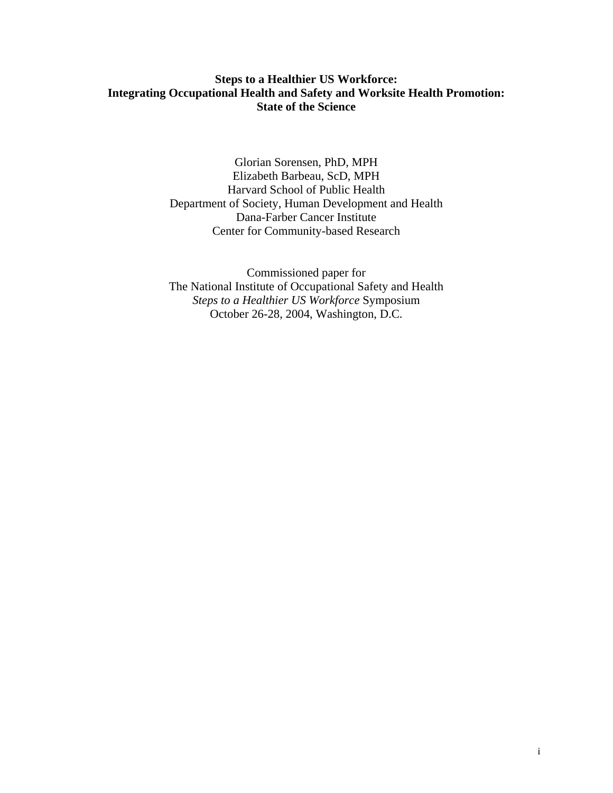# **Steps to a Healthier US Workforce: Integrating Occupational Health and Safety and Worksite Health Promotion: State of the Science**

Glorian Sorensen, PhD, MPH Elizabeth Barbeau, ScD, MPH Harvard School of Public Health Department of Society, Human Development and Health Dana-Farber Cancer Institute Center for Community-based Research

Commissioned paper for The National Institute of Occupational Safety and Health *Steps to a Healthier US Workforce* Symposium October 26-28, 2004, Washington, D.C.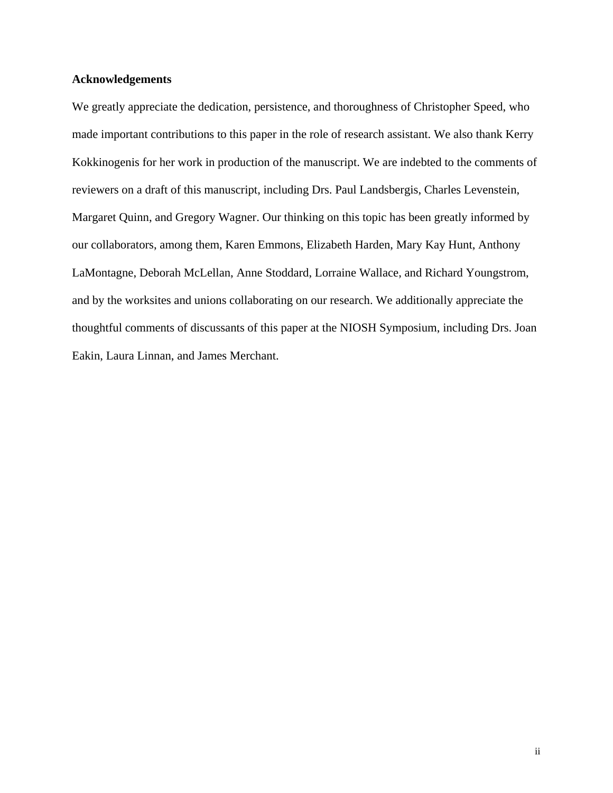### **Acknowledgements**

We greatly appreciate the dedication, persistence, and thoroughness of Christopher Speed, who made important contributions to this paper in the role of research assistant. We also thank Kerry Kokkinogenis for her work in production of the manuscript. We are indebted to the comments of reviewers on a draft of this manuscript, including Drs. Paul Landsbergis, Charles Levenstein, Margaret Quinn, and Gregory Wagner. Our thinking on this topic has been greatly informed by our collaborators, among them, Karen Emmons, Elizabeth Harden, Mary Kay Hunt, Anthony LaMontagne, Deborah McLellan, Anne Stoddard, Lorraine Wallace, and Richard Youngstrom, and by the worksites and unions collaborating on our research. We additionally appreciate the thoughtful comments of discussants of this paper at the NIOSH Symposium, including Drs. Joan Eakin, Laura Linnan, and James Merchant.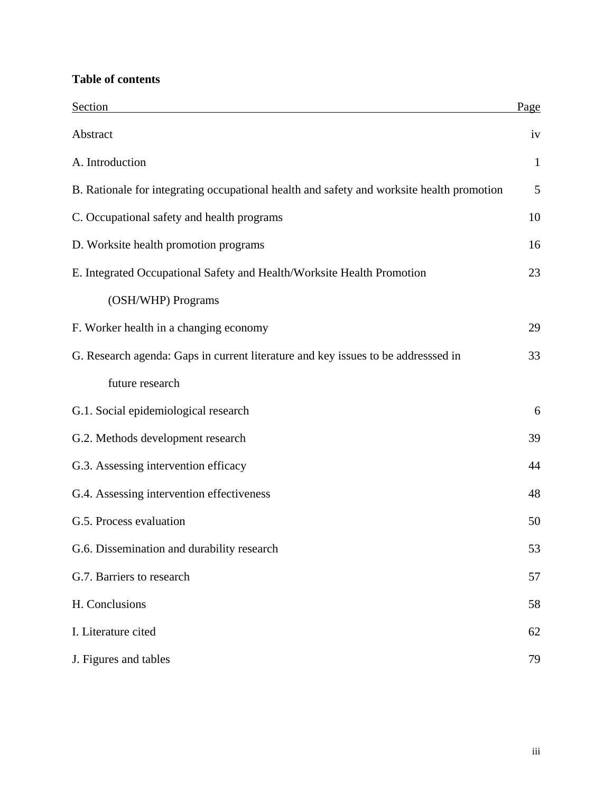# **Table of contents**

| Section                                                                                   | Page         |
|-------------------------------------------------------------------------------------------|--------------|
| Abstract                                                                                  | iv           |
| A. Introduction                                                                           | $\mathbf{1}$ |
| B. Rationale for integrating occupational health and safety and worksite health promotion | 5            |
| C. Occupational safety and health programs                                                | 10           |
| D. Worksite health promotion programs                                                     | 16           |
| E. Integrated Occupational Safety and Health/Worksite Health Promotion                    | 23           |
| (OSH/WHP) Programs                                                                        |              |
| F. Worker health in a changing economy                                                    | 29           |
| G. Research agenda: Gaps in current literature and key issues to be addresssed in         | 33           |
| future research                                                                           |              |
| G.1. Social epidemiological research                                                      | 6            |
| G.2. Methods development research                                                         | 39           |
| G.3. Assessing intervention efficacy                                                      | 44           |
| G.4. Assessing intervention effectiveness                                                 | 48           |
| G.5. Process evaluation                                                                   | 50           |
| G.6. Dissemination and durability research                                                | 53           |
| G.7. Barriers to research                                                                 | 57           |
| H. Conclusions                                                                            | 58           |
| I. Literature cited                                                                       | 62           |
| J. Figures and tables                                                                     | 79           |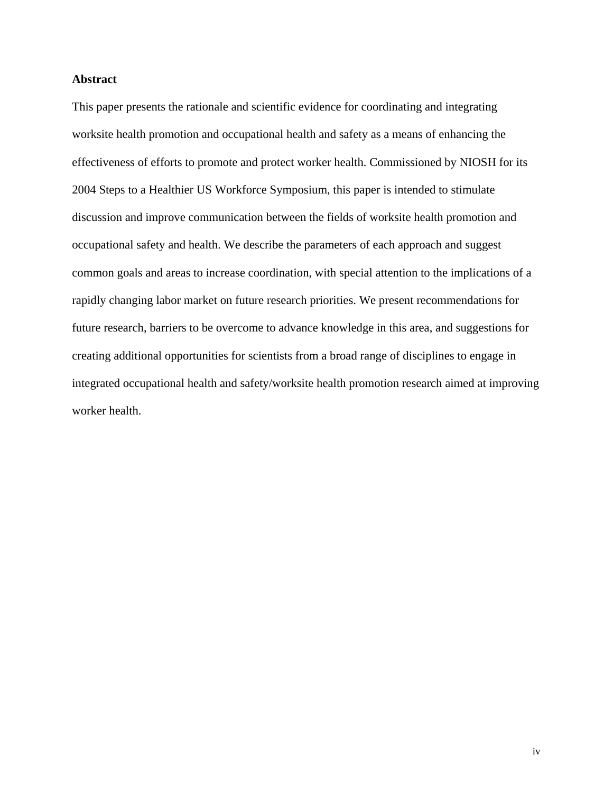### **Abstract**

This paper presents the rationale and scientific evidence for coordinating and integrating worksite health promotion and occupational health and safety as a means of enhancing the effectiveness of efforts to promote and protect worker health. Commissioned by NIOSH for its 2004 Steps to a Healthier US Workforce Symposium, this paper is intended to stimulate discussion and improve communication between the fields of worksite health promotion and occupational safety and health. We describe the parameters of each approach and suggest common goals and areas to increase coordination, with special attention to the implications of a rapidly changing labor market on future research priorities. We present recommendations for future research, barriers to be overcome to advance knowledge in this area, and suggestions for creating additional opportunities for scientists from a broad range of disciplines to engage in integrated occupational health and safety/worksite health promotion research aimed at improving worker health.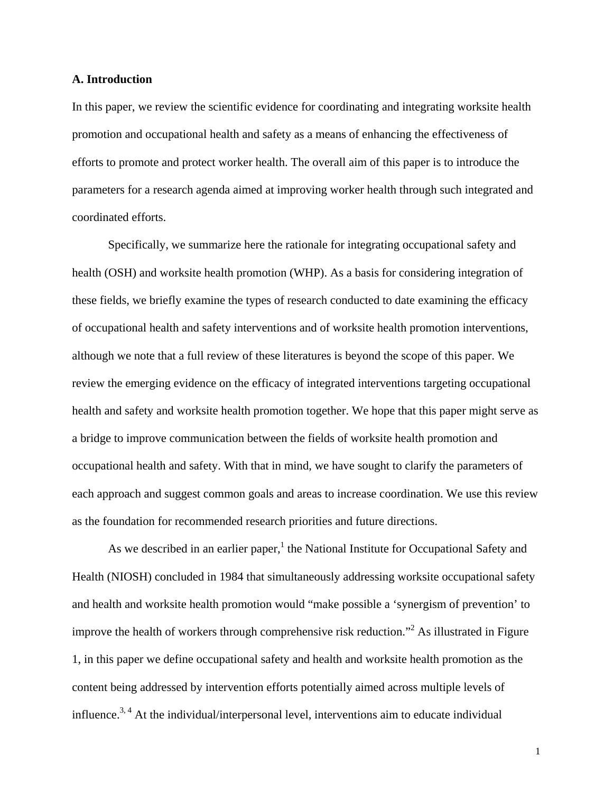### **A. Introduction**

In this paper, we review the scientific evidence for coordinating and integrating worksite health promotion and occupational health and safety as a means of enhancing the effectiveness of efforts to promote and protect worker health. The overall aim of this paper is to introduce the parameters for a research agenda aimed at improving worker health through such integrated and coordinated efforts.

Specifically, we summarize here the rationale for integrating occupational safety and health (OSH) and worksite health promotion (WHP). As a basis for considering integration of these fields, we briefly examine the types of research conducted to date examining the efficacy of occupational health and safety interventions and of worksite health promotion interventions, although we note that a full review of these literatures is beyond the scope of this paper. We review the emerging evidence on the efficacy of integrated interventions targeting occupational health and safety and worksite health promotion together. We hope that this paper might serve as a bridge to improve communication between the fields of worksite health promotion and occupational health and safety. With that in mind, we have sought to clarify the parameters of each approach and suggest common goals and areas to increase coordination. We use this review as the foundation for recommended research priorities and future directions.

As we described in an earlier paper,<sup>1</sup> the National Institute for Occupational Safety and Health (NIOSH) concluded in 1984 that simultaneously addressing worksite occupational safety and health and worksite health promotion would "make possible a 'synergism of prevention' to improve the health of workers through comprehensive risk reduction."<sup>2</sup> As illustrated in Figure 1, in this paper we define occupational safety and health and worksite health promotion as the content being addressed by intervention efforts potentially aimed across multiple levels of influence.<sup>3, 4</sup> At the individual/interpersonal level, interventions aim to educate individual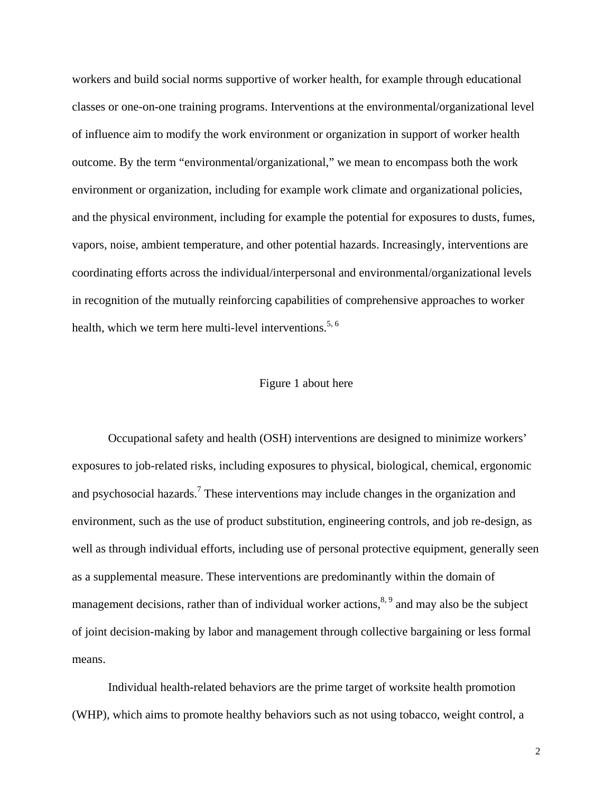workers and build social norms supportive of worker health, for example through educational classes or one-on-one training programs. Interventions at the environmental/organizational level of influence aim to modify the work environment or organization in support of worker health outcome. By the term "environmental/organizational," we mean to encompass both the work environment or organization, including for example work climate and organizational policies, and the physical environment, including for example the potential for exposures to dusts, fumes, vapors, noise, ambient temperature, and other potential hazards. Increasingly, interventions are coordinating efforts across the individual/interpersonal and environmental/organizational levels in recognition of the mutually reinforcing capabilities of comprehensive approaches to worker health, which we term here multi-level interventions.<sup>5, 6</sup>

### Figure 1 about here

Occupational safety and health (OSH) interventions are designed to minimize workers' exposures to job-related risks, including exposures to physical, biological, chemical, ergonomic and psychosocial hazards.<sup>7</sup> These interventions may include changes in the organization and environment, such as the use of product substitution, engineering controls, and job re-design, as well as through individual efforts, including use of personal protective equipment, generally seen as a supplemental measure. These interventions are predominantly within the domain of management decisions, rather than of individual worker actions,  $8.9$  and may also be the subject of joint decision-making by labor and management through collective bargaining or less formal means.

Individual health-related behaviors are the prime target of worksite health promotion (WHP), which aims to promote healthy behaviors such as not using tobacco, weight control, a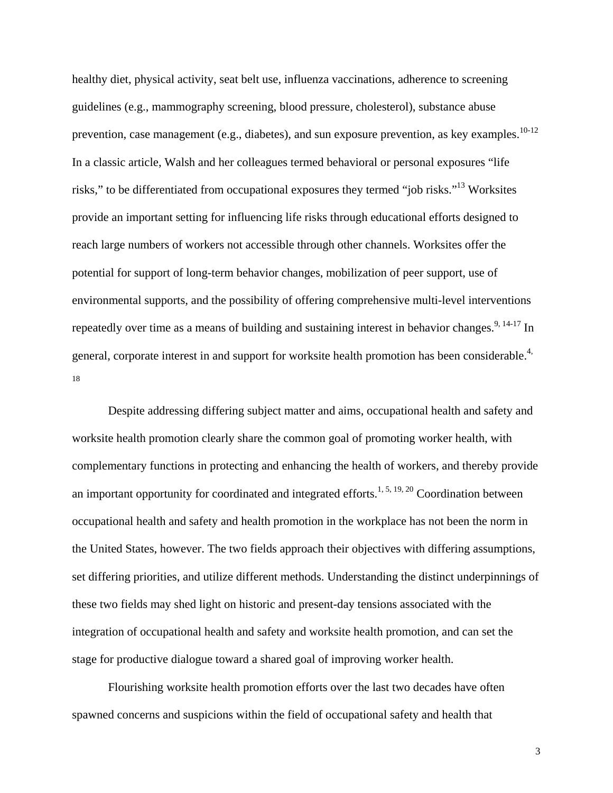healthy diet, physical activity, seat belt use, influenza vaccinations, adherence to screening guidelines (e.g., mammography screening, blood pressure, cholesterol), substance abuse prevention, case management (e.g., diabetes), and sun exposure prevention, as key examples.<sup>10-12</sup> In a classic article, Walsh and her colleagues termed behavioral or personal exposures "life risks," to be differentiated from occupational exposures they termed "job risks."<sup>13</sup> Worksites provide an important setting for influencing life risks through educational efforts designed to reach large numbers of workers not accessible through other channels. Worksites offer the potential for support of long-term behavior changes, mobilization of peer support, use of environmental supports, and the possibility of offering comprehensive multi-level interventions repeatedly over time as a means of building and sustaining interest in behavior changes.<sup>9, 14-17</sup> In general, corporate interest in and support for worksite health promotion has been considerable.<sup>4,</sup> 18

Despite addressing differing subject matter and aims, occupational health and safety and worksite health promotion clearly share the common goal of promoting worker health, with complementary functions in protecting and enhancing the health of workers, and thereby provide an important opportunity for coordinated and integrated efforts.<sup>1, 5, 19, 20</sup> Coordination between occupational health and safety and health promotion in the workplace has not been the norm in the United States, however. The two fields approach their objectives with differing assumptions, set differing priorities, and utilize different methods. Understanding the distinct underpinnings of these two fields may shed light on historic and present-day tensions associated with the integration of occupational health and safety and worksite health promotion, and can set the stage for productive dialogue toward a shared goal of improving worker health.

Flourishing worksite health promotion efforts over the last two decades have often spawned concerns and suspicions within the field of occupational safety and health that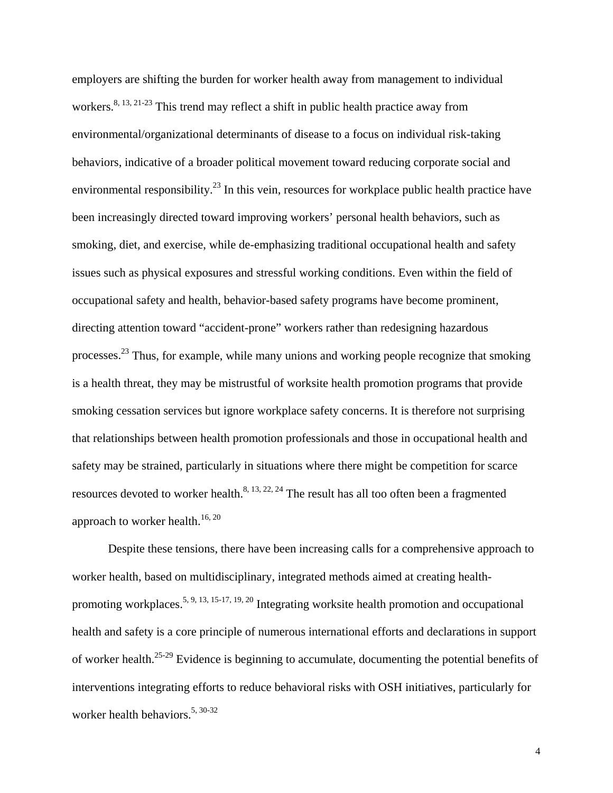employers are shifting the burden for worker health away from management to individual workers.<sup>8, 13, 21-23</sup> This trend may reflect a shift in public health practice away from environmental/organizational determinants of disease to a focus on individual risk-taking behaviors, indicative of a broader political movement toward reducing corporate social and environmental responsibility.<sup>23</sup> In this vein, resources for workplace public health practice have been increasingly directed toward improving workers' personal health behaviors, such as smoking, diet, and exercise, while de-emphasizing traditional occupational health and safety issues such as physical exposures and stressful working conditions. Even within the field of occupational safety and health, behavior-based safety programs have become prominent, directing attention toward "accident-prone" workers rather than redesigning hazardous processes.23 Thus, for example, while many unions and working people recognize that smoking is a health threat, they may be mistrustful of worksite health promotion programs that provide smoking cessation services but ignore workplace safety concerns. It is therefore not surprising that relationships between health promotion professionals and those in occupational health and safety may be strained, particularly in situations where there might be competition for scarce resources devoted to worker health. $8, 13, 22, 24$  The result has all too often been a fragmented approach to worker health.<sup>16, 20</sup>

Despite these tensions, there have been increasing calls for a comprehensive approach to worker health, based on multidisciplinary, integrated methods aimed at creating healthpromoting workplaces.<sup>5, 9, 13, 15-17, 19, 20</sup> Integrating worksite health promotion and occupational health and safety is a core principle of numerous international efforts and declarations in support of worker health.25-29 Evidence is beginning to accumulate, documenting the potential benefits of interventions integrating efforts to reduce behavioral risks with OSH initiatives, particularly for worker health behaviors.<sup>5, 30-32</sup>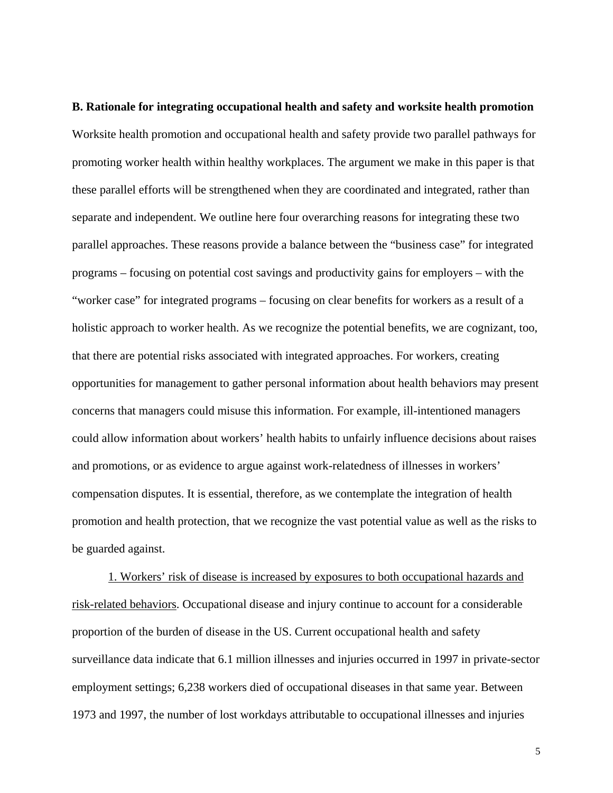**B. Rationale for integrating occupational health and safety and worksite health promotion**  Worksite health promotion and occupational health and safety provide two parallel pathways for promoting worker health within healthy workplaces. The argument we make in this paper is that these parallel efforts will be strengthened when they are coordinated and integrated, rather than separate and independent. We outline here four overarching reasons for integrating these two parallel approaches. These reasons provide a balance between the "business case" for integrated programs – focusing on potential cost savings and productivity gains for employers – with the "worker case" for integrated programs – focusing on clear benefits for workers as a result of a holistic approach to worker health. As we recognize the potential benefits, we are cognizant, too, that there are potential risks associated with integrated approaches. For workers, creating opportunities for management to gather personal information about health behaviors may present concerns that managers could misuse this information. For example, ill-intentioned managers could allow information about workers' health habits to unfairly influence decisions about raises and promotions, or as evidence to argue against work-relatedness of illnesses in workers' compensation disputes. It is essential, therefore, as we contemplate the integration of health promotion and health protection, that we recognize the vast potential value as well as the risks to be guarded against.

1. Workers' risk of disease is increased by exposures to both occupational hazards and risk-related behaviors. Occupational disease and injury continue to account for a considerable proportion of the burden of disease in the US. Current occupational health and safety surveillance data indicate that 6.1 million illnesses and injuries occurred in 1997 in private-sector employment settings; 6,238 workers died of occupational diseases in that same year. Between 1973 and 1997, the number of lost workdays attributable to occupational illnesses and injuries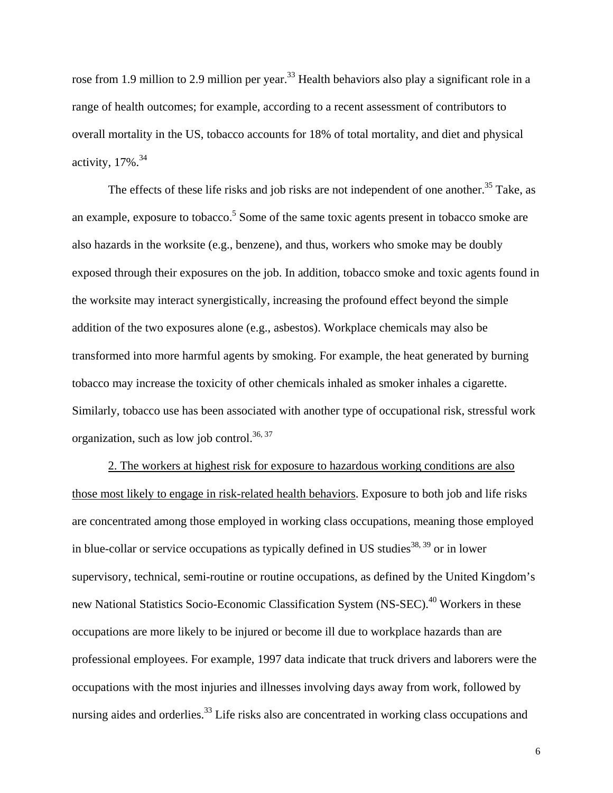rose from 1.9 million to 2.9 million per year.<sup>33</sup> Health behaviors also play a significant role in a range of health outcomes; for example, according to a recent assessment of contributors to overall mortality in the US, tobacco accounts for 18% of total mortality, and diet and physical activity,  $17\%$ .  $34$ 

The effects of these life risks and job risks are not independent of one another.<sup>35</sup> Take, as an example, exposure to tobacco.<sup>5</sup> Some of the same toxic agents present in tobacco smoke are also hazards in the worksite (e.g., benzene), and thus, workers who smoke may be doubly exposed through their exposures on the job. In addition, tobacco smoke and toxic agents found in the worksite may interact synergistically, increasing the profound effect beyond the simple addition of the two exposures alone (e.g., asbestos). Workplace chemicals may also be transformed into more harmful agents by smoking. For example, the heat generated by burning tobacco may increase the toxicity of other chemicals inhaled as smoker inhales a cigarette. Similarly, tobacco use has been associated with another type of occupational risk, stressful work organization, such as low job control.<sup>36, 37</sup>

2. The workers at highest risk for exposure to hazardous working conditions are also those most likely to engage in risk-related health behaviors. Exposure to both job and life risks are concentrated among those employed in working class occupations, meaning those employed in blue-collar or service occupations as typically defined in US studies<sup>38, 39</sup> or in lower supervisory, technical, semi-routine or routine occupations, as defined by the United Kingdom's new National Statistics Socio-Economic Classification System (NS-SEC).<sup>40</sup> Workers in these occupations are more likely to be injured or become ill due to workplace hazards than are professional employees. For example, 1997 data indicate that truck drivers and laborers were the occupations with the most injuries and illnesses involving days away from work, followed by nursing aides and orderlies.<sup>33</sup> Life risks also are concentrated in working class occupations and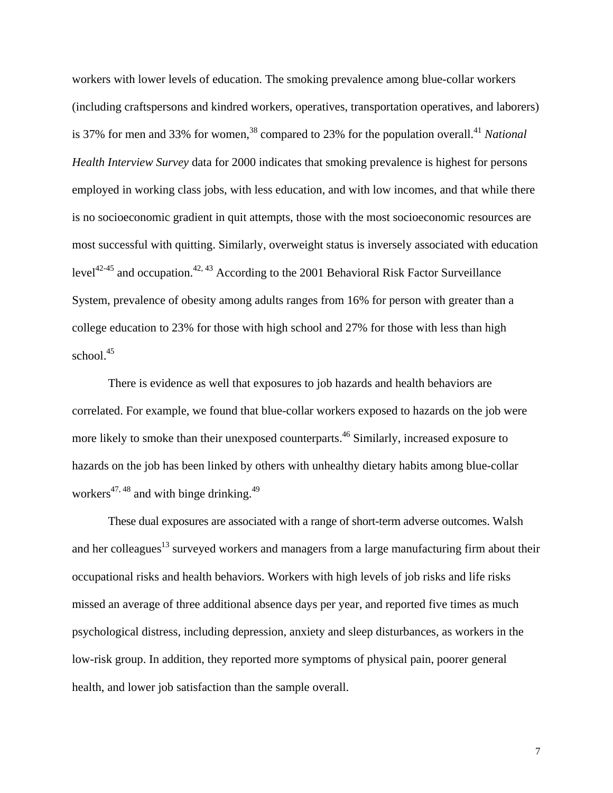workers with lower levels of education. The smoking prevalence among blue-collar workers (including craftspersons and kindred workers, operatives, transportation operatives, and laborers) is 37% for men and 33% for women,<sup>38</sup> compared to 23% for the population overall.<sup>41</sup> *National Health Interview Survey* data for 2000 indicates that smoking prevalence is highest for persons employed in working class jobs, with less education, and with low incomes, and that while there is no socioeconomic gradient in quit attempts, those with the most socioeconomic resources are most successful with quitting. Similarly, overweight status is inversely associated with education level<sup>42-45</sup> and occupation.<sup>42, 43</sup> According to the 2001 Behavioral Risk Factor Surveillance System, prevalence of obesity among adults ranges from 16% for person with greater than a college education to 23% for those with high school and 27% for those with less than high school.<sup>45</sup>

There is evidence as well that exposures to job hazards and health behaviors are correlated. For example, we found that blue-collar workers exposed to hazards on the job were more likely to smoke than their unexposed counterparts.<sup>46</sup> Similarly, increased exposure to hazards on the job has been linked by others with unhealthy dietary habits among blue-collar workers<sup>47, 48</sup> and with binge drinking.<sup>49</sup>

These dual exposures are associated with a range of short-term adverse outcomes. Walsh and her colleagues<sup>13</sup> surveyed workers and managers from a large manufacturing firm about their occupational risks and health behaviors. Workers with high levels of job risks and life risks missed an average of three additional absence days per year, and reported five times as much psychological distress, including depression, anxiety and sleep disturbances, as workers in the low-risk group. In addition, they reported more symptoms of physical pain, poorer general health, and lower job satisfaction than the sample overall.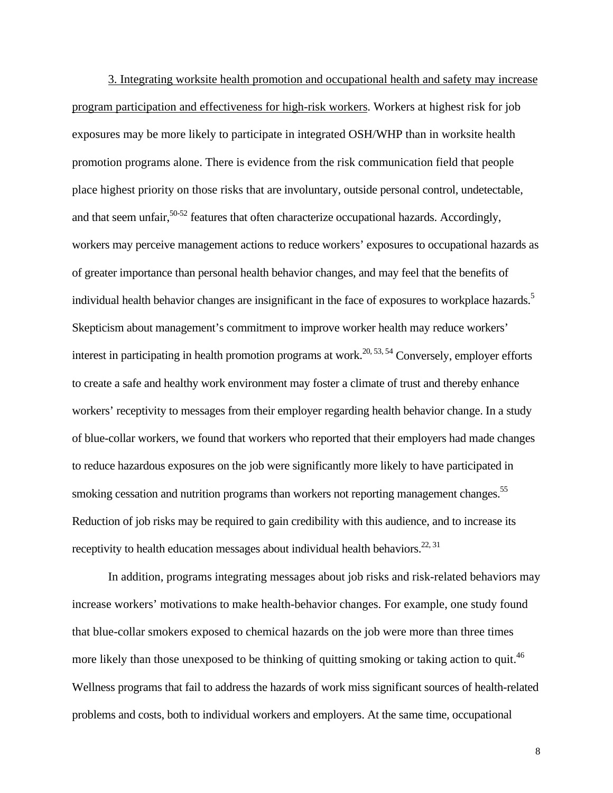3. Integrating worksite health promotion and occupational health and safety may increase program participation and effectiveness for high-risk workers. Workers at highest risk for job exposures may be more likely to participate in integrated OSH/WHP than in worksite health promotion programs alone. There is evidence from the risk communication field that people place highest priority on those risks that are involuntary, outside personal control, undetectable, and that seem unfair,<sup>50-52</sup> features that often characterize occupational hazards. Accordingly, workers may perceive management actions to reduce workers' exposures to occupational hazards as of greater importance than personal health behavior changes, and may feel that the benefits of individual health behavior changes are insignificant in the face of exposures to workplace hazards.<sup>5</sup> Skepticism about management's commitment to improve worker health may reduce workers' interest in participating in health promotion programs at work.<sup>20, 53, 54</sup> Conversely, employer efforts to create a safe and healthy work environment may foster a climate of trust and thereby enhance workers' receptivity to messages from their employer regarding health behavior change. In a study of blue-collar workers, we found that workers who reported that their employers had made changes to reduce hazardous exposures on the job were significantly more likely to have participated in smoking cessation and nutrition programs than workers not reporting management changes.<sup>55</sup> Reduction of job risks may be required to gain credibility with this audience, and to increase its receptivity to health education messages about individual health behaviors.<sup>22, 31</sup>

In addition, programs integrating messages about job risks and risk-related behaviors may increase workers' motivations to make health-behavior changes. For example, one study found that blue-collar smokers exposed to chemical hazards on the job were more than three times more likely than those unexposed to be thinking of quitting smoking or taking action to quit.<sup>46</sup> Wellness programs that fail to address the hazards of work miss significant sources of health-related problems and costs, both to individual workers and employers. At the same time, occupational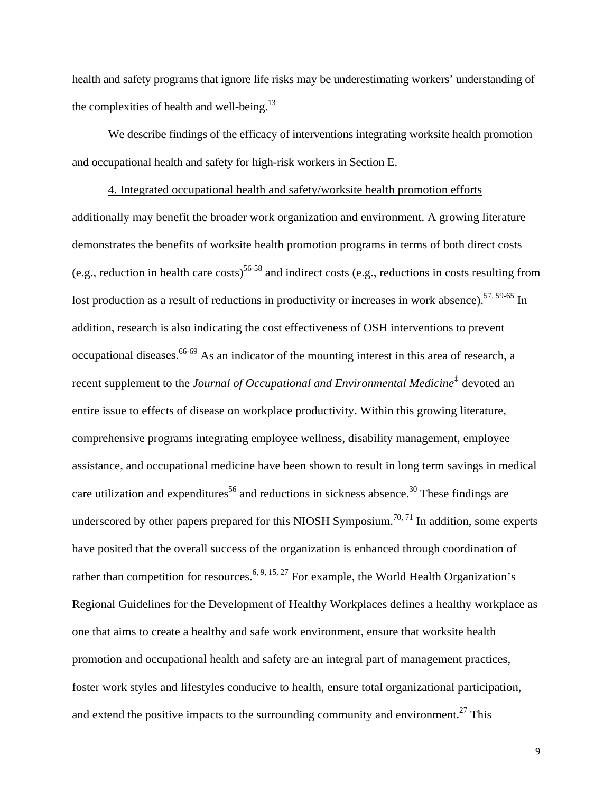health and safety programs that ignore life risks may be underestimating workers' understanding of the complexities of health and well-being.<sup>13</sup>

We describe findings of the efficacy of interventions integrating worksite health promotion and occupational health and safety for high-risk workers in Section E.

<span id="page-12-0"></span>4. Integrated occupational health and safety/worksite health promotion efforts additionally may benefit the broader work organization and environment. A growing literature demonstrates the benefits of worksite health promotion programs in terms of both direct costs (e.g., reduction in health care costs)<sup>56-58</sup> and indirect costs (e.g., reductions in costs resulting from lost production as a result of reductions in productivity or increases in work absence).<sup>57, 59-65</sup> In addition, research is also indicating the cost effectiveness of OSH interventions to prevent occupational diseases.66-69 As an indicator of the mounting interest in this area of research, a recent supplement to the *Journal of Occupational and Environmental Medicine*[‡](#page-12-0) devoted an entire issue to effects of disease on workplace productivity. Within this growing literature, comprehensive programs integrating employee wellness, disability management, employee assistance, and occupational medicine have been shown to result in long term savings in medical care utilization and expenditures<sup>56</sup> and reductions in sickness absence.<sup>30</sup> These findings are underscored by other papers prepared for this NIOSH Symposium.<sup>70, 71</sup> In addition, some experts have posited that the overall success of the organization is enhanced through coordination of rather than competition for resources.<sup>6, 9, 15, 27</sup> For example, the World Health Organization's Regional Guidelines for the Development of Healthy Workplaces defines a healthy workplace as one that aims to create a healthy and safe work environment, ensure that worksite health promotion and occupational health and safety are an integral part of management practices, foster work styles and lifestyles conducive to health, ensure total organizational participation, and extend the positive impacts to the surrounding community and environment.<sup>27</sup> This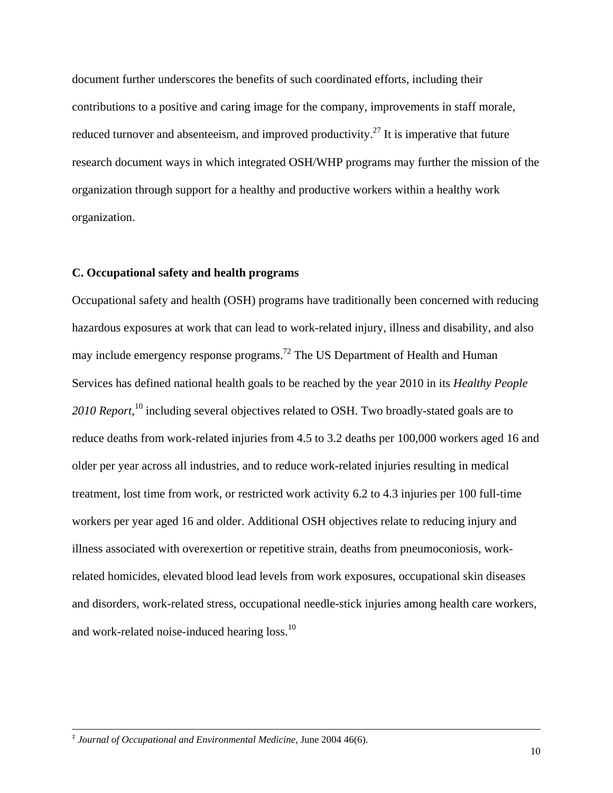document further underscores the benefits of such coordinated efforts, including their contributions to a positive and caring image for the company, improvements in staff morale, reduced turnover and absenteeism, and improved productivity.<sup>27</sup> It is imperative that future research document ways in which integrated OSH/WHP programs may further the mission of the organization through support for a healthy and productive workers within a healthy work organization.

## **C. Occupational safety and health programs**

Occupational safety and health (OSH) programs have traditionally been concerned with reducing hazardous exposures at work that can lead to work-related injury, illness and disability, and also may include emergency response programs.72 The US Department of Health and Human Services has defined national health goals to be reached by the year 2010 in its *Healthy People 2010 Report*, 10 including several objectives related to OSH. Two broadly-stated goals are to reduce deaths from work-related injuries from 4.5 to 3.2 deaths per 100,000 workers aged 16 and older per year across all industries, and to reduce work-related injuries resulting in medical treatment, lost time from work, or restricted work activity 6.2 to 4.3 injuries per 100 full-time workers per year aged 16 and older. Additional OSH objectives relate to reducing injury and illness associated with overexertion or repetitive strain, deaths from pneumoconiosis, workrelated homicides, elevated blood lead levels from work exposures, occupational skin diseases and disorders, work-related stress, occupational needle-stick injuries among health care workers, and work-related noise-induced hearing loss.<sup>10</sup>

 $\overline{a}$ 

<sup>‡</sup> *Journal of Occupational and Environmental Medicine*, June 2004 46(6).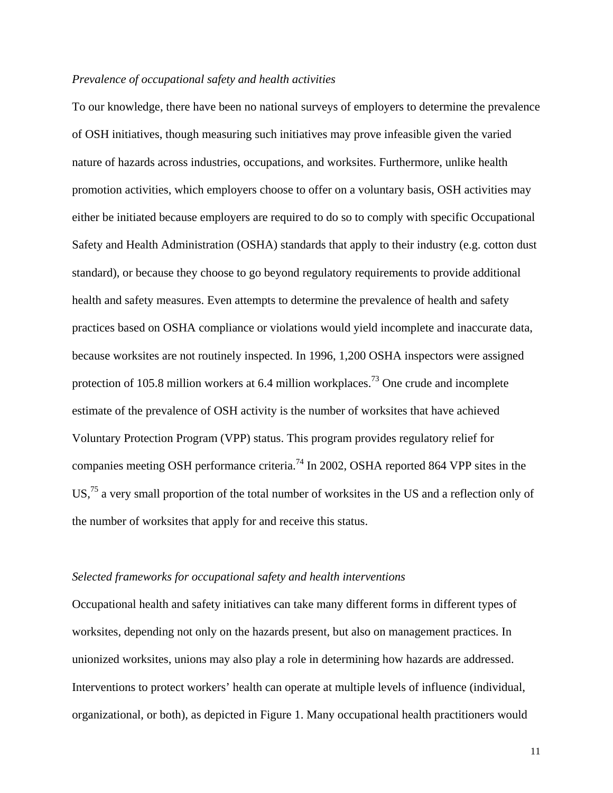## *Prevalence of occupational safety and health activities*

To our knowledge, there have been no national surveys of employers to determine the prevalence of OSH initiatives, though measuring such initiatives may prove infeasible given the varied nature of hazards across industries, occupations, and worksites. Furthermore, unlike health promotion activities, which employers choose to offer on a voluntary basis, OSH activities may either be initiated because employers are required to do so to comply with specific Occupational Safety and Health Administration (OSHA) standards that apply to their industry (e.g. cotton dust standard), or because they choose to go beyond regulatory requirements to provide additional health and safety measures. Even attempts to determine the prevalence of health and safety practices based on OSHA compliance or violations would yield incomplete and inaccurate data, because worksites are not routinely inspected. In 1996, 1,200 OSHA inspectors were assigned protection of 105.8 million workers at 6.4 million workplaces.<sup>73</sup> One crude and incomplete estimate of the prevalence of OSH activity is the number of worksites that have achieved Voluntary Protection Program (VPP) status. This program provides regulatory relief for companies meeting OSH performance criteria.<sup>74</sup> In 2002, OSHA reported 864 VPP sites in the US,<sup>75</sup> a very small proportion of the total number of worksites in the US and a reflection only of the number of worksites that apply for and receive this status.

#### *Selected frameworks for occupational safety and health interventions*

Occupational health and safety initiatives can take many different forms in different types of worksites, depending not only on the hazards present, but also on management practices. In unionized worksites, unions may also play a role in determining how hazards are addressed. Interventions to protect workers' health can operate at multiple levels of influence (individual, organizational, or both), as depicted in Figure 1. Many occupational health practitioners would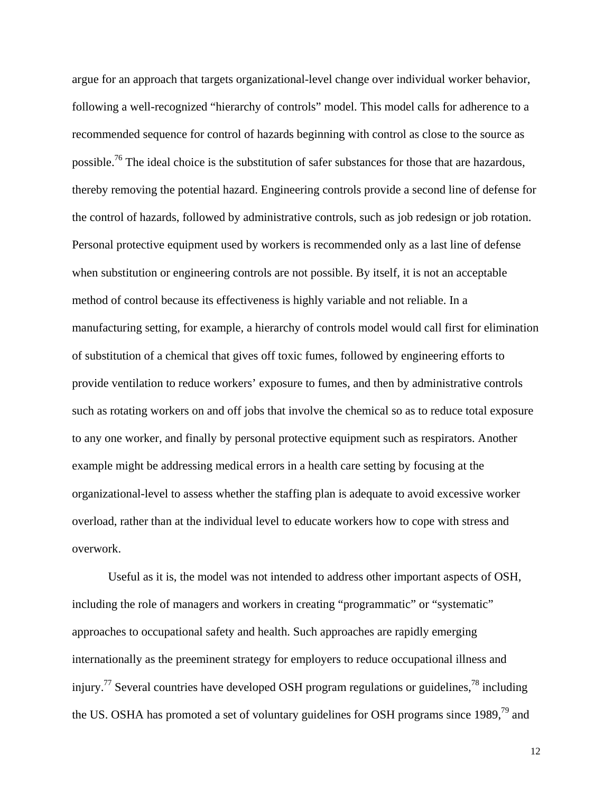argue for an approach that targets organizational-level change over individual worker behavior, following a well-recognized "hierarchy of controls" model. This model calls for adherence to a recommended sequence for control of hazards beginning with control as close to the source as possible.76 The ideal choice is the substitution of safer substances for those that are hazardous, thereby removing the potential hazard. Engineering controls provide a second line of defense for the control of hazards, followed by administrative controls, such as job redesign or job rotation. Personal protective equipment used by workers is recommended only as a last line of defense when substitution or engineering controls are not possible. By itself, it is not an acceptable method of control because its effectiveness is highly variable and not reliable. In a manufacturing setting, for example, a hierarchy of controls model would call first for elimination of substitution of a chemical that gives off toxic fumes, followed by engineering efforts to provide ventilation to reduce workers' exposure to fumes, and then by administrative controls such as rotating workers on and off jobs that involve the chemical so as to reduce total exposure to any one worker, and finally by personal protective equipment such as respirators. Another example might be addressing medical errors in a health care setting by focusing at the organizational-level to assess whether the staffing plan is adequate to avoid excessive worker overload, rather than at the individual level to educate workers how to cope with stress and overwork.

Useful as it is, the model was not intended to address other important aspects of OSH, including the role of managers and workers in creating "programmatic" or "systematic" approaches to occupational safety and health. Such approaches are rapidly emerging internationally as the preeminent strategy for employers to reduce occupational illness and injury.<sup>77</sup> Several countries have developed OSH program regulations or guidelines,<sup>78</sup> including the US. OSHA has promoted a set of voluntary guidelines for OSH programs since 1989,<sup>79</sup> and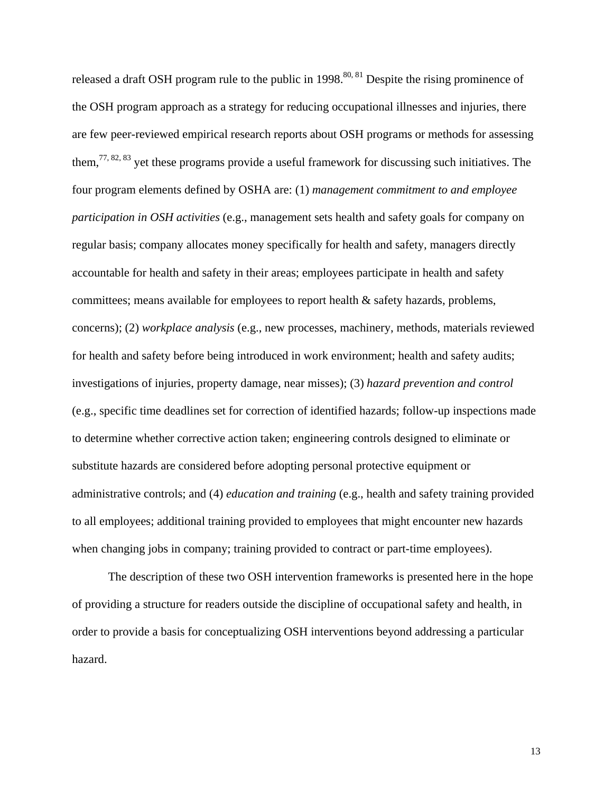released a draft OSH program rule to the public in  $1998$ <sup>80, 81</sup> Despite the rising prominence of the OSH program approach as a strategy for reducing occupational illnesses and injuries, there are few peer-reviewed empirical research reports about OSH programs or methods for assessing them,  $77, 82, 83$  yet these programs provide a useful framework for discussing such initiatives. The four program elements defined by OSHA are: (1) *management commitment to and employee participation in OSH activities* (e.g., management sets health and safety goals for company on regular basis; company allocates money specifically for health and safety, managers directly accountable for health and safety in their areas; employees participate in health and safety committees; means available for employees to report health & safety hazards, problems, concerns); (2) *workplace analysis* (e.g., new processes, machinery, methods, materials reviewed for health and safety before being introduced in work environment; health and safety audits; investigations of injuries, property damage, near misses); (3) *hazard prevention and control* (e.g., specific time deadlines set for correction of identified hazards; follow-up inspections made to determine whether corrective action taken; engineering controls designed to eliminate or substitute hazards are considered before adopting personal protective equipment or administrative controls; and (4) *education and training* (e.g., health and safety training provided to all employees; additional training provided to employees that might encounter new hazards when changing jobs in company; training provided to contract or part-time employees).

The description of these two OSH intervention frameworks is presented here in the hope of providing a structure for readers outside the discipline of occupational safety and health, in order to provide a basis for conceptualizing OSH interventions beyond addressing a particular hazard.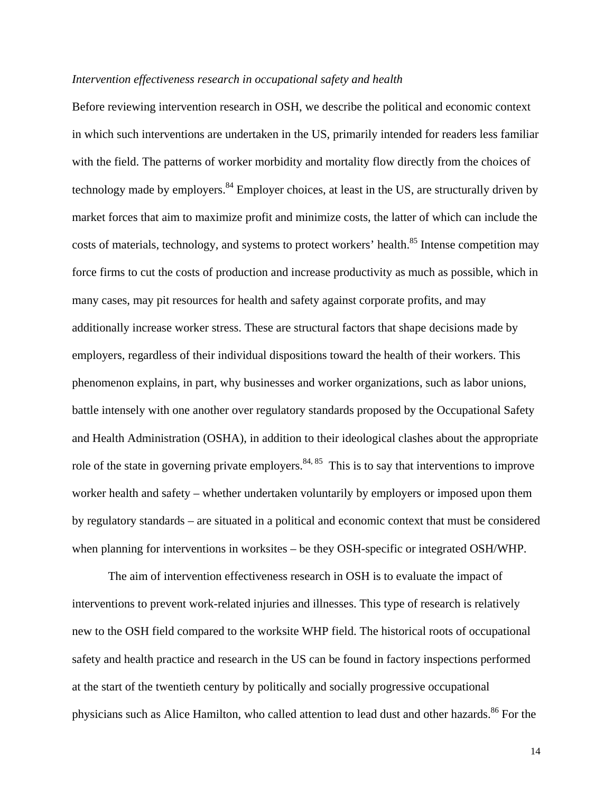### *Intervention effectiveness research in occupational safety and health*

Before reviewing intervention research in OSH, we describe the political and economic context in which such interventions are undertaken in the US, primarily intended for readers less familiar with the field. The patterns of worker morbidity and mortality flow directly from the choices of technology made by employers.<sup>84</sup> Employer choices, at least in the US, are structurally driven by market forces that aim to maximize profit and minimize costs, the latter of which can include the costs of materials, technology, and systems to protect workers' health.<sup>85</sup> Intense competition may force firms to cut the costs of production and increase productivity as much as possible, which in many cases, may pit resources for health and safety against corporate profits, and may additionally increase worker stress. These are structural factors that shape decisions made by employers, regardless of their individual dispositions toward the health of their workers. This phenomenon explains, in part, why businesses and worker organizations, such as labor unions, battle intensely with one another over regulatory standards proposed by the Occupational Safety and Health Administration (OSHA), in addition to their ideological clashes about the appropriate role of the state in governing private employers.<sup>84, 85</sup> This is to say that interventions to improve worker health and safety – whether undertaken voluntarily by employers or imposed upon them by regulatory standards – are situated in a political and economic context that must be considered when planning for interventions in worksites – be they OSH-specific or integrated OSH/WHP.

The aim of intervention effectiveness research in OSH is to evaluate the impact of interventions to prevent work-related injuries and illnesses. This type of research is relatively new to the OSH field compared to the worksite WHP field. The historical roots of occupational safety and health practice and research in the US can be found in factory inspections performed at the start of the twentieth century by politically and socially progressive occupational physicians such as Alice Hamilton, who called attention to lead dust and other hazards.<sup>86</sup> For the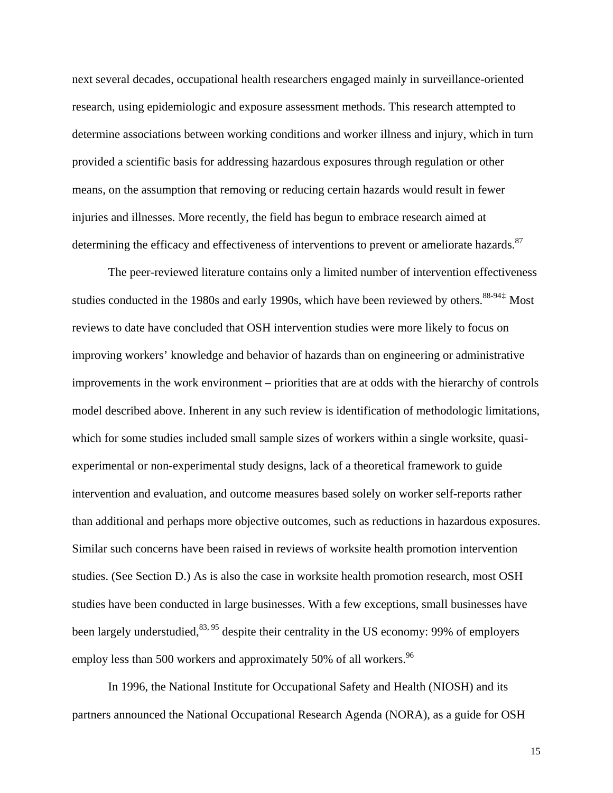<span id="page-18-0"></span>next several decades, occupational health researchers engaged mainly in surveillance-oriented research, using epidemiologic and exposure assessment methods. This research attempted to determine associations between working conditions and worker illness and injury, which in turn provided a scientific basis for addressing hazardous exposures through regulation or other means, on the assumption that removing or reducing certain hazards would result in fewer injuries and illnesses. More recently, the field has begun to embrace research aimed at determining the efficacy and effectiveness of interventions to prevent or ameliorate hazards.<sup>87</sup>

The peer-reviewed literature contains only a limited number of intervention effectiveness studies conducted in the 1980s and early 1990s, which have been reviewed by others.  $88-94\frac{1}{4}$  Most reviews to date have concluded that OSH intervention studies were more likely to focus on improving workers' knowledge and behavior of hazards than on engineering or administrative improvements in the work environment – priorities that are at odds with the hierarchy of controls model described above. Inherent in any such review is identification of methodologic limitations, which for some studies included small sample sizes of workers within a single worksite, quasiexperimental or non-experimental study designs, lack of a theoretical framework to guide intervention and evaluation, and outcome measures based solely on worker self-reports rather than additional and perhaps more objective outcomes, such as reductions in hazardous exposures. Similar such concerns have been raised in reviews of worksite health promotion intervention studies. (See Section D.) As is also the case in worksite health promotion research, most OSH studies have been conducted in large businesses. With a few exceptions, small businesses have been largely understudied, $83,95$  despite their centrality in the US economy: 99% of employers employ less than 500 workers and approximately 50% of all workers.<sup>96</sup>

In 1996, the National Institute for Occupational Safety and Health (NIOSH) and its partners announced the National Occupational Research Agenda (NORA), as a guide for OSH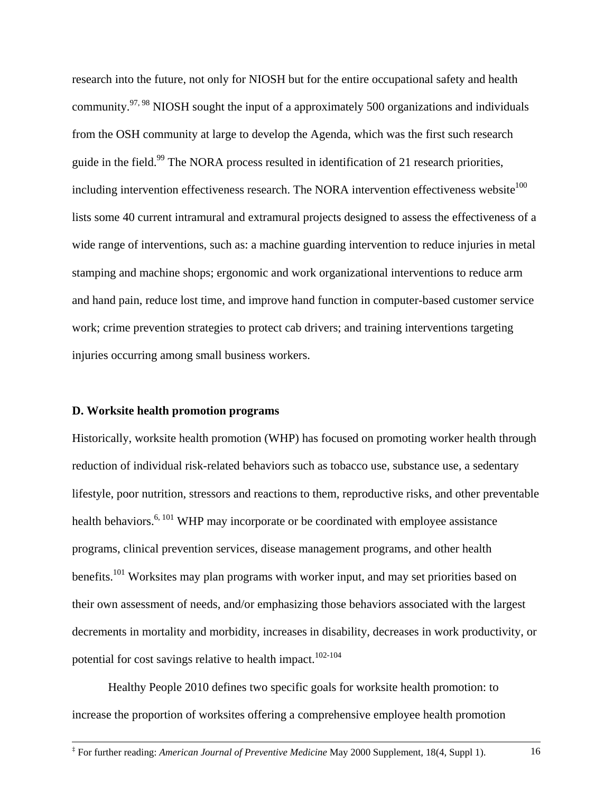research into the future, not only for NIOSH but for the entire occupational safety and health community.<sup>97, 98</sup> NIOSH sought the input of a approximately 500 organizations and individuals from the OSH community at large to develop the Agenda, which was the first such research guide in the field.<sup>99</sup> The NORA process resulted in identification of 21 research priorities, including intervention effectiveness research. The NORA intervention effectiveness website<sup>100</sup> lists some 40 current intramural and extramural projects designed to assess the effectiveness of a wide range of interventions, such as: a machine guarding intervention to reduce injuries in metal stamping and machine shops; ergonomic and work organizational interventions to reduce arm and hand pain, reduce lost time, and improve hand function in computer-based customer service work; crime prevention strategies to protect cab drivers; and training interventions targeting injuries occurring among small business workers.

### **D. Worksite health promotion programs**

1

Historically, worksite health promotion (WHP) has focused on promoting worker health through reduction of individual risk-related behaviors such as tobacco use, substance use, a sedentary lifestyle, poor nutrition, stressors and reactions to them, reproductive risks, and other preventable health behaviors.<sup> $6, 101$ </sup> WHP may incorporate or be coordinated with employee assistance programs, clinical prevention services, disease management programs, and other health benefits.<sup>101</sup> Worksites may plan programs with worker input, and may set priorities based on their own assessment of needs, and/or emphasizing those behaviors associated with the largest decrements in mortality and morbidity, increases in disability, decreases in work productivity, or potential for cost savings relative to health impact.<sup>102-104</sup>

Healthy People 2010 defines two specific goals for worksite health promotion: to increase the proportion of worksites offering a comprehensive employee health promotion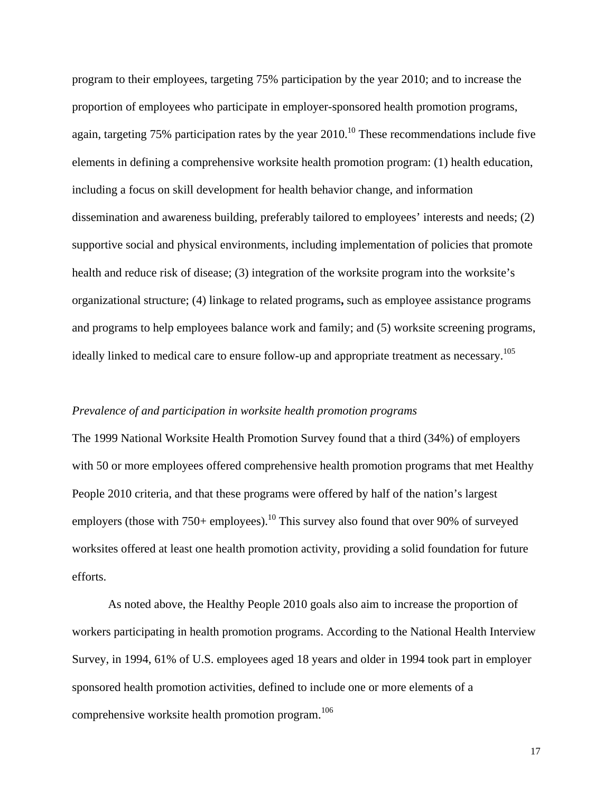program to their employees, targeting 75% participation by the year 2010; and to increase the proportion of employees who participate in employer-sponsored health promotion programs, again, targeting 75% participation rates by the year  $2010$ .<sup>10</sup> These recommendations include five elements in defining a comprehensive worksite health promotion program: (1) health education, including a focus on skill development for health behavior change, and information dissemination and awareness building, preferably tailored to employees' interests and needs; (2) supportive social and physical environments, including implementation of policies that promote health and reduce risk of disease; (3) integration of the worksite program into the worksite's organizational structure; (4) linkage to related programs**,** such as employee assistance programs and programs to help employees balance work and family; and (5) worksite screening programs, ideally linked to medical care to ensure follow-up and appropriate treatment as necessary.<sup>105</sup>

### *Prevalence of and participation in worksite health promotion programs*

The 1999 National Worksite Health Promotion Survey found that a third (34%) of employers with 50 or more employees offered comprehensive health promotion programs that met Healthy People 2010 criteria, and that these programs were offered by half of the nation's largest employers (those with  $750+$  employees).<sup>10</sup> This survey also found that over 90% of surveyed worksites offered at least one health promotion activity, providing a solid foundation for future efforts.

As noted above, the Healthy People 2010 goals also aim to increase the proportion of workers participating in health promotion programs. According to the National Health Interview Survey, in 1994, 61% of U.S. employees aged 18 years and older in 1994 took part in employer sponsored health promotion activities, defined to include one or more elements of a comprehensive worksite health promotion program.<sup>106</sup>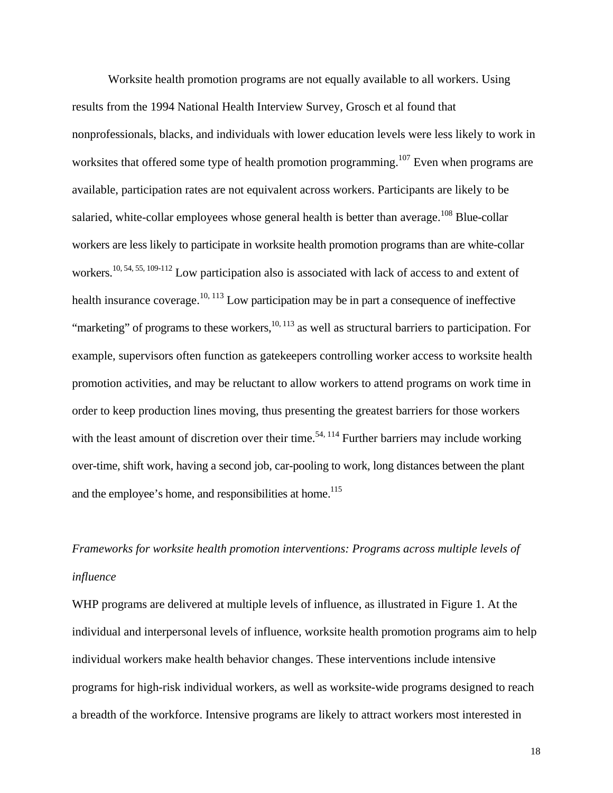Worksite health promotion programs are not equally available to all workers. Using results from the 1994 National Health Interview Survey, Grosch et al found that nonprofessionals, blacks, and individuals with lower education levels were less likely to work in worksites that offered some type of health promotion programming.<sup>107</sup> Even when programs are available, participation rates are not equivalent across workers. Participants are likely to be salaried, white-collar employees whose general health is better than average.<sup>108</sup> Blue-collar workers are less likely to participate in worksite health promotion programs than are white-collar workers.<sup>10, 54, 55, 109-112</sup> Low participation also is associated with lack of access to and extent of health insurance coverage.<sup>10, 113</sup> Low participation may be in part a consequence of ineffective "marketing" of programs to these workers, $10, 113$  as well as structural barriers to participation. For example, supervisors often function as gatekeepers controlling worker access to worksite health promotion activities, and may be reluctant to allow workers to attend programs on work time in order to keep production lines moving, thus presenting the greatest barriers for those workers with the least amount of discretion over their time.<sup>54, 114</sup> Further barriers may include working over-time, shift work, having a second job, car-pooling to work, long distances between the plant and the employee's home, and responsibilities at home.<sup>115</sup>

# *Frameworks for worksite health promotion interventions: Programs across multiple levels of influence*

WHP programs are delivered at multiple levels of influence, as illustrated in Figure 1. At the individual and interpersonal levels of influence, worksite health promotion programs aim to help individual workers make health behavior changes. These interventions include intensive programs for high-risk individual workers, as well as worksite-wide programs designed to reach a breadth of the workforce. Intensive programs are likely to attract workers most interested in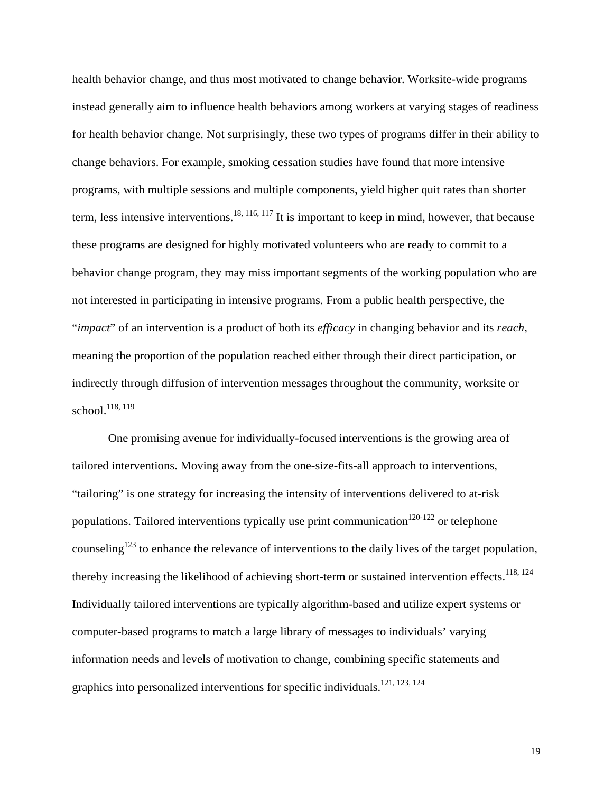health behavior change, and thus most motivated to change behavior. Worksite-wide programs instead generally aim to influence health behaviors among workers at varying stages of readiness for health behavior change. Not surprisingly, these two types of programs differ in their ability to change behaviors. For example, smoking cessation studies have found that more intensive programs, with multiple sessions and multiple components, yield higher quit rates than shorter term, less intensive interventions.<sup>18, 116, 117</sup> It is important to keep in mind, however, that because these programs are designed for highly motivated volunteers who are ready to commit to a behavior change program, they may miss important segments of the working population who are not interested in participating in intensive programs. From a public health perspective, the "*impact*" of an intervention is a product of both its *efficacy* in changing behavior and its *reach,*  meaning the proportion of the population reached either through their direct participation, or indirectly through diffusion of intervention messages throughout the community, worksite or school.<sup>118, 119</sup>

One promising avenue for individually-focused interventions is the growing area of tailored interventions. Moving away from the one-size-fits-all approach to interventions, "tailoring" is one strategy for increasing the intensity of interventions delivered to at-risk populations. Tailored interventions typically use print communication<sup>120-122</sup> or telephone counseling<sup>123</sup> to enhance the relevance of interventions to the daily lives of the target population, thereby increasing the likelihood of achieving short-term or sustained intervention effects.<sup>118, 124</sup> Individually tailored interventions are typically algorithm-based and utilize expert systems or computer-based programs to match a large library of messages to individuals' varying information needs and levels of motivation to change, combining specific statements and graphics into personalized interventions for specific individuals.121, 123, 124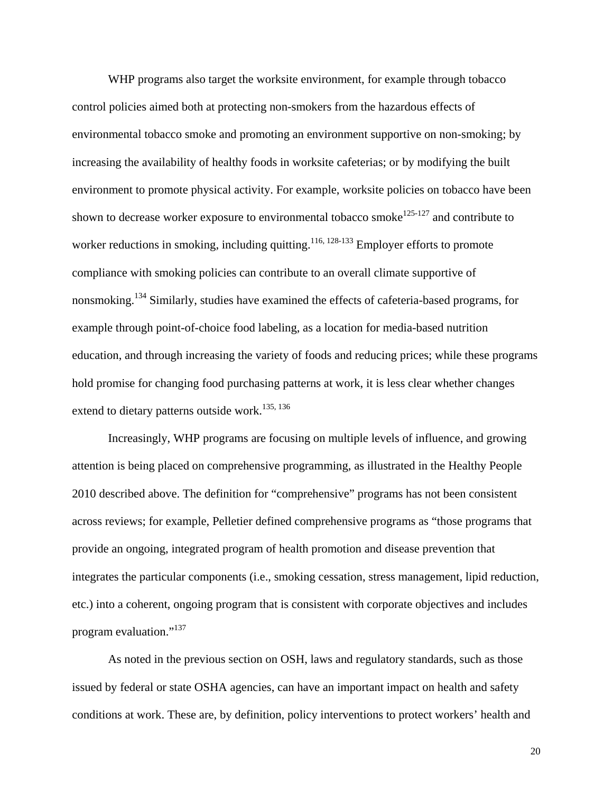WHP programs also target the worksite environment, for example through tobacco control policies aimed both at protecting non-smokers from the hazardous effects of environmental tobacco smoke and promoting an environment supportive on non-smoking; by increasing the availability of healthy foods in worksite cafeterias; or by modifying the built environment to promote physical activity. For example, worksite policies on tobacco have been shown to decrease worker exposure to environmental tobacco smoke<sup>125-127</sup> and contribute to worker reductions in smoking, including quitting.<sup>116, 128-133</sup> Employer efforts to promote compliance with smoking policies can contribute to an overall climate supportive of nonsmoking.134 Similarly, studies have examined the effects of cafeteria-based programs, for example through point-of-choice food labeling, as a location for media-based nutrition education, and through increasing the variety of foods and reducing prices; while these programs hold promise for changing food purchasing patterns at work, it is less clear whether changes extend to dietary patterns outside work.<sup>135, 136</sup>

Increasingly, WHP programs are focusing on multiple levels of influence, and growing attention is being placed on comprehensive programming, as illustrated in the Healthy People 2010 described above. The definition for "comprehensive" programs has not been consistent across reviews; for example, Pelletier defined comprehensive programs as "those programs that provide an ongoing, integrated program of health promotion and disease prevention that integrates the particular components (i.e., smoking cessation, stress management, lipid reduction, etc.) into a coherent, ongoing program that is consistent with corporate objectives and includes program evaluation."<sup>137</sup>

As noted in the previous section on OSH, laws and regulatory standards, such as those issued by federal or state OSHA agencies, can have an important impact on health and safety conditions at work. These are, by definition, policy interventions to protect workers' health and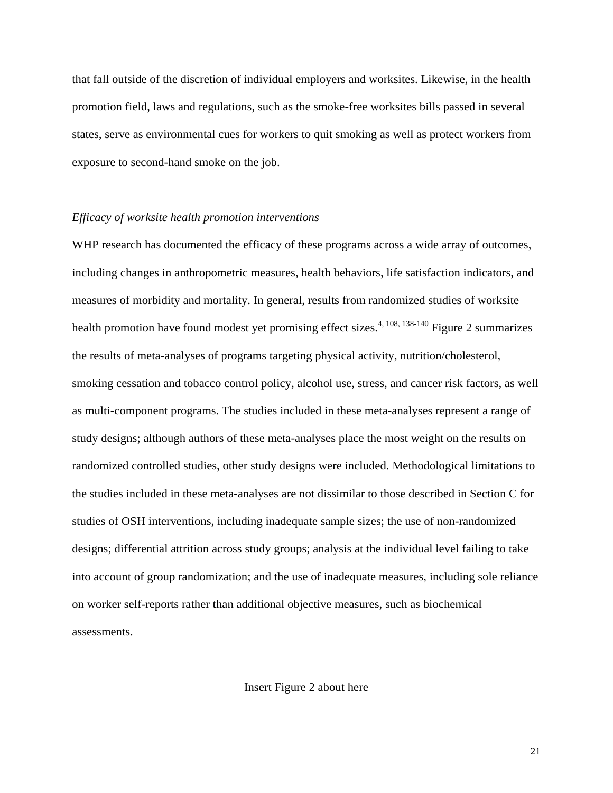that fall outside of the discretion of individual employers and worksites. Likewise, in the health promotion field, laws and regulations, such as the smoke-free worksites bills passed in several states, serve as environmental cues for workers to quit smoking as well as protect workers from exposure to second-hand smoke on the job.

### *Efficacy of worksite health promotion interventions*

WHP research has documented the efficacy of these programs across a wide array of outcomes, including changes in anthropometric measures, health behaviors, life satisfaction indicators, and measures of morbidity and mortality. In general, results from randomized studies of worksite health promotion have found modest yet promising effect sizes.<sup>4, 108, 138-140</sup> Figure 2 summarizes the results of meta-analyses of programs targeting physical activity, nutrition/cholesterol, smoking cessation and tobacco control policy, alcohol use, stress, and cancer risk factors, as well as multi-component programs. The studies included in these meta-analyses represent a range of study designs; although authors of these meta-analyses place the most weight on the results on randomized controlled studies, other study designs were included. Methodological limitations to the studies included in these meta-analyses are not dissimilar to those described in Section C for studies of OSH interventions, including inadequate sample sizes; the use of non-randomized designs; differential attrition across study groups; analysis at the individual level failing to take into account of group randomization; and the use of inadequate measures, including sole reliance on worker self-reports rather than additional objective measures, such as biochemical assessments.

Insert Figure 2 about here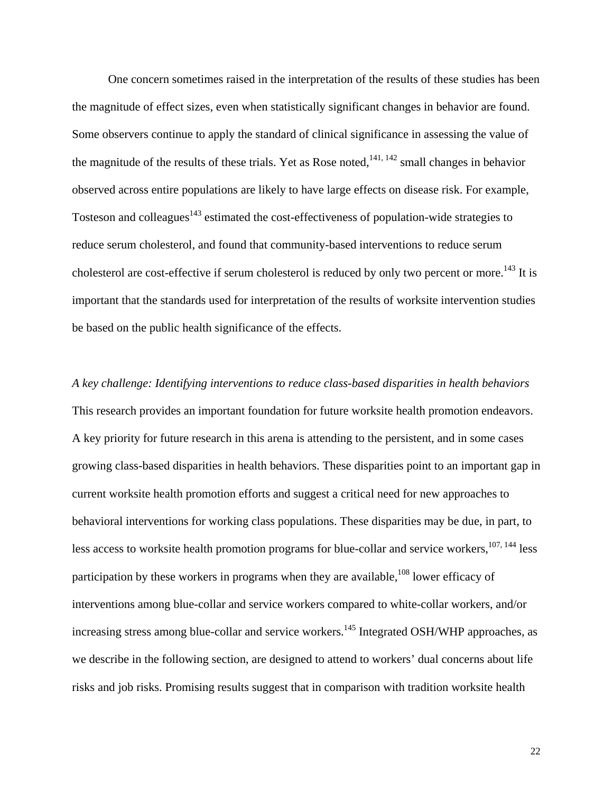One concern sometimes raised in the interpretation of the results of these studies has been the magnitude of effect sizes, even when statistically significant changes in behavior are found. Some observers continue to apply the standard of clinical significance in assessing the value of the magnitude of the results of these trials. Yet as Rose noted,  $141, 142$  small changes in behavior observed across entire populations are likely to have large effects on disease risk. For example, Tosteson and colleagues<sup>143</sup> estimated the cost-effectiveness of population-wide strategies to reduce serum cholesterol, and found that community-based interventions to reduce serum cholesterol are cost-effective if serum cholesterol is reduced by only two percent or more.<sup>143</sup> It is important that the standards used for interpretation of the results of worksite intervention studies be based on the public health significance of the effects.

*A key challenge: Identifying interventions to reduce class-based disparities in health behaviors*  This research provides an important foundation for future worksite health promotion endeavors. A key priority for future research in this arena is attending to the persistent, and in some cases growing class-based disparities in health behaviors. These disparities point to an important gap in current worksite health promotion efforts and suggest a critical need for new approaches to behavioral interventions for working class populations. These disparities may be due, in part, to less access to worksite health promotion programs for blue-collar and service workers, $107, 144$  less participation by these workers in programs when they are available,  $108$  lower efficacy of interventions among blue-collar and service workers compared to white-collar workers, and/or increasing stress among blue-collar and service workers.<sup>145</sup> Integrated OSH/WHP approaches, as we describe in the following section, are designed to attend to workers' dual concerns about life risks and job risks. Promising results suggest that in comparison with tradition worksite health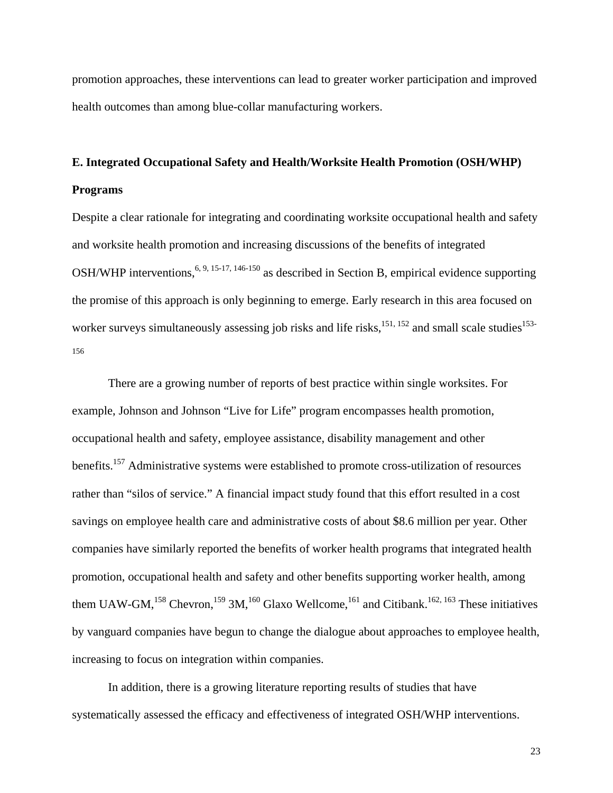promotion approaches, these interventions can lead to greater worker participation and improved health outcomes than among blue-collar manufacturing workers.

### **E. Integrated Occupational Safety and Health/Worksite Health Promotion (OSH/WHP)**

### **Programs**

Despite a clear rationale for integrating and coordinating worksite occupational health and safety and worksite health promotion and increasing discussions of the benefits of integrated OSH/WHP interventions,  $6, 9, 15-17, 146-150$  as described in Section B, empirical evidence supporting the promise of this approach is only beginning to emerge. Early research in this area focused on worker surveys simultaneously assessing job risks and life risks, $151, 152$  and small scale studies<sup>153-</sup> 156

There are a growing number of reports of best practice within single worksites. For example, Johnson and Johnson "Live for Life" program encompasses health promotion, occupational health and safety, employee assistance, disability management and other benefits.<sup>157</sup> Administrative systems were established to promote cross-utilization of resources rather than "silos of service." A financial impact study found that this effort resulted in a cost savings on employee health care and administrative costs of about \$8.6 million per year. Other companies have similarly reported the benefits of worker health programs that integrated health promotion, occupational health and safety and other benefits supporting worker health, among them UAW-GM,<sup>158</sup> Chevron,<sup>159</sup> 3M,<sup>160</sup> Glaxo Wellcome,<sup>161</sup> and Citibank.<sup>162, 163</sup> These initiatives by vanguard companies have begun to change the dialogue about approaches to employee health, increasing to focus on integration within companies.

In addition, there is a growing literature reporting results of studies that have systematically assessed the efficacy and effectiveness of integrated OSH/WHP interventions.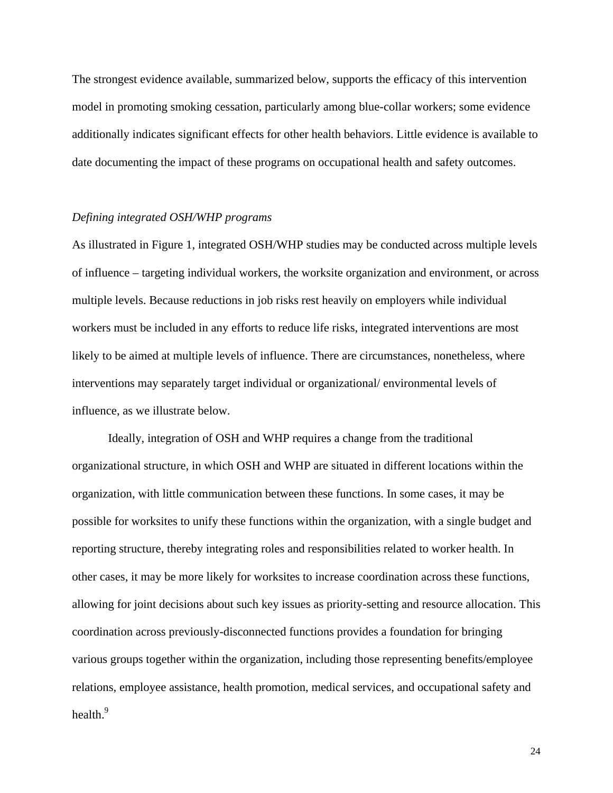The strongest evidence available, summarized below, supports the efficacy of this intervention model in promoting smoking cessation, particularly among blue-collar workers; some evidence additionally indicates significant effects for other health behaviors. Little evidence is available to date documenting the impact of these programs on occupational health and safety outcomes.

### *Defining integrated OSH/WHP programs*

As illustrated in Figure 1, integrated OSH/WHP studies may be conducted across multiple levels of influence – targeting individual workers, the worksite organization and environment, or across multiple levels. Because reductions in job risks rest heavily on employers while individual workers must be included in any efforts to reduce life risks, integrated interventions are most likely to be aimed at multiple levels of influence. There are circumstances, nonetheless, where interventions may separately target individual or organizational/ environmental levels of influence, as we illustrate below.

Ideally, integration of OSH and WHP requires a change from the traditional organizational structure, in which OSH and WHP are situated in different locations within the organization, with little communication between these functions. In some cases, it may be possible for worksites to unify these functions within the organization, with a single budget and reporting structure, thereby integrating roles and responsibilities related to worker health. In other cases, it may be more likely for worksites to increase coordination across these functions, allowing for joint decisions about such key issues as priority-setting and resource allocation. This coordination across previously-disconnected functions provides a foundation for bringing various groups together within the organization, including those representing benefits/employee relations, employee assistance, health promotion, medical services, and occupational safety and health.<sup>9</sup>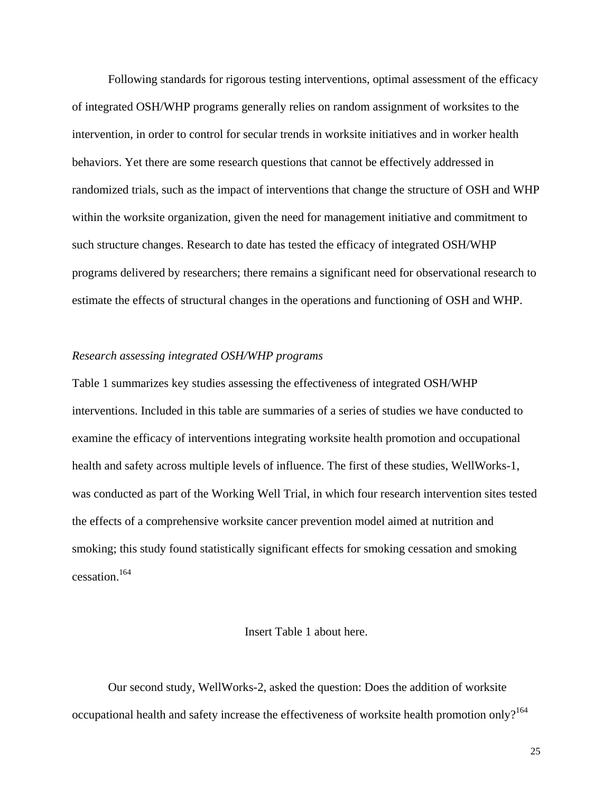Following standards for rigorous testing interventions, optimal assessment of the efficacy of integrated OSH/WHP programs generally relies on random assignment of worksites to the intervention, in order to control for secular trends in worksite initiatives and in worker health behaviors. Yet there are some research questions that cannot be effectively addressed in randomized trials, such as the impact of interventions that change the structure of OSH and WHP within the worksite organization, given the need for management initiative and commitment to such structure changes. Research to date has tested the efficacy of integrated OSH/WHP programs delivered by researchers; there remains a significant need for observational research to estimate the effects of structural changes in the operations and functioning of OSH and WHP.

### *Research assessing integrated OSH/WHP programs*

Table 1 summarizes key studies assessing the effectiveness of integrated OSH/WHP interventions. Included in this table are summaries of a series of studies we have conducted to examine the efficacy of interventions integrating worksite health promotion and occupational health and safety across multiple levels of influence. The first of these studies, WellWorks-1, was conducted as part of the Working Well Trial, in which four research intervention sites tested the effects of a comprehensive worksite cancer prevention model aimed at nutrition and smoking; this study found statistically significant effects for smoking cessation and smoking cessation.164

### Insert Table 1 about here.

Our second study, WellWorks-2, asked the question: Does the addition of worksite occupational health and safety increase the effectiveness of worksite health promotion only?<sup>164</sup>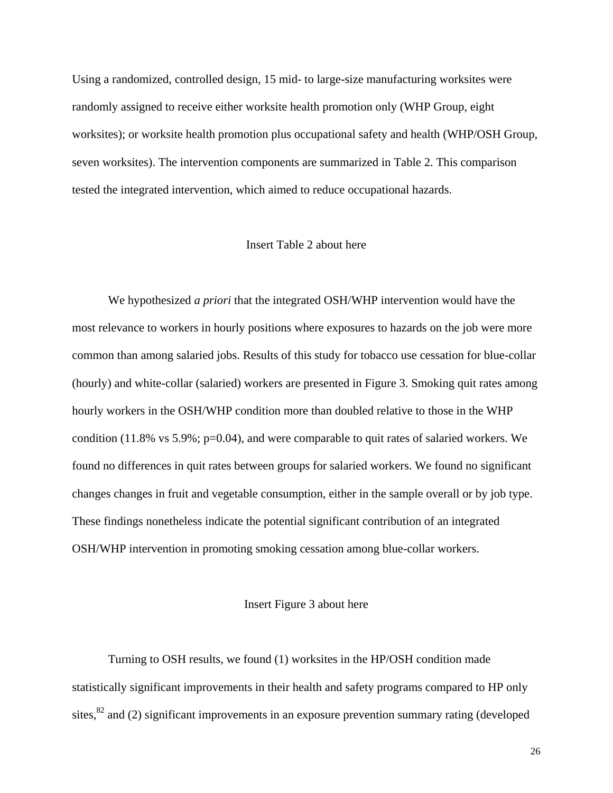Using a randomized, controlled design, 15 mid- to large-size manufacturing worksites were randomly assigned to receive either worksite health promotion only (WHP Group, eight worksites); or worksite health promotion plus occupational safety and health (WHP/OSH Group, seven worksites). The intervention components are summarized in Table 2. This comparison tested the integrated intervention, which aimed to reduce occupational hazards.

### Insert Table 2 about here

We hypothesized *a priori* that the integrated OSH/WHP intervention would have the most relevance to workers in hourly positions where exposures to hazards on the job were more common than among salaried jobs. Results of this study for tobacco use cessation for blue-collar (hourly) and white-collar (salaried) workers are presented in Figure 3. Smoking quit rates among hourly workers in the OSH/WHP condition more than doubled relative to those in the WHP condition (11.8% vs 5.9%; p=0.04), and were comparable to quit rates of salaried workers. We found no differences in quit rates between groups for salaried workers. We found no significant changes changes in fruit and vegetable consumption, either in the sample overall or by job type. These findings nonetheless indicate the potential significant contribution of an integrated OSH/WHP intervention in promoting smoking cessation among blue-collar workers.

### Insert Figure 3 about here

Turning to OSH results, we found (1) worksites in the HP/OSH condition made statistically significant improvements in their health and safety programs compared to HP only sites, $82$  and (2) significant improvements in an exposure prevention summary rating (developed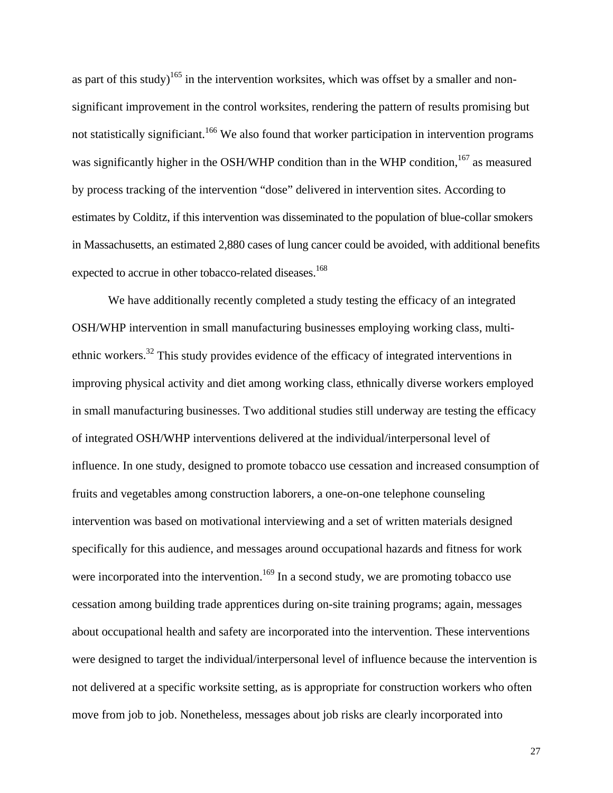as part of this study)<sup>165</sup> in the intervention worksites, which was offset by a smaller and nonsignificant improvement in the control worksites, rendering the pattern of results promising but not statistically significiant.<sup>166</sup> We also found that worker participation in intervention programs was significantly higher in the OSH/WHP condition than in the WHP condition,<sup>167</sup> as measured by process tracking of the intervention "dose" delivered in intervention sites. According to estimates by Colditz, if this intervention was disseminated to the population of blue-collar smokers in Massachusetts, an estimated 2,880 cases of lung cancer could be avoided, with additional benefits expected to accrue in other tobacco-related diseases.<sup>168</sup>

We have additionally recently completed a study testing the efficacy of an integrated OSH/WHP intervention in small manufacturing businesses employing working class, multiethnic workers.<sup>32</sup> This study provides evidence of the efficacy of integrated interventions in improving physical activity and diet among working class, ethnically diverse workers employed in small manufacturing businesses. Two additional studies still underway are testing the efficacy of integrated OSH/WHP interventions delivered at the individual/interpersonal level of influence. In one study, designed to promote tobacco use cessation and increased consumption of fruits and vegetables among construction laborers, a one-on-one telephone counseling intervention was based on motivational interviewing and a set of written materials designed specifically for this audience, and messages around occupational hazards and fitness for work were incorporated into the intervention.<sup>169</sup> In a second study, we are promoting tobacco use cessation among building trade apprentices during on-site training programs; again, messages about occupational health and safety are incorporated into the intervention. These interventions were designed to target the individual/interpersonal level of influence because the intervention is not delivered at a specific worksite setting, as is appropriate for construction workers who often move from job to job. Nonetheless, messages about job risks are clearly incorporated into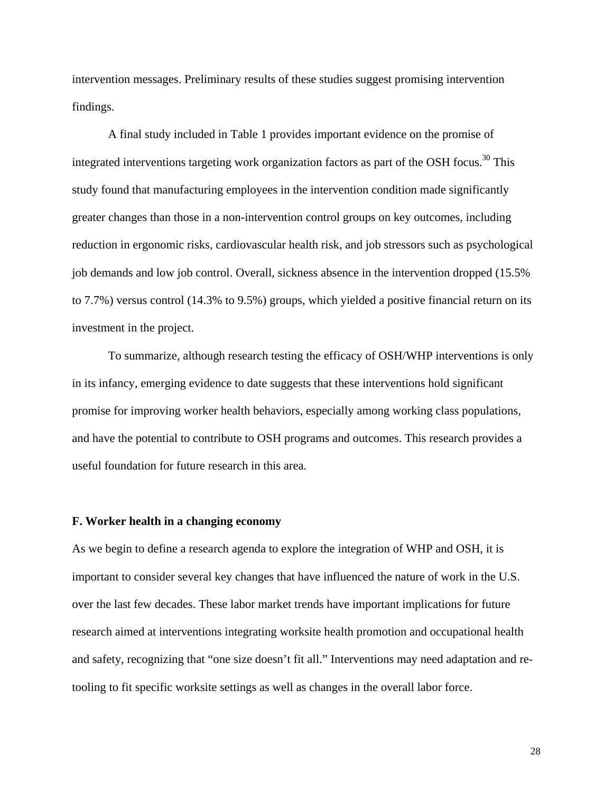intervention messages. Preliminary results of these studies suggest promising intervention findings.

A final study included in Table 1 provides important evidence on the promise of integrated interventions targeting work organization factors as part of the OSH focus.<sup>30</sup> This study found that manufacturing employees in the intervention condition made significantly greater changes than those in a non-intervention control groups on key outcomes, including reduction in ergonomic risks, cardiovascular health risk, and job stressors such as psychological job demands and low job control. Overall, sickness absence in the intervention dropped (15.5% to 7.7%) versus control (14.3% to 9.5%) groups, which yielded a positive financial return on its investment in the project.

To summarize, although research testing the efficacy of OSH/WHP interventions is only in its infancy, emerging evidence to date suggests that these interventions hold significant promise for improving worker health behaviors, especially among working class populations, and have the potential to contribute to OSH programs and outcomes. This research provides a useful foundation for future research in this area.

### **F. Worker health in a changing economy**

As we begin to define a research agenda to explore the integration of WHP and OSH, it is important to consider several key changes that have influenced the nature of work in the U.S. over the last few decades. These labor market trends have important implications for future research aimed at interventions integrating worksite health promotion and occupational health and safety, recognizing that "one size doesn't fit all." Interventions may need adaptation and retooling to fit specific worksite settings as well as changes in the overall labor force.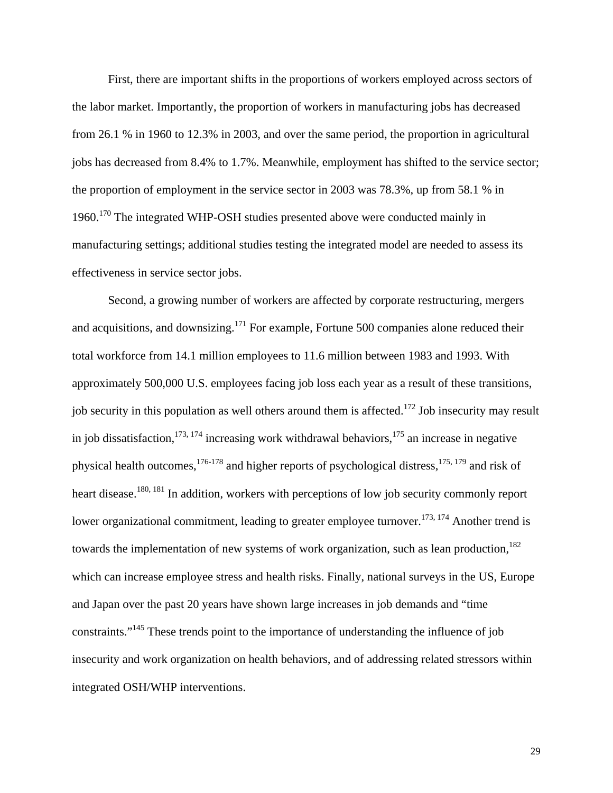First, there are important shifts in the proportions of workers employed across sectors of the labor market. Importantly, the proportion of workers in manufacturing jobs has decreased from 26.1 % in 1960 to 12.3% in 2003, and over the same period, the proportion in agricultural jobs has decreased from 8.4% to 1.7%. Meanwhile, employment has shifted to the service sector; the proportion of employment in the service sector in 2003 was 78.3%, up from 58.1 % in 1960.170 The integrated WHP-OSH studies presented above were conducted mainly in manufacturing settings; additional studies testing the integrated model are needed to assess its effectiveness in service sector jobs.

Second, a growing number of workers are affected by corporate restructuring, mergers and acquisitions, and downsizing.<sup>171</sup> For example, Fortune 500 companies alone reduced their total workforce from 14.1 million employees to 11.6 million between 1983 and 1993. With approximately 500,000 U.S. employees facing job loss each year as a result of these transitions, job security in this population as well others around them is affected.<sup>172</sup> Job insecurity may result in job dissatisfaction,  $173, 174$  increasing work withdrawal behaviors,  $175$  an increase in negative physical health outcomes,<sup>176-178</sup> and higher reports of psychological distress,<sup>175, 179</sup> and risk of heart disease.<sup>180, 181</sup> In addition, workers with perceptions of low job security commonly report lower organizational commitment, leading to greater employee turnover.<sup>173, 174</sup> Another trend is towards the implementation of new systems of work organization, such as lean production, $182$ which can increase employee stress and health risks. Finally, national surveys in the US, Europe and Japan over the past 20 years have shown large increases in job demands and "time constraints."145 These trends point to the importance of understanding the influence of job insecurity and work organization on health behaviors, and of addressing related stressors within integrated OSH/WHP interventions.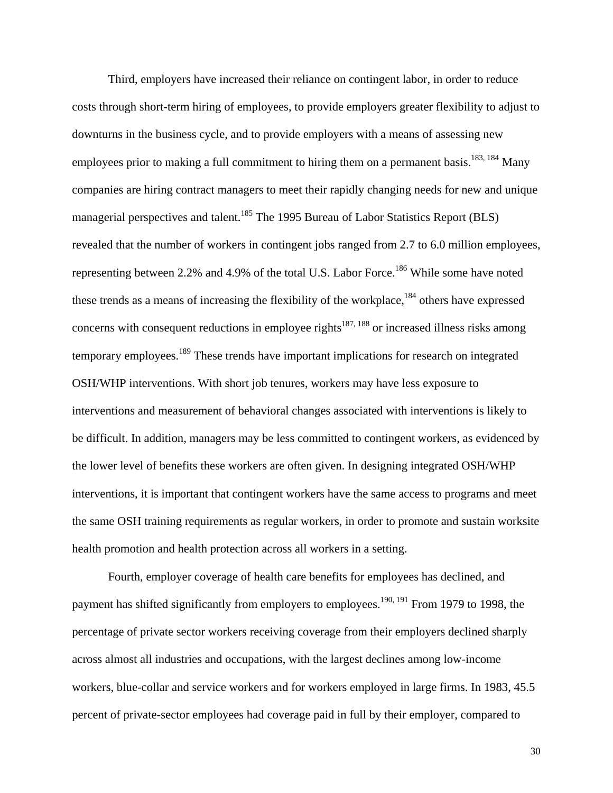Third, employers have increased their reliance on contingent labor, in order to reduce costs through short-term hiring of employees, to provide employers greater flexibility to adjust to downturns in the business cycle, and to provide employers with a means of assessing new employees prior to making a full commitment to hiring them on a permanent basis.<sup>183, 184</sup> Many companies are hiring contract managers to meet their rapidly changing needs for new and unique managerial perspectives and talent.<sup>185</sup> The 1995 Bureau of Labor Statistics Report (BLS) revealed that the number of workers in contingent jobs ranged from 2.7 to 6.0 million employees, representing between 2.2% and 4.9% of the total U.S. Labor Force.<sup>186</sup> While some have noted these trends as a means of increasing the flexibility of the workplace,<sup>184</sup> others have expressed concerns with consequent reductions in employee rights<sup>187, 188</sup> or increased illness risks among temporary employees.189 These trends have important implications for research on integrated OSH/WHP interventions. With short job tenures, workers may have less exposure to interventions and measurement of behavioral changes associated with interventions is likely to be difficult. In addition, managers may be less committed to contingent workers, as evidenced by the lower level of benefits these workers are often given. In designing integrated OSH/WHP interventions, it is important that contingent workers have the same access to programs and meet the same OSH training requirements as regular workers, in order to promote and sustain worksite health promotion and health protection across all workers in a setting.

Fourth, employer coverage of health care benefits for employees has declined, and payment has shifted significantly from employers to employees.<sup>190, 191</sup> From 1979 to 1998, the percentage of private sector workers receiving coverage from their employers declined sharply across almost all industries and occupations, with the largest declines among low-income workers, blue-collar and service workers and for workers employed in large firms. In 1983, 45.5 percent of private-sector employees had coverage paid in full by their employer, compared to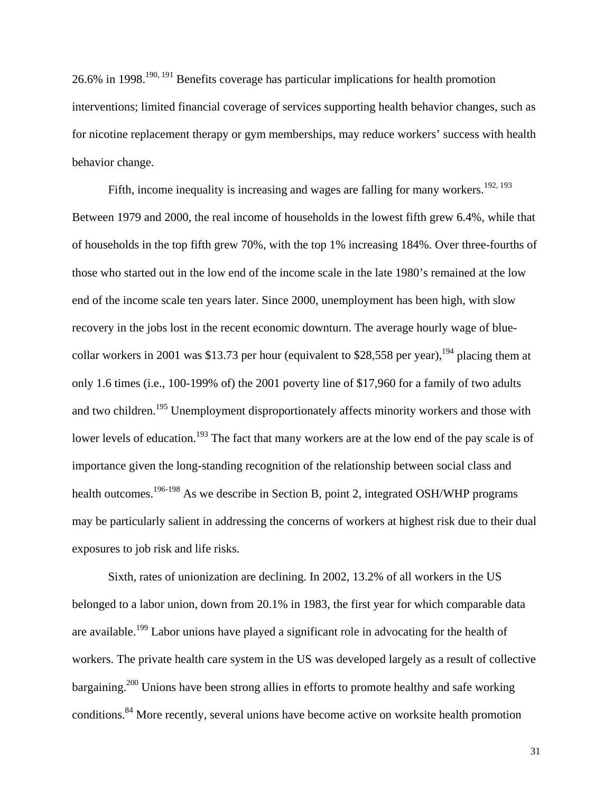26.6% in 1998.190, 191 Benefits coverage has particular implications for health promotion interventions; limited financial coverage of services supporting health behavior changes, such as for nicotine replacement therapy or gym memberships, may reduce workers' success with health behavior change.

Fifth, income inequality is increasing and wages are falling for many workers.<sup>192, 193</sup> Between 1979 and 2000, the real income of households in the lowest fifth grew 6.4%, while that of households in the top fifth grew 70%, with the top 1% increasing 184%. Over three-fourths of those who started out in the low end of the income scale in the late 1980's remained at the low end of the income scale ten years later. Since 2000, unemployment has been high, with slow recovery in the jobs lost in the recent economic downturn. The average hourly wage of bluecollar workers in 2001 was \$13.73 per hour (equivalent to \$28,558 per year), <sup>194</sup> placing them at only 1.6 times (i.e., 100-199% of) the 2001 poverty line of \$17,960 for a family of two adults and two children.<sup>195</sup> Unemployment disproportionately affects minority workers and those with lower levels of education.<sup>193</sup> The fact that many workers are at the low end of the pay scale is of importance given the long-standing recognition of the relationship between social class and health outcomes.<sup>196-198</sup> As we describe in Section B, point 2, integrated OSH/WHP programs may be particularly salient in addressing the concerns of workers at highest risk due to their dual exposures to job risk and life risks.

Sixth, rates of unionization are declining. In 2002, 13.2% of all workers in the US belonged to a labor union, down from 20.1% in 1983, the first year for which comparable data are available.<sup>199</sup> Labor unions have played a significant role in advocating for the health of workers. The private health care system in the US was developed largely as a result of collective bargaining.200 Unions have been strong allies in efforts to promote healthy and safe working conditions.<sup>84</sup> More recently, several unions have become active on worksite health promotion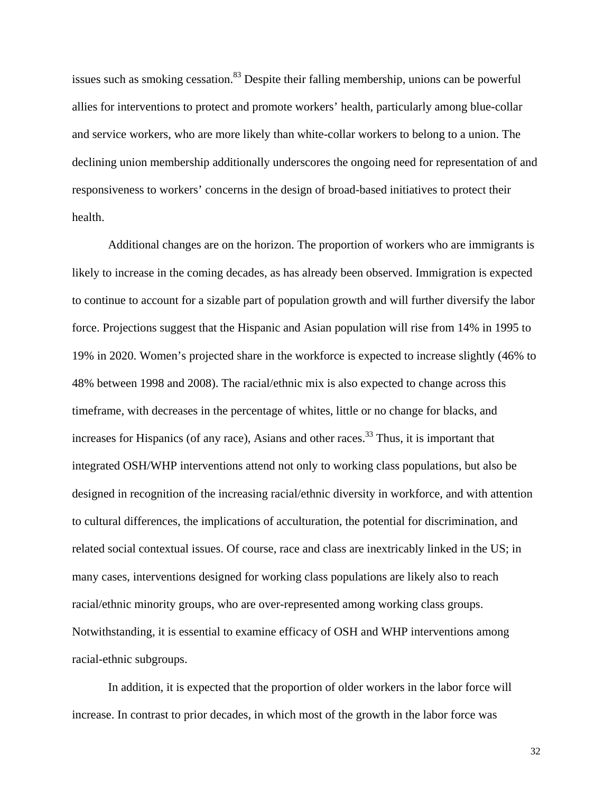issues such as smoking cessation.<sup>83</sup> Despite their falling membership, unions can be powerful allies for interventions to protect and promote workers' health, particularly among blue-collar and service workers, who are more likely than white-collar workers to belong to a union. The declining union membership additionally underscores the ongoing need for representation of and responsiveness to workers' concerns in the design of broad-based initiatives to protect their health.

Additional changes are on the horizon. The proportion of workers who are immigrants is likely to increase in the coming decades, as has already been observed. Immigration is expected to continue to account for a sizable part of population growth and will further diversify the labor force. Projections suggest that the Hispanic and Asian population will rise from 14% in 1995 to 19% in 2020. Women's projected share in the workforce is expected to increase slightly (46% to 48% between 1998 and 2008). The racial/ethnic mix is also expected to change across this timeframe, with decreases in the percentage of whites, little or no change for blacks, and increases for Hispanics (of any race), Asians and other races.<sup>33</sup> Thus, it is important that integrated OSH/WHP interventions attend not only to working class populations, but also be designed in recognition of the increasing racial/ethnic diversity in workforce, and with attention to cultural differences, the implications of acculturation, the potential for discrimination, and related social contextual issues. Of course, race and class are inextricably linked in the US; in many cases, interventions designed for working class populations are likely also to reach racial/ethnic minority groups, who are over-represented among working class groups. Notwithstanding, it is essential to examine efficacy of OSH and WHP interventions among racial-ethnic subgroups.

In addition, it is expected that the proportion of older workers in the labor force will increase. In contrast to prior decades, in which most of the growth in the labor force was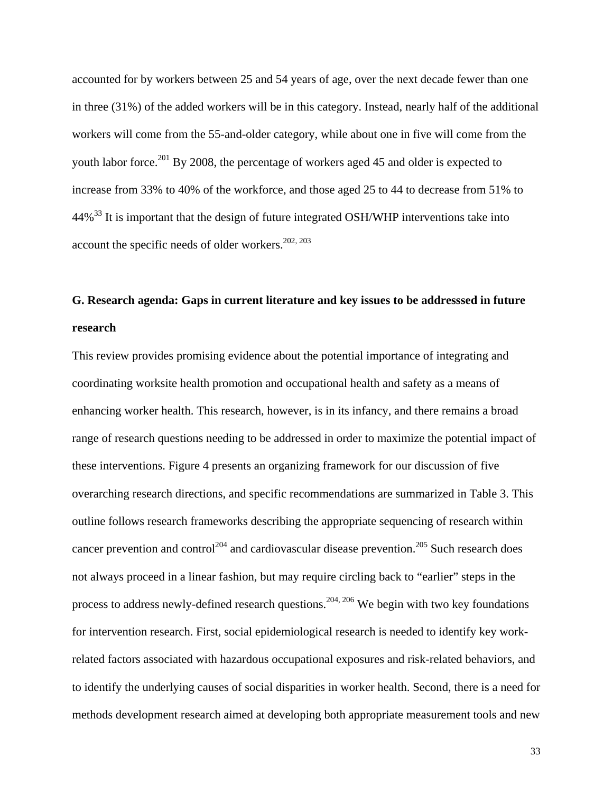accounted for by workers between 25 and 54 years of age, over the next decade fewer than one in three (31%) of the added workers will be in this category. Instead, nearly half of the additional workers will come from the 55-and-older category, while about one in five will come from the youth labor force.<sup>201</sup> By 2008, the percentage of workers aged 45 and older is expected to increase from 33% to 40% of the workforce, and those aged 25 to 44 to decrease from 51% to 44%<sup>33</sup> It is important that the design of future integrated OSH/WHP interventions take into account the specific needs of older workers. $202, 203$ 

## **G. Research agenda: Gaps in current literature and key issues to be addresssed in future research**

This review provides promising evidence about the potential importance of integrating and coordinating worksite health promotion and occupational health and safety as a means of enhancing worker health. This research, however, is in its infancy, and there remains a broad range of research questions needing to be addressed in order to maximize the potential impact of these interventions. Figure 4 presents an organizing framework for our discussion of five overarching research directions, and specific recommendations are summarized in Table 3. This outline follows research frameworks describing the appropriate sequencing of research within cancer prevention and control<sup>204</sup> and cardiovascular disease prevention.<sup>205</sup> Such research does not always proceed in a linear fashion, but may require circling back to "earlier" steps in the process to address newly-defined research questions.<sup>204, 206</sup> We begin with two key foundations for intervention research. First, social epidemiological research is needed to identify key workrelated factors associated with hazardous occupational exposures and risk-related behaviors, and to identify the underlying causes of social disparities in worker health. Second, there is a need for methods development research aimed at developing both appropriate measurement tools and new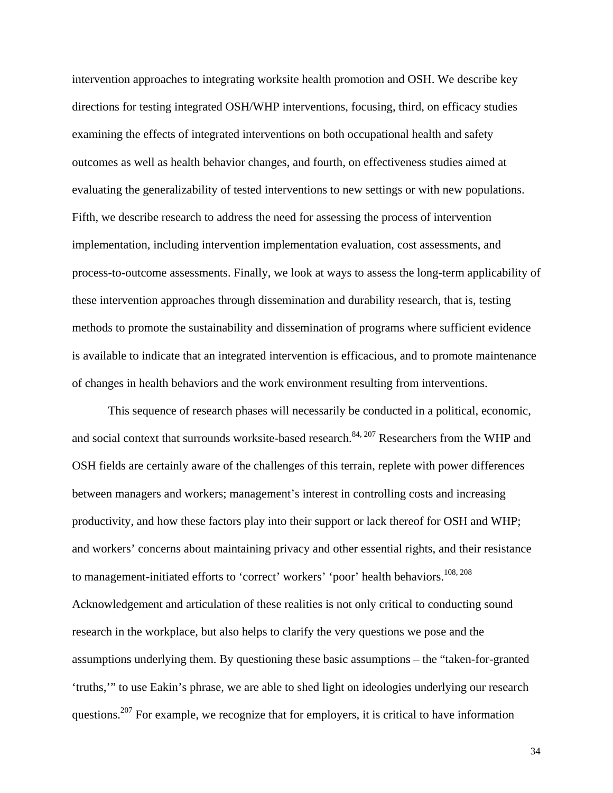intervention approaches to integrating worksite health promotion and OSH. We describe key directions for testing integrated OSH/WHP interventions, focusing, third, on efficacy studies examining the effects of integrated interventions on both occupational health and safety outcomes as well as health behavior changes, and fourth, on effectiveness studies aimed at evaluating the generalizability of tested interventions to new settings or with new populations. Fifth, we describe research to address the need for assessing the process of intervention implementation, including intervention implementation evaluation, cost assessments, and process-to-outcome assessments. Finally, we look at ways to assess the long-term applicability of these intervention approaches through dissemination and durability research, that is, testing methods to promote the sustainability and dissemination of programs where sufficient evidence is available to indicate that an integrated intervention is efficacious, and to promote maintenance of changes in health behaviors and the work environment resulting from interventions.

This sequence of research phases will necessarily be conducted in a political, economic, and social context that surrounds worksite-based research.<sup>84, 207</sup> Researchers from the WHP and OSH fields are certainly aware of the challenges of this terrain, replete with power differences between managers and workers; management's interest in controlling costs and increasing productivity, and how these factors play into their support or lack thereof for OSH and WHP; and workers' concerns about maintaining privacy and other essential rights, and their resistance to management-initiated efforts to 'correct' workers' 'poor' health behaviors.<sup>108, 208</sup> Acknowledgement and articulation of these realities is not only critical to conducting sound research in the workplace, but also helps to clarify the very questions we pose and the assumptions underlying them. By questioning these basic assumptions – the "taken-for-granted 'truths,'" to use Eakin's phrase, we are able to shed light on ideologies underlying our research questions.<sup>207</sup> For example, we recognize that for employers, it is critical to have information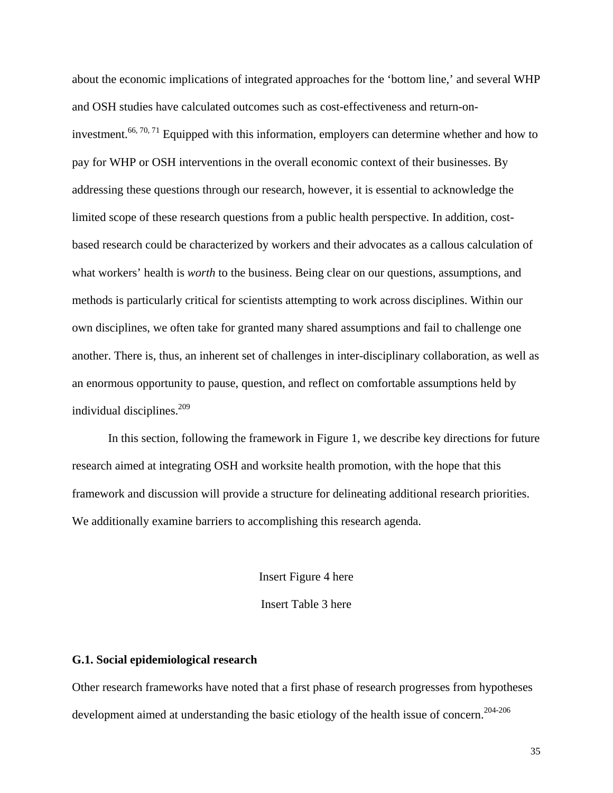about the economic implications of integrated approaches for the 'bottom line,' and several WHP and OSH studies have calculated outcomes such as cost-effectiveness and return-oninvestment.<sup>66, 70, 71</sup> Equipped with this information, employers can determine whether and how to pay for WHP or OSH interventions in the overall economic context of their businesses. By addressing these questions through our research, however, it is essential to acknowledge the limited scope of these research questions from a public health perspective. In addition, costbased research could be characterized by workers and their advocates as a callous calculation of what workers' health is *worth* to the business. Being clear on our questions, assumptions, and methods is particularly critical for scientists attempting to work across disciplines. Within our own disciplines, we often take for granted many shared assumptions and fail to challenge one another. There is, thus, an inherent set of challenges in inter-disciplinary collaboration, as well as an enormous opportunity to pause, question, and reflect on comfortable assumptions held by individual disciplines.209

In this section, following the framework in Figure 1, we describe key directions for future research aimed at integrating OSH and worksite health promotion, with the hope that this framework and discussion will provide a structure for delineating additional research priorities. We additionally examine barriers to accomplishing this research agenda.

Insert Figure 4 here

Insert Table 3 here

## **G.1. Social epidemiological research**

Other research frameworks have noted that a first phase of research progresses from hypotheses development aimed at understanding the basic etiology of the health issue of concern.<sup>204-206</sup>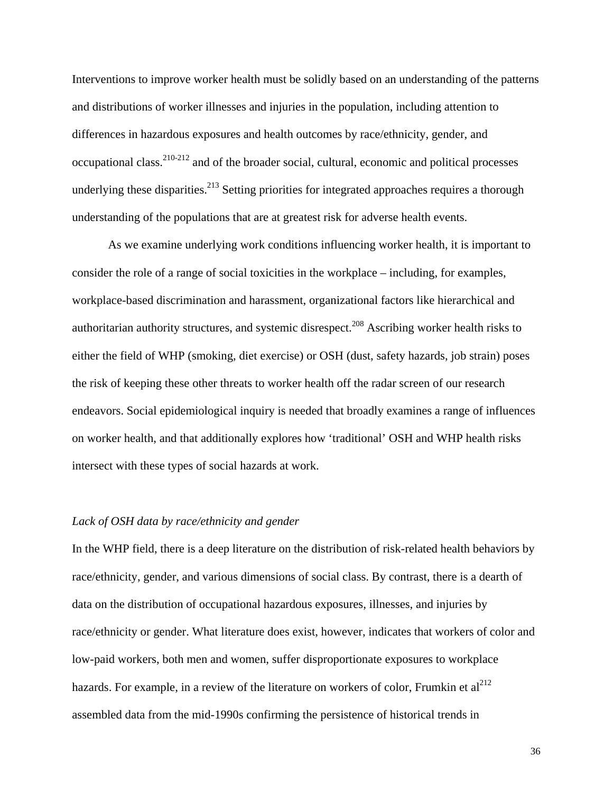Interventions to improve worker health must be solidly based on an understanding of the patterns and distributions of worker illnesses and injuries in the population, including attention to differences in hazardous exposures and health outcomes by race/ethnicity, gender, and occupational class.  $210-212$  and of the broader social, cultural, economic and political processes underlying these disparities.<sup>213</sup> Setting priorities for integrated approaches requires a thorough understanding of the populations that are at greatest risk for adverse health events.

As we examine underlying work conditions influencing worker health, it is important to consider the role of a range of social toxicities in the workplace – including, for examples, workplace-based discrimination and harassment, organizational factors like hierarchical and authoritarian authority structures, and systemic disrespect.<sup>208</sup> Ascribing worker health risks to either the field of WHP (smoking, diet exercise) or OSH (dust, safety hazards, job strain) poses the risk of keeping these other threats to worker health off the radar screen of our research endeavors. Social epidemiological inquiry is needed that broadly examines a range of influences on worker health, and that additionally explores how 'traditional' OSH and WHP health risks intersect with these types of social hazards at work.

## *Lack of OSH data by race/ethnicity and gender*

In the WHP field, there is a deep literature on the distribution of risk-related health behaviors by race/ethnicity, gender, and various dimensions of social class. By contrast, there is a dearth of data on the distribution of occupational hazardous exposures, illnesses, and injuries by race/ethnicity or gender. What literature does exist, however, indicates that workers of color and low-paid workers, both men and women, suffer disproportionate exposures to workplace hazards. For example, in a review of the literature on workers of color, Frumkin et  $al^{212}$ assembled data from the mid-1990s confirming the persistence of historical trends in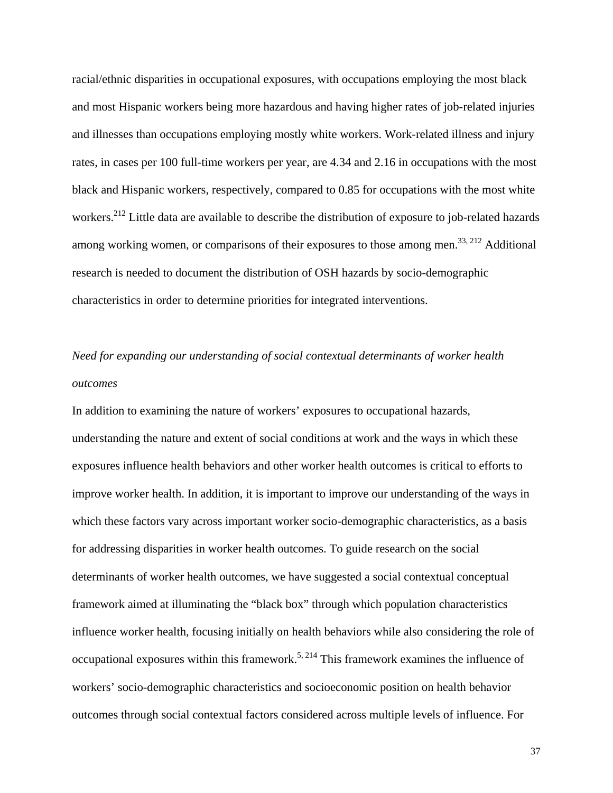racial/ethnic disparities in occupational exposures, with occupations employing the most black and most Hispanic workers being more hazardous and having higher rates of job-related injuries and illnesses than occupations employing mostly white workers. Work-related illness and injury rates, in cases per 100 full-time workers per year, are 4.34 and 2.16 in occupations with the most black and Hispanic workers, respectively, compared to 0.85 for occupations with the most white workers.<sup>212</sup> Little data are available to describe the distribution of exposure to job-related hazards among working women, or comparisons of their exposures to those among men.<sup>33, 212</sup> Additional research is needed to document the distribution of OSH hazards by socio-demographic characteristics in order to determine priorities for integrated interventions.

# *Need for expanding our understanding of social contextual determinants of worker health outcomes*

In addition to examining the nature of workers' exposures to occupational hazards, understanding the nature and extent of social conditions at work and the ways in which these exposures influence health behaviors and other worker health outcomes is critical to efforts to improve worker health. In addition, it is important to improve our understanding of the ways in which these factors vary across important worker socio-demographic characteristics, as a basis for addressing disparities in worker health outcomes. To guide research on the social determinants of worker health outcomes, we have suggested a social contextual conceptual framework aimed at illuminating the "black box" through which population characteristics influence worker health, focusing initially on health behaviors while also considering the role of occupational exposures within this framework.<sup>5, 214</sup> This framework examines the influence of workers' socio-demographic characteristics and socioeconomic position on health behavior outcomes through social contextual factors considered across multiple levels of influence. For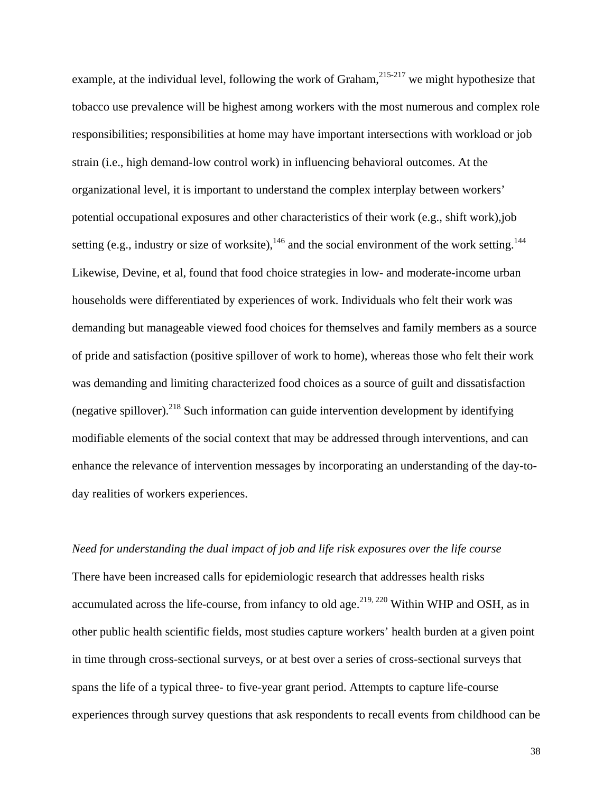example, at the individual level, following the work of Graham,  $215-217$  we might hypothesize that tobacco use prevalence will be highest among workers with the most numerous and complex role responsibilities; responsibilities at home may have important intersections with workload or job strain (i.e., high demand-low control work) in influencing behavioral outcomes. At the organizational level, it is important to understand the complex interplay between workers' potential occupational exposures and other characteristics of their work (e.g., shift work),job setting (e.g., industry or size of worksite),<sup>146</sup> and the social environment of the work setting.<sup>144</sup> Likewise, Devine, et al, found that food choice strategies in low- and moderate-income urban households were differentiated by experiences of work. Individuals who felt their work was demanding but manageable viewed food choices for themselves and family members as a source of pride and satisfaction (positive spillover of work to home), whereas those who felt their work was demanding and limiting characterized food choices as a source of guilt and dissatisfaction (negative spillover).<sup>218</sup> Such information can guide intervention development by identifying modifiable elements of the social context that may be addressed through interventions, and can enhance the relevance of intervention messages by incorporating an understanding of the day-today realities of workers experiences.

## *Need for understanding the dual impact of job and life risk exposures over the life course*

There have been increased calls for epidemiologic research that addresses health risks accumulated across the life-course, from infancy to old age.<sup>219, 220</sup> Within WHP and OSH, as in other public health scientific fields, most studies capture workers' health burden at a given point in time through cross-sectional surveys, or at best over a series of cross-sectional surveys that spans the life of a typical three- to five-year grant period. Attempts to capture life-course experiences through survey questions that ask respondents to recall events from childhood can be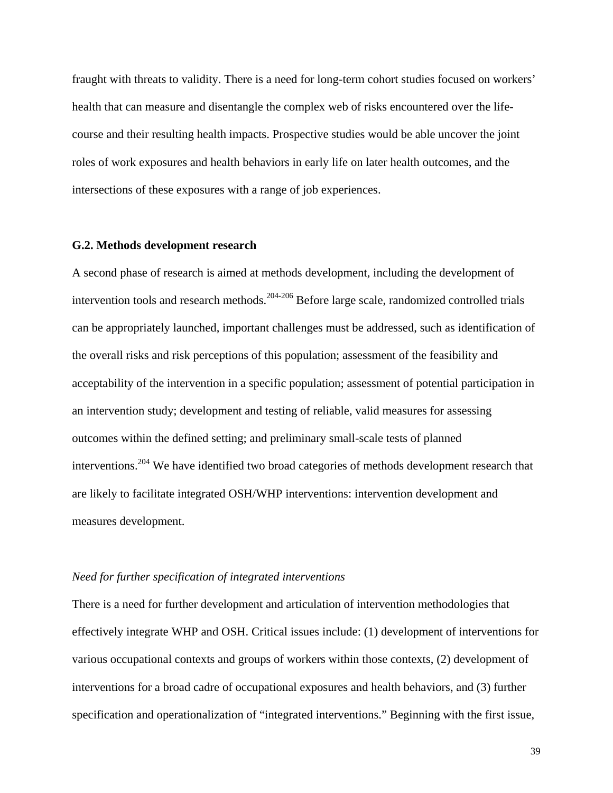fraught with threats to validity. There is a need for long-term cohort studies focused on workers' health that can measure and disentangle the complex web of risks encountered over the lifecourse and their resulting health impacts. Prospective studies would be able uncover the joint roles of work exposures and health behaviors in early life on later health outcomes, and the intersections of these exposures with a range of job experiences.

## **G.2. Methods development research**

A second phase of research is aimed at methods development, including the development of intervention tools and research methods. $204-206$  Before large scale, randomized controlled trials can be appropriately launched, important challenges must be addressed, such as identification of the overall risks and risk perceptions of this population; assessment of the feasibility and acceptability of the intervention in a specific population; assessment of potential participation in an intervention study; development and testing of reliable, valid measures for assessing outcomes within the defined setting; and preliminary small-scale tests of planned interventions.204 We have identified two broad categories of methods development research that are likely to facilitate integrated OSH/WHP interventions: intervention development and measures development.

#### *Need for further specification of integrated interventions*

There is a need for further development and articulation of intervention methodologies that effectively integrate WHP and OSH. Critical issues include: (1) development of interventions for various occupational contexts and groups of workers within those contexts, (2) development of interventions for a broad cadre of occupational exposures and health behaviors, and (3) further specification and operationalization of "integrated interventions." Beginning with the first issue,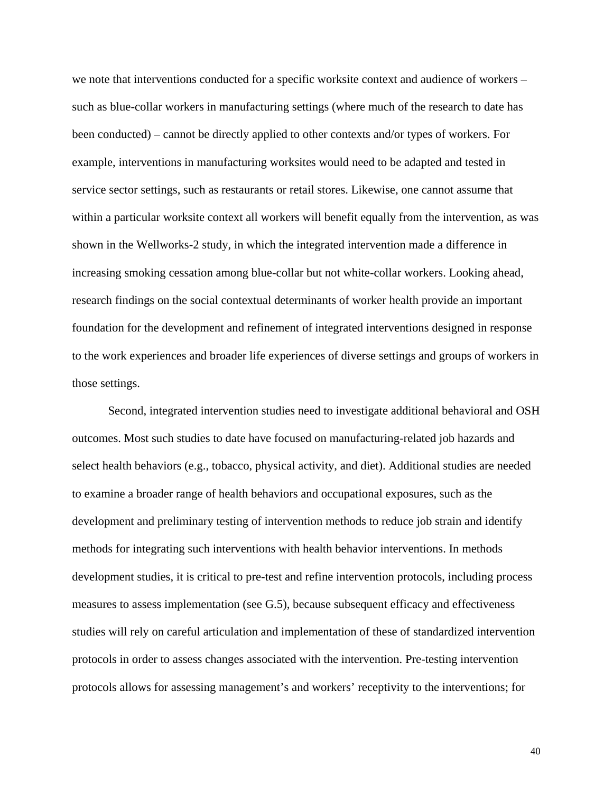we note that interventions conducted for a specific worksite context and audience of workers – such as blue-collar workers in manufacturing settings (where much of the research to date has been conducted) – cannot be directly applied to other contexts and/or types of workers. For example, interventions in manufacturing worksites would need to be adapted and tested in service sector settings, such as restaurants or retail stores. Likewise, one cannot assume that within a particular worksite context all workers will benefit equally from the intervention, as was shown in the Wellworks-2 study, in which the integrated intervention made a difference in increasing smoking cessation among blue-collar but not white-collar workers. Looking ahead, research findings on the social contextual determinants of worker health provide an important foundation for the development and refinement of integrated interventions designed in response to the work experiences and broader life experiences of diverse settings and groups of workers in those settings.

Second, integrated intervention studies need to investigate additional behavioral and OSH outcomes. Most such studies to date have focused on manufacturing-related job hazards and select health behaviors (e.g., tobacco, physical activity, and diet). Additional studies are needed to examine a broader range of health behaviors and occupational exposures, such as the development and preliminary testing of intervention methods to reduce job strain and identify methods for integrating such interventions with health behavior interventions. In methods development studies, it is critical to pre-test and refine intervention protocols, including process measures to assess implementation (see G.5), because subsequent efficacy and effectiveness studies will rely on careful articulation and implementation of these of standardized intervention protocols in order to assess changes associated with the intervention. Pre-testing intervention protocols allows for assessing management's and workers' receptivity to the interventions; for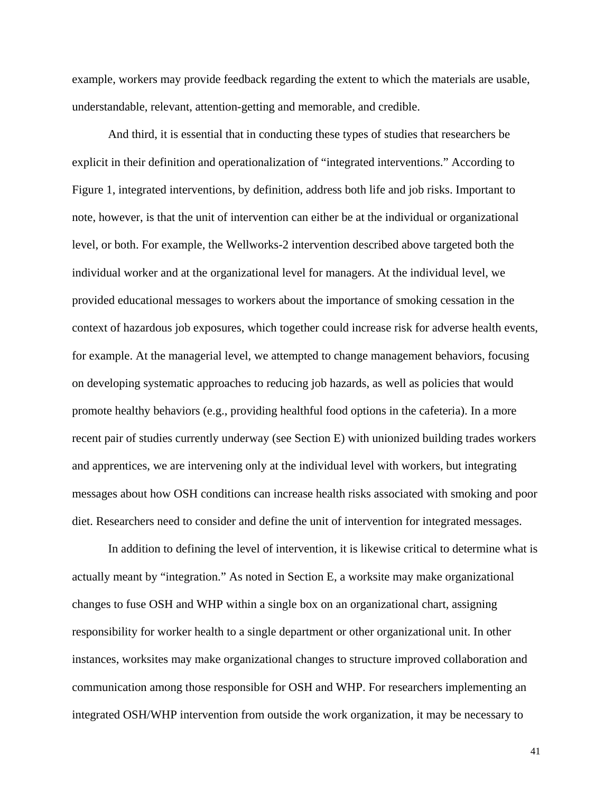example, workers may provide feedback regarding the extent to which the materials are usable, understandable, relevant, attention-getting and memorable, and credible.

And third, it is essential that in conducting these types of studies that researchers be explicit in their definition and operationalization of "integrated interventions." According to Figure 1, integrated interventions, by definition, address both life and job risks. Important to note, however, is that the unit of intervention can either be at the individual or organizational level, or both. For example, the Wellworks-2 intervention described above targeted both the individual worker and at the organizational level for managers. At the individual level, we provided educational messages to workers about the importance of smoking cessation in the context of hazardous job exposures, which together could increase risk for adverse health events, for example. At the managerial level, we attempted to change management behaviors, focusing on developing systematic approaches to reducing job hazards, as well as policies that would promote healthy behaviors (e.g., providing healthful food options in the cafeteria). In a more recent pair of studies currently underway (see Section E) with unionized building trades workers and apprentices, we are intervening only at the individual level with workers, but integrating messages about how OSH conditions can increase health risks associated with smoking and poor diet. Researchers need to consider and define the unit of intervention for integrated messages.

In addition to defining the level of intervention, it is likewise critical to determine what is actually meant by "integration." As noted in Section E, a worksite may make organizational changes to fuse OSH and WHP within a single box on an organizational chart, assigning responsibility for worker health to a single department or other organizational unit. In other instances, worksites may make organizational changes to structure improved collaboration and communication among those responsible for OSH and WHP. For researchers implementing an integrated OSH/WHP intervention from outside the work organization, it may be necessary to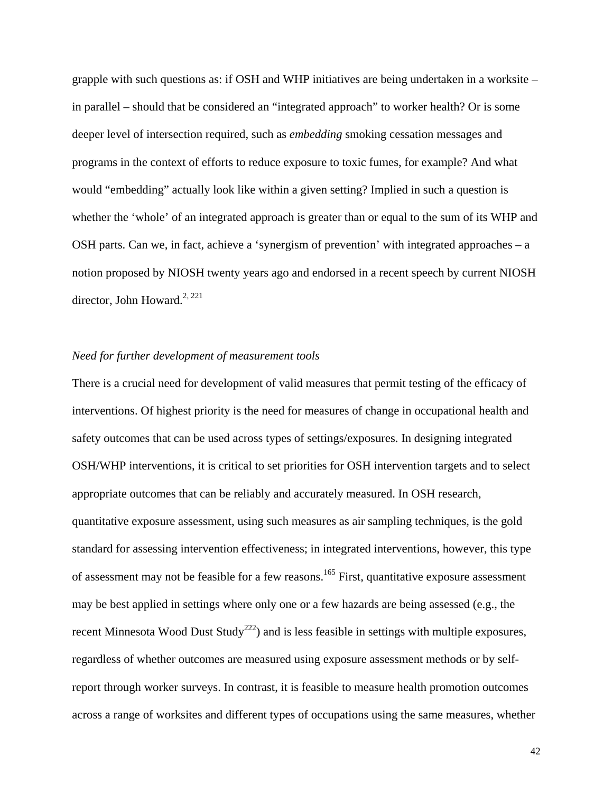grapple with such questions as: if OSH and WHP initiatives are being undertaken in a worksite – in parallel – should that be considered an "integrated approach" to worker health? Or is some deeper level of intersection required, such as *embedding* smoking cessation messages and programs in the context of efforts to reduce exposure to toxic fumes, for example? And what would "embedding" actually look like within a given setting? Implied in such a question is whether the 'whole' of an integrated approach is greater than or equal to the sum of its WHP and OSH parts. Can we, in fact, achieve a 'synergism of prevention' with integrated approaches – a notion proposed by NIOSH twenty years ago and endorsed in a recent speech by current NIOSH director, John Howard.<sup>2, 221</sup>

## *Need for further development of measurement tools*

There is a crucial need for development of valid measures that permit testing of the efficacy of interventions. Of highest priority is the need for measures of change in occupational health and safety outcomes that can be used across types of settings/exposures. In designing integrated OSH/WHP interventions, it is critical to set priorities for OSH intervention targets and to select appropriate outcomes that can be reliably and accurately measured. In OSH research, quantitative exposure assessment, using such measures as air sampling techniques, is the gold standard for assessing intervention effectiveness; in integrated interventions, however, this type of assessment may not be feasible for a few reasons.<sup>165</sup> First, quantitative exposure assessment may be best applied in settings where only one or a few hazards are being assessed (e.g., the recent Minnesota Wood Dust Study<sup>222</sup>) and is less feasible in settings with multiple exposures, regardless of whether outcomes are measured using exposure assessment methods or by selfreport through worker surveys. In contrast, it is feasible to measure health promotion outcomes across a range of worksites and different types of occupations using the same measures, whether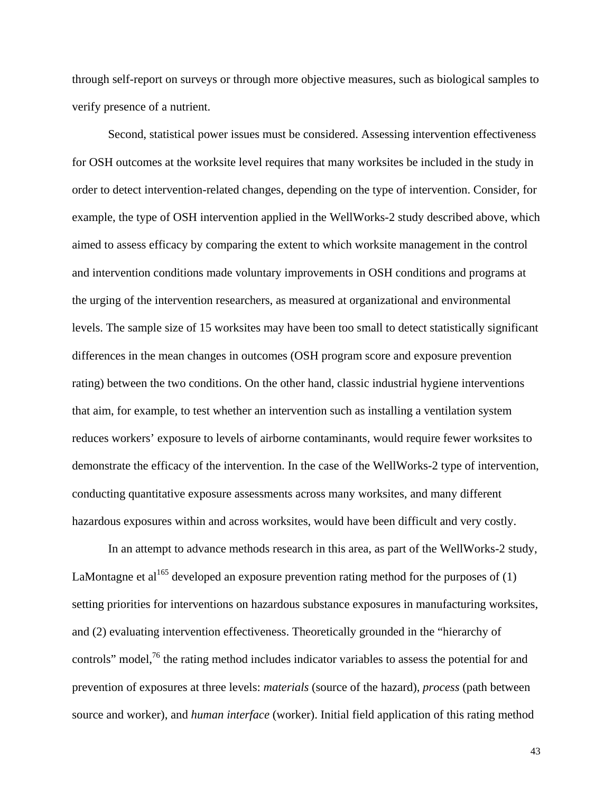through self-report on surveys or through more objective measures, such as biological samples to verify presence of a nutrient.

Second, statistical power issues must be considered. Assessing intervention effectiveness for OSH outcomes at the worksite level requires that many worksites be included in the study in order to detect intervention-related changes, depending on the type of intervention. Consider, for example, the type of OSH intervention applied in the WellWorks-2 study described above, which aimed to assess efficacy by comparing the extent to which worksite management in the control and intervention conditions made voluntary improvements in OSH conditions and programs at the urging of the intervention researchers, as measured at organizational and environmental levels. The sample size of 15 worksites may have been too small to detect statistically significant differences in the mean changes in outcomes (OSH program score and exposure prevention rating) between the two conditions. On the other hand, classic industrial hygiene interventions that aim, for example, to test whether an intervention such as installing a ventilation system reduces workers' exposure to levels of airborne contaminants, would require fewer worksites to demonstrate the efficacy of the intervention. In the case of the WellWorks-2 type of intervention, conducting quantitative exposure assessments across many worksites, and many different hazardous exposures within and across worksites, would have been difficult and very costly.

In an attempt to advance methods research in this area, as part of the WellWorks-2 study, LaMontagne et al<sup>165</sup> developed an exposure prevention rating method for the purposes of  $(1)$ setting priorities for interventions on hazardous substance exposures in manufacturing worksites, and (2) evaluating intervention effectiveness. Theoretically grounded in the "hierarchy of controls" model,<sup>76</sup> the rating method includes indicator variables to assess the potential for and prevention of exposures at three levels: *materials* (source of the hazard), *process* (path between source and worker), and *human interface* (worker). Initial field application of this rating method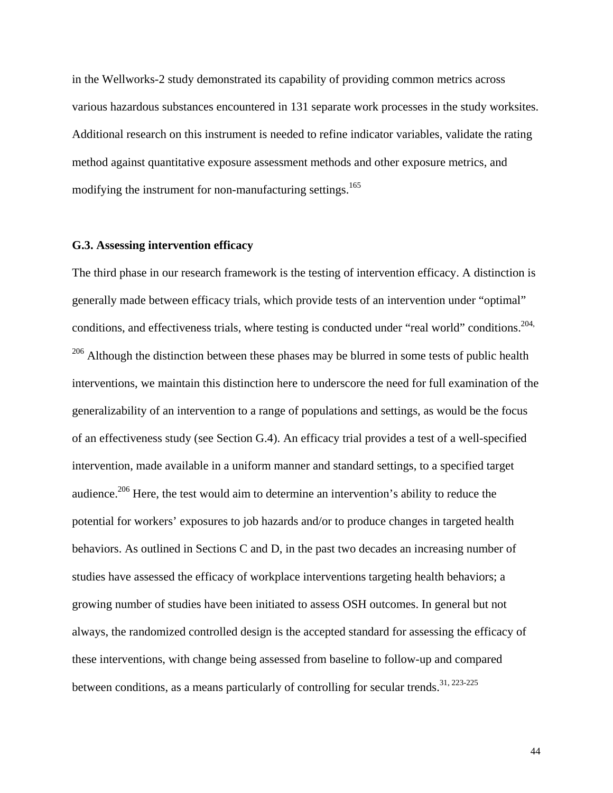in the Wellworks-2 study demonstrated its capability of providing common metrics across various hazardous substances encountered in 131 separate work processes in the study worksites. Additional research on this instrument is needed to refine indicator variables, validate the rating method against quantitative exposure assessment methods and other exposure metrics, and modifying the instrument for non-manufacturing settings.<sup>165</sup>

## **G.3. Assessing intervention efficacy**

The third phase in our research framework is the testing of intervention efficacy. A distinction is generally made between efficacy trials, which provide tests of an intervention under "optimal" conditions, and effectiveness trials, where testing is conducted under "real world" conditions.<sup>204,</sup>  $206$  Although the distinction between these phases may be blurred in some tests of public health interventions, we maintain this distinction here to underscore the need for full examination of the generalizability of an intervention to a range of populations and settings, as would be the focus of an effectiveness study (see Section G.4). An efficacy trial provides a test of a well-specified intervention, made available in a uniform manner and standard settings, to a specified target audience.206 Here, the test would aim to determine an intervention's ability to reduce the potential for workers' exposures to job hazards and/or to produce changes in targeted health behaviors. As outlined in Sections C and D, in the past two decades an increasing number of studies have assessed the efficacy of workplace interventions targeting health behaviors; a growing number of studies have been initiated to assess OSH outcomes. In general but not always, the randomized controlled design is the accepted standard for assessing the efficacy of these interventions, with change being assessed from baseline to follow-up and compared between conditions, as a means particularly of controlling for secular trends.<sup>31, 223-225</sup>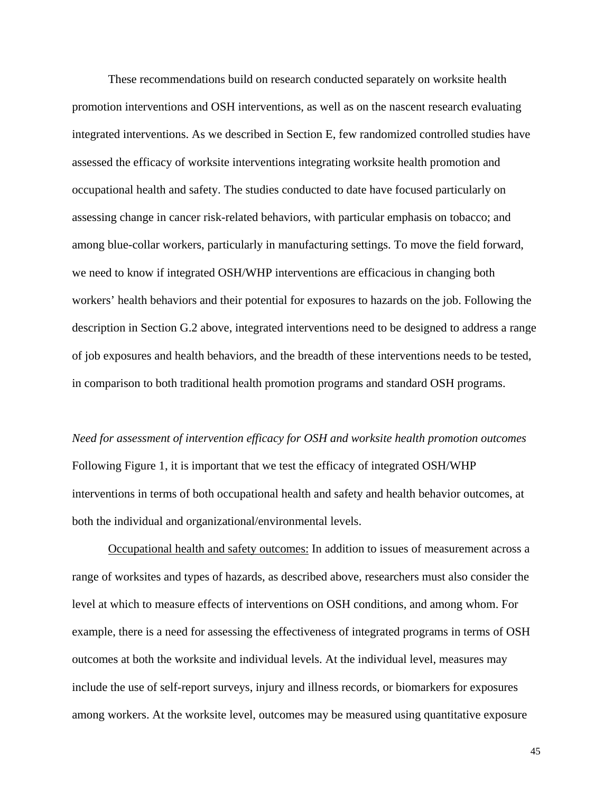These recommendations build on research conducted separately on worksite health promotion interventions and OSH interventions, as well as on the nascent research evaluating integrated interventions. As we described in Section E, few randomized controlled studies have assessed the efficacy of worksite interventions integrating worksite health promotion and occupational health and safety. The studies conducted to date have focused particularly on assessing change in cancer risk-related behaviors, with particular emphasis on tobacco; and among blue-collar workers, particularly in manufacturing settings. To move the field forward, we need to know if integrated OSH/WHP interventions are efficacious in changing both workers' health behaviors and their potential for exposures to hazards on the job. Following the description in Section G.2 above, integrated interventions need to be designed to address a range of job exposures and health behaviors, and the breadth of these interventions needs to be tested, in comparison to both traditional health promotion programs and standard OSH programs.

*Need for assessment of intervention efficacy for OSH and worksite health promotion outcomes*  Following Figure 1, it is important that we test the efficacy of integrated OSH/WHP interventions in terms of both occupational health and safety and health behavior outcomes, at both the individual and organizational/environmental levels.

Occupational health and safety outcomes: In addition to issues of measurement across a range of worksites and types of hazards, as described above, researchers must also consider the level at which to measure effects of interventions on OSH conditions, and among whom. For example, there is a need for assessing the effectiveness of integrated programs in terms of OSH outcomes at both the worksite and individual levels. At the individual level, measures may include the use of self-report surveys, injury and illness records, or biomarkers for exposures among workers. At the worksite level, outcomes may be measured using quantitative exposure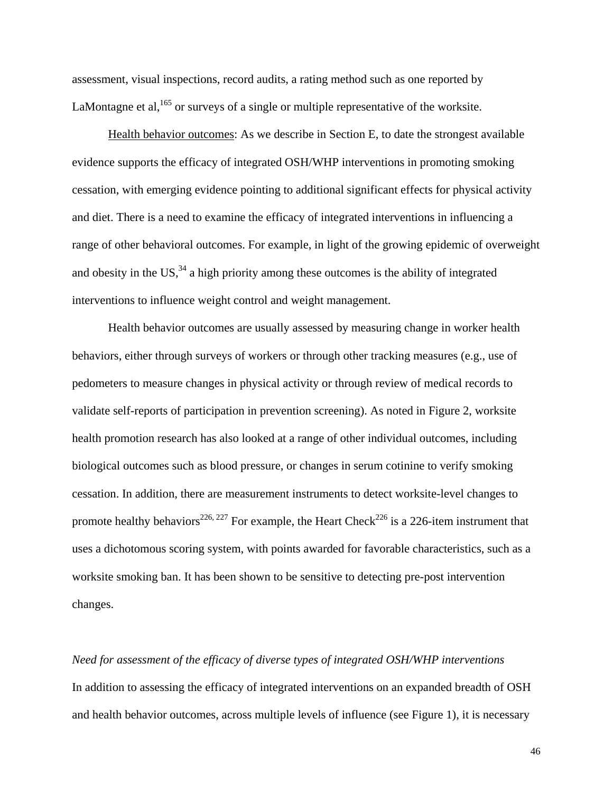assessment, visual inspections, record audits, a rating method such as one reported by LaMontagne et al,  $165$  or surveys of a single or multiple representative of the worksite.

Health behavior outcomes: As we describe in Section E, to date the strongest available evidence supports the efficacy of integrated OSH/WHP interventions in promoting smoking cessation, with emerging evidence pointing to additional significant effects for physical activity and diet. There is a need to examine the efficacy of integrated interventions in influencing a range of other behavioral outcomes. For example, in light of the growing epidemic of overweight and obesity in the US,  $34$  a high priority among these outcomes is the ability of integrated interventions to influence weight control and weight management.

Health behavior outcomes are usually assessed by measuring change in worker health behaviors, either through surveys of workers or through other tracking measures (e.g., use of pedometers to measure changes in physical activity or through review of medical records to validate self-reports of participation in prevention screening). As noted in Figure 2, worksite health promotion research has also looked at a range of other individual outcomes, including biological outcomes such as blood pressure, or changes in serum cotinine to verify smoking cessation. In addition, there are measurement instruments to detect worksite-level changes to promote healthy behaviors<sup>226, 227</sup> For example, the Heart Check<sup>226</sup> is a 226-item instrument that uses a dichotomous scoring system, with points awarded for favorable characteristics, such as a worksite smoking ban. It has been shown to be sensitive to detecting pre-post intervention changes.

*Need for assessment of the efficacy of diverse types of integrated OSH/WHP interventions*  In addition to assessing the efficacy of integrated interventions on an expanded breadth of OSH and health behavior outcomes, across multiple levels of influence (see Figure 1), it is necessary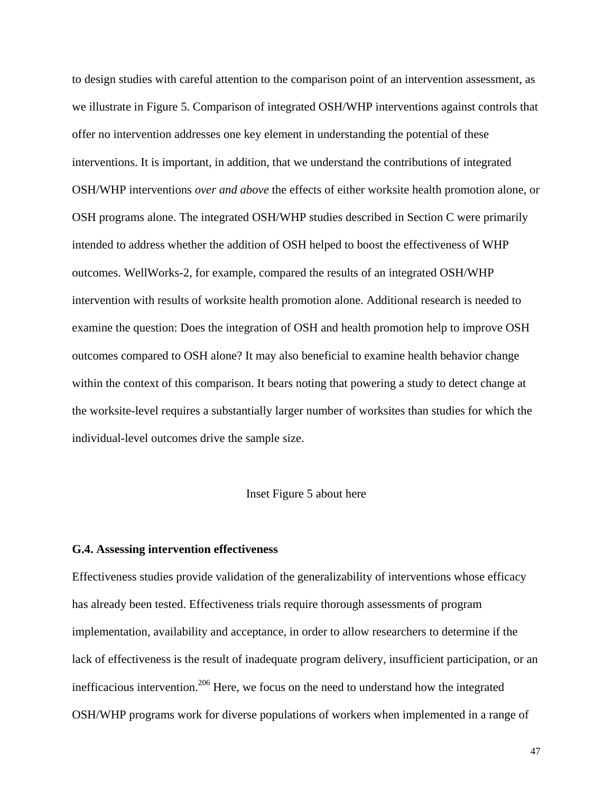to design studies with careful attention to the comparison point of an intervention assessment, as we illustrate in Figure 5. Comparison of integrated OSH/WHP interventions against controls that offer no intervention addresses one key element in understanding the potential of these interventions. It is important, in addition, that we understand the contributions of integrated OSH/WHP interventions *over and above* the effects of either worksite health promotion alone, or OSH programs alone. The integrated OSH/WHP studies described in Section C were primarily intended to address whether the addition of OSH helped to boost the effectiveness of WHP outcomes. WellWorks-2, for example, compared the results of an integrated OSH/WHP intervention with results of worksite health promotion alone. Additional research is needed to examine the question: Does the integration of OSH and health promotion help to improve OSH outcomes compared to OSH alone? It may also beneficial to examine health behavior change within the context of this comparison. It bears noting that powering a study to detect change at the worksite-level requires a substantially larger number of worksites than studies for which the individual-level outcomes drive the sample size.

#### Inset Figure 5 about here

#### **G.4. Assessing intervention effectiveness**

Effectiveness studies provide validation of the generalizability of interventions whose efficacy has already been tested. Effectiveness trials require thorough assessments of program implementation, availability and acceptance, in order to allow researchers to determine if the lack of effectiveness is the result of inadequate program delivery, insufficient participation, or an inefficacious intervention.<sup>206</sup> Here, we focus on the need to understand how the integrated OSH/WHP programs work for diverse populations of workers when implemented in a range of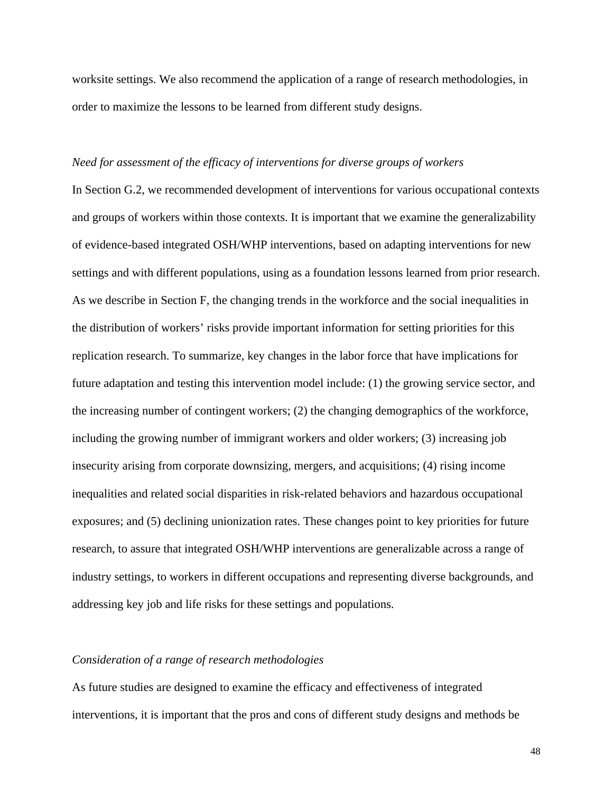worksite settings. We also recommend the application of a range of research methodologies, in order to maximize the lessons to be learned from different study designs.

#### *Need for assessment of the efficacy of interventions for diverse groups of workers*

In Section G.2, we recommended development of interventions for various occupational contexts and groups of workers within those contexts. It is important that we examine the generalizability of evidence-based integrated OSH/WHP interventions, based on adapting interventions for new settings and with different populations, using as a foundation lessons learned from prior research. As we describe in Section F, the changing trends in the workforce and the social inequalities in the distribution of workers' risks provide important information for setting priorities for this replication research. To summarize, key changes in the labor force that have implications for future adaptation and testing this intervention model include: (1) the growing service sector, and the increasing number of contingent workers; (2) the changing demographics of the workforce, including the growing number of immigrant workers and older workers; (3) increasing job insecurity arising from corporate downsizing, mergers, and acquisitions; (4) rising income inequalities and related social disparities in risk-related behaviors and hazardous occupational exposures; and (5) declining unionization rates. These changes point to key priorities for future research, to assure that integrated OSH/WHP interventions are generalizable across a range of industry settings, to workers in different occupations and representing diverse backgrounds, and addressing key job and life risks for these settings and populations.

## *Consideration of a range of research methodologies*

As future studies are designed to examine the efficacy and effectiveness of integrated interventions, it is important that the pros and cons of different study designs and methods be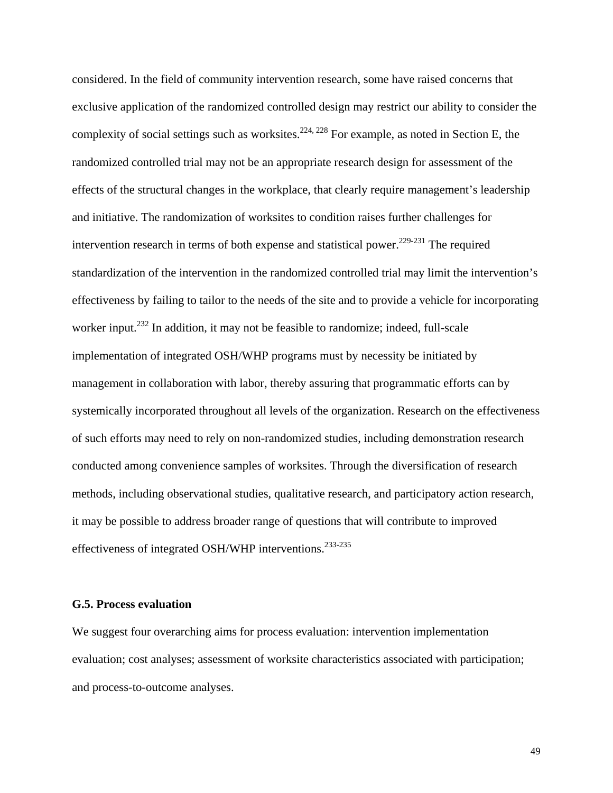considered. In the field of community intervention research, some have raised concerns that exclusive application of the randomized controlled design may restrict our ability to consider the complexity of social settings such as worksites.<sup>224, 228</sup> For example, as noted in Section E, the randomized controlled trial may not be an appropriate research design for assessment of the effects of the structural changes in the workplace, that clearly require management's leadership and initiative. The randomization of worksites to condition raises further challenges for intervention research in terms of both expense and statistical power.<sup>229-231</sup> The required standardization of the intervention in the randomized controlled trial may limit the intervention's effectiveness by failing to tailor to the needs of the site and to provide a vehicle for incorporating worker input.<sup>232</sup> In addition, it may not be feasible to randomize; indeed, full-scale implementation of integrated OSH/WHP programs must by necessity be initiated by management in collaboration with labor, thereby assuring that programmatic efforts can by systemically incorporated throughout all levels of the organization. Research on the effectiveness of such efforts may need to rely on non-randomized studies, including demonstration research conducted among convenience samples of worksites. Through the diversification of research methods, including observational studies, qualitative research, and participatory action research, it may be possible to address broader range of questions that will contribute to improved effectiveness of integrated OSH/WHP interventions.<sup>233-235</sup>

#### **G.5. Process evaluation**

We suggest four overarching aims for process evaluation: intervention implementation evaluation; cost analyses; assessment of worksite characteristics associated with participation; and process-to-outcome analyses.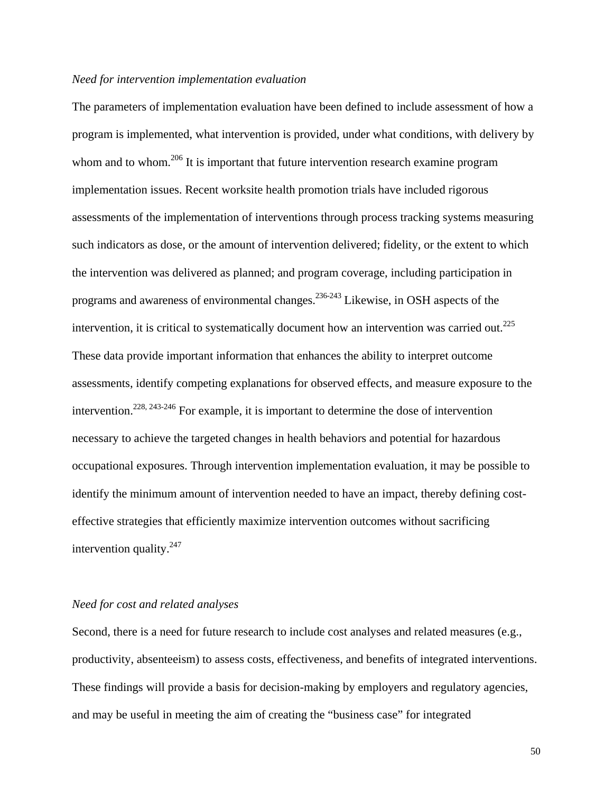## *Need for intervention implementation evaluation*

The parameters of implementation evaluation have been defined to include assessment of how a program is implemented, what intervention is provided, under what conditions, with delivery by whom and to whom.<sup>206</sup> It is important that future intervention research examine program implementation issues. Recent worksite health promotion trials have included rigorous assessments of the implementation of interventions through process tracking systems measuring such indicators as dose, or the amount of intervention delivered; fidelity, or the extent to which the intervention was delivered as planned; and program coverage, including participation in programs and awareness of environmental changes.236-243 Likewise, in OSH aspects of the intervention, it is critical to systematically document how an intervention was carried out.<sup>225</sup> These data provide important information that enhances the ability to interpret outcome assessments, identify competing explanations for observed effects, and measure exposure to the intervention.<sup>228, 243-246</sup> For example, it is important to determine the dose of intervention necessary to achieve the targeted changes in health behaviors and potential for hazardous occupational exposures. Through intervention implementation evaluation, it may be possible to identify the minimum amount of intervention needed to have an impact, thereby defining costeffective strategies that efficiently maximize intervention outcomes without sacrificing intervention quality. $247$ 

## *Need for cost and related analyses*

Second, there is a need for future research to include cost analyses and related measures (e.g., productivity, absenteeism) to assess costs, effectiveness, and benefits of integrated interventions. These findings will provide a basis for decision-making by employers and regulatory agencies, and may be useful in meeting the aim of creating the "business case" for integrated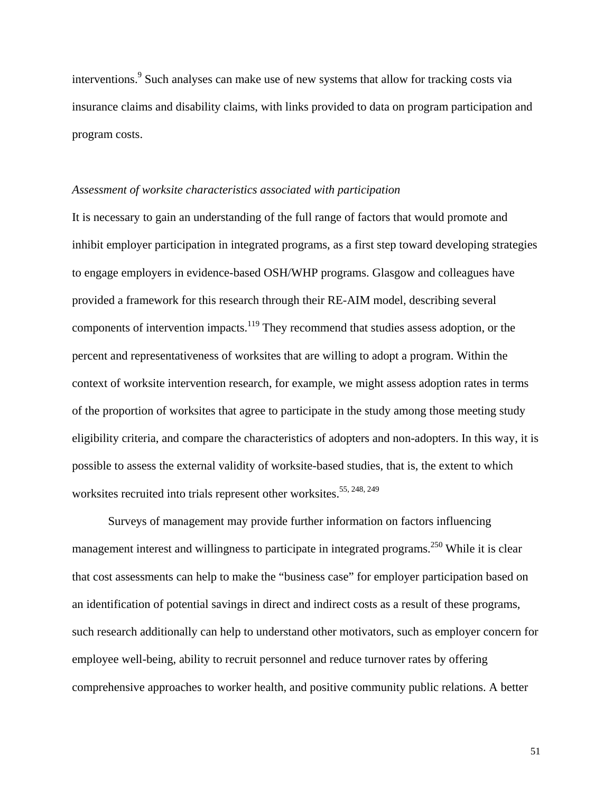interventions.<sup>9</sup> Such analyses can make use of new systems that allow for tracking costs via insurance claims and disability claims, with links provided to data on program participation and program costs.

## *Assessment of worksite characteristics associated with participation*

It is necessary to gain an understanding of the full range of factors that would promote and inhibit employer participation in integrated programs, as a first step toward developing strategies to engage employers in evidence-based OSH/WHP programs. Glasgow and colleagues have provided a framework for this research through their RE-AIM model, describing several components of intervention impacts.<sup>119</sup> They recommend that studies assess adoption, or the percent and representativeness of worksites that are willing to adopt a program. Within the context of worksite intervention research, for example, we might assess adoption rates in terms of the proportion of worksites that agree to participate in the study among those meeting study eligibility criteria, and compare the characteristics of adopters and non-adopters. In this way, it is possible to assess the external validity of worksite-based studies, that is, the extent to which worksites recruited into trials represent other worksites.<sup>55, 248, 249</sup>

Surveys of management may provide further information on factors influencing management interest and willingness to participate in integrated programs.<sup>250</sup> While it is clear that cost assessments can help to make the "business case" for employer participation based on an identification of potential savings in direct and indirect costs as a result of these programs, such research additionally can help to understand other motivators, such as employer concern for employee well-being, ability to recruit personnel and reduce turnover rates by offering comprehensive approaches to worker health, and positive community public relations. A better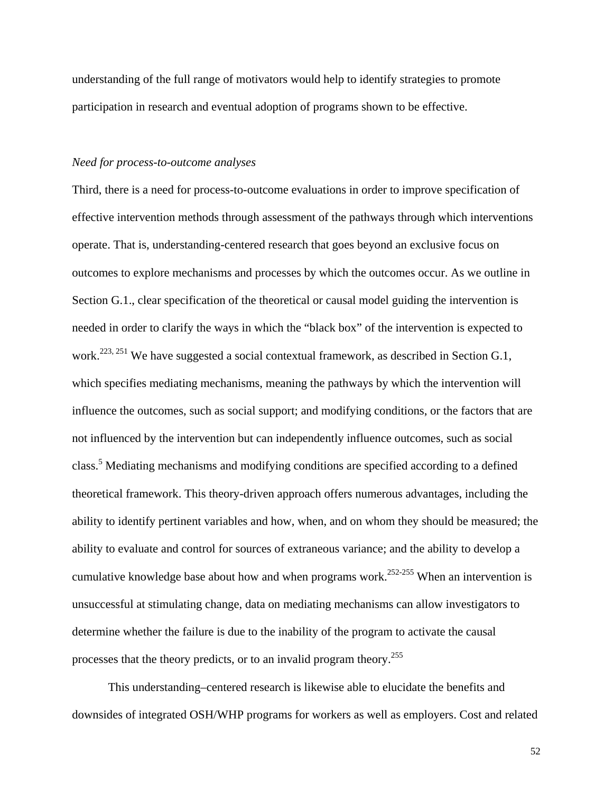understanding of the full range of motivators would help to identify strategies to promote participation in research and eventual adoption of programs shown to be effective.

## *Need for process-to-outcome analyses*

Third, there is a need for process-to-outcome evaluations in order to improve specification of effective intervention methods through assessment of the pathways through which interventions operate. That is, understanding-centered research that goes beyond an exclusive focus on outcomes to explore mechanisms and processes by which the outcomes occur. As we outline in Section G.1., clear specification of the theoretical or causal model guiding the intervention is needed in order to clarify the ways in which the "black box" of the intervention is expected to work.<sup>223, 251</sup> We have suggested a social contextual framework, as described in Section G.1, which specifies mediating mechanisms, meaning the pathways by which the intervention will influence the outcomes, such as social support; and modifying conditions, or the factors that are not influenced by the intervention but can independently influence outcomes, such as social class.<sup>5</sup> Mediating mechanisms and modifying conditions are specified according to a defined theoretical framework. This theory-driven approach offers numerous advantages, including the ability to identify pertinent variables and how, when, and on whom they should be measured; the ability to evaluate and control for sources of extraneous variance; and the ability to develop a cumulative knowledge base about how and when programs work.<sup>252-255</sup> When an intervention is unsuccessful at stimulating change, data on mediating mechanisms can allow investigators to determine whether the failure is due to the inability of the program to activate the causal processes that the theory predicts, or to an invalid program theory.<sup>255</sup>

This understanding–centered research is likewise able to elucidate the benefits and downsides of integrated OSH/WHP programs for workers as well as employers. Cost and related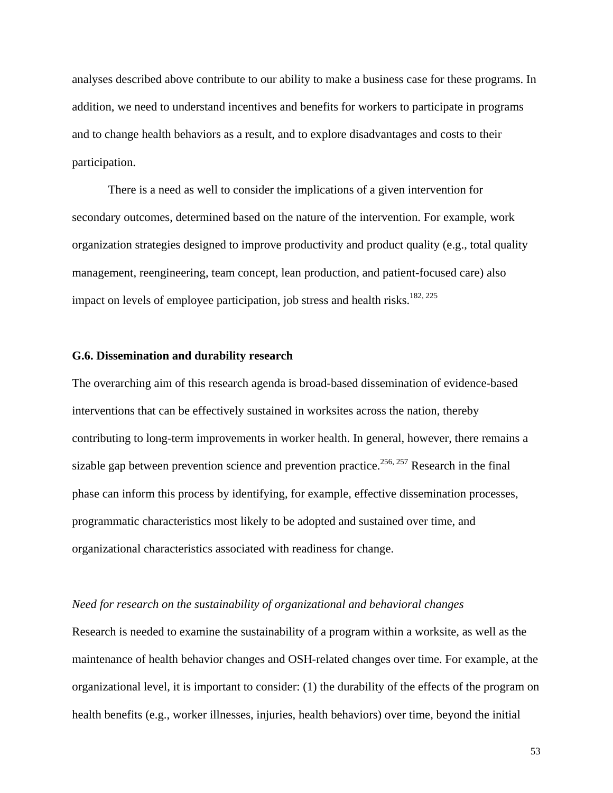analyses described above contribute to our ability to make a business case for these programs. In addition, we need to understand incentives and benefits for workers to participate in programs and to change health behaviors as a result, and to explore disadvantages and costs to their participation.

There is a need as well to consider the implications of a given intervention for secondary outcomes, determined based on the nature of the intervention. For example, work organization strategies designed to improve productivity and product quality (e.g., total quality management, reengineering, team concept, lean production, and patient-focused care) also impact on levels of employee participation, job stress and health risks.<sup>182, 225</sup>

## **G.6. Dissemination and durability research**

The overarching aim of this research agenda is broad-based dissemination of evidence-based interventions that can be effectively sustained in worksites across the nation, thereby contributing to long-term improvements in worker health. In general, however, there remains a sizable gap between prevention science and prevention practice.<sup>256, 257</sup> Research in the final phase can inform this process by identifying, for example, effective dissemination processes, programmatic characteristics most likely to be adopted and sustained over time, and organizational characteristics associated with readiness for change.

## *Need for research on the sustainability of organizational and behavioral changes*

Research is needed to examine the sustainability of a program within a worksite, as well as the maintenance of health behavior changes and OSH-related changes over time. For example, at the organizational level, it is important to consider: (1) the durability of the effects of the program on health benefits (e.g., worker illnesses, injuries, health behaviors) over time, beyond the initial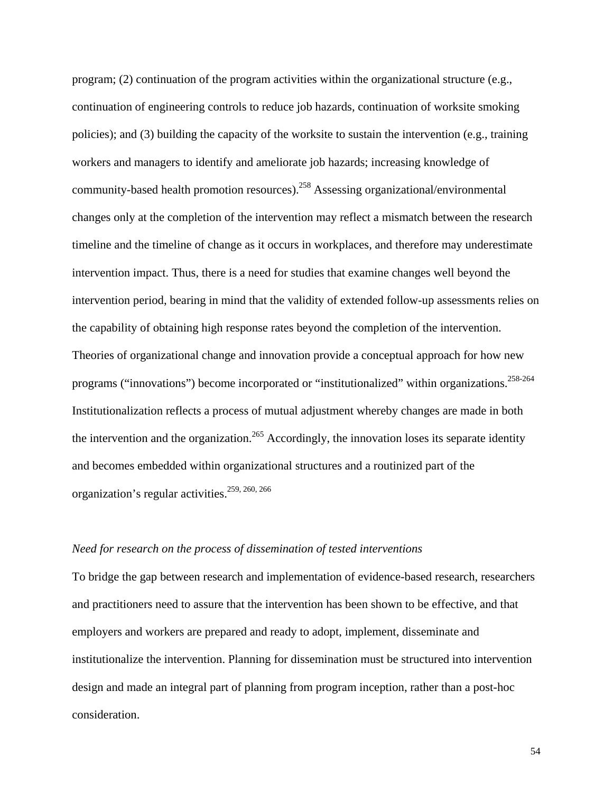program; (2) continuation of the program activities within the organizational structure (e.g., continuation of engineering controls to reduce job hazards, continuation of worksite smoking policies); and (3) building the capacity of the worksite to sustain the intervention (e.g., training workers and managers to identify and ameliorate job hazards; increasing knowledge of community-based health promotion resources). <sup>258</sup> Assessing organizational/environmental changes only at the completion of the intervention may reflect a mismatch between the research timeline and the timeline of change as it occurs in workplaces, and therefore may underestimate intervention impact. Thus, there is a need for studies that examine changes well beyond the intervention period, bearing in mind that the validity of extended follow-up assessments relies on the capability of obtaining high response rates beyond the completion of the intervention. Theories of organizational change and innovation provide a conceptual approach for how new programs ("innovations") become incorporated or "institutionalized" within organizations.<sup>258-264</sup> Institutionalization reflects a process of mutual adjustment whereby changes are made in both the intervention and the organization.<sup>265</sup> Accordingly, the innovation loses its separate identity and becomes embedded within organizational structures and a routinized part of the organization's regular activities.259, 260, 266

#### *Need for research on the process of dissemination of tested interventions*

To bridge the gap between research and implementation of evidence-based research, researchers and practitioners need to assure that the intervention has been shown to be effective, and that employers and workers are prepared and ready to adopt, implement, disseminate and institutionalize the intervention. Planning for dissemination must be structured into intervention design and made an integral part of planning from program inception, rather than a post-hoc consideration.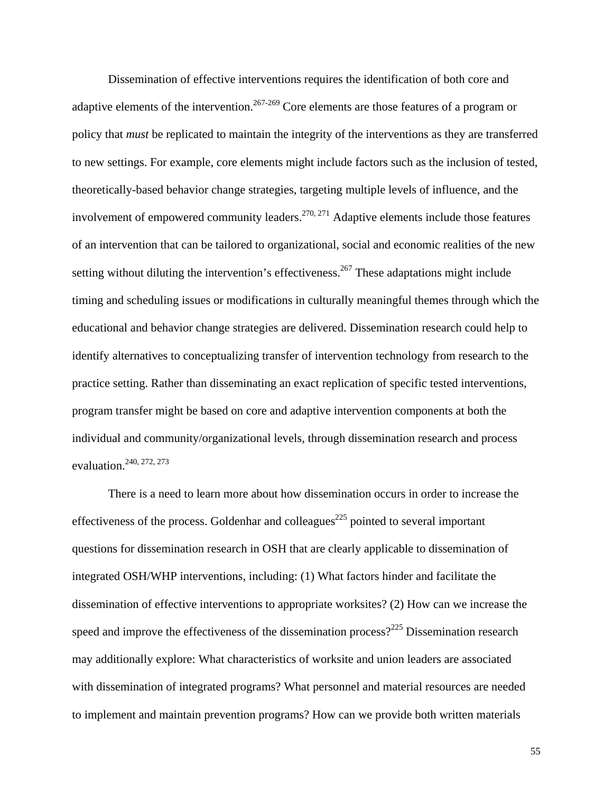Dissemination of effective interventions requires the identification of both core and adaptive elements of the intervention.<sup>267-269</sup> Core elements are those features of a program or policy that *must* be replicated to maintain the integrity of the interventions as they are transferred to new settings. For example, core elements might include factors such as the inclusion of tested, theoretically-based behavior change strategies, targeting multiple levels of influence, and the involvement of empowered community leaders.<sup>270, 271</sup> Adaptive elements include those features of an intervention that can be tailored to organizational, social and economic realities of the new setting without diluting the intervention's effectiveness.<sup>267</sup> These adaptations might include timing and scheduling issues or modifications in culturally meaningful themes through which the educational and behavior change strategies are delivered. Dissemination research could help to identify alternatives to conceptualizing transfer of intervention technology from research to the practice setting. Rather than disseminating an exact replication of specific tested interventions, program transfer might be based on core and adaptive intervention components at both the individual and community/organizational levels, through dissemination research and process evaluation.<sup>240, 272, 273</sup>

There is a need to learn more about how dissemination occurs in order to increase the effectiveness of the process. Goldenhar and colleagues<sup>225</sup> pointed to several important questions for dissemination research in OSH that are clearly applicable to dissemination of integrated OSH/WHP interventions, including: (1) What factors hinder and facilitate the dissemination of effective interventions to appropriate worksites? (2) How can we increase the speed and improve the effectiveness of the dissemination process?<sup>225</sup> Dissemination research may additionally explore: What characteristics of worksite and union leaders are associated with dissemination of integrated programs? What personnel and material resources are needed to implement and maintain prevention programs? How can we provide both written materials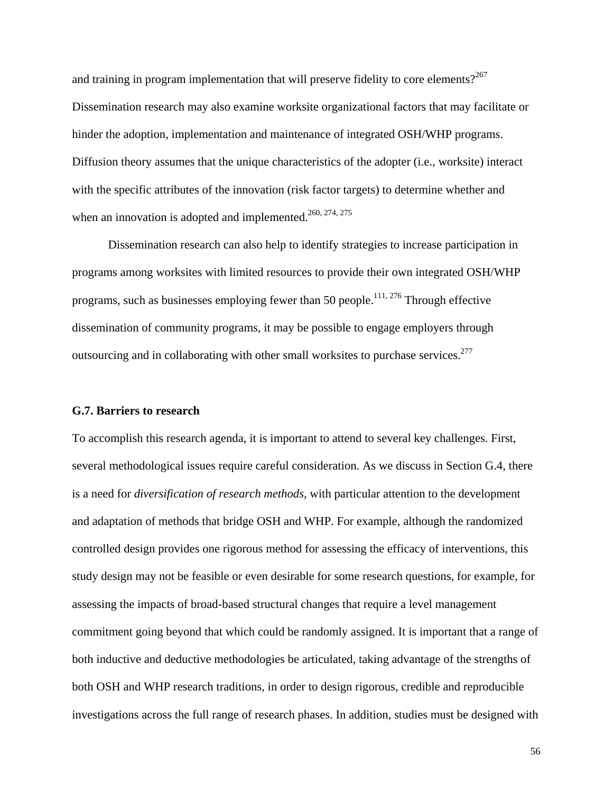and training in program implementation that will preserve fidelity to core elements? $2^{267}$ Dissemination research may also examine worksite organizational factors that may facilitate or hinder the adoption, implementation and maintenance of integrated OSH/WHP programs. Diffusion theory assumes that the unique characteristics of the adopter (i.e., worksite) interact with the specific attributes of the innovation (risk factor targets) to determine whether and when an innovation is adopted and implemented.<sup>260, 274, 275</sup>

Dissemination research can also help to identify strategies to increase participation in programs among worksites with limited resources to provide their own integrated OSH/WHP programs, such as businesses employing fewer than 50 people.<sup>111, 276</sup> Through effective dissemination of community programs, it may be possible to engage employers through outsourcing and in collaborating with other small worksites to purchase services.<sup>277</sup>

## **G.7. Barriers to research**

To accomplish this research agenda, it is important to attend to several key challenges. First, several methodological issues require careful consideration. As we discuss in Section G.4, there is a need for *diversification of research methods*, with particular attention to the development and adaptation of methods that bridge OSH and WHP. For example, although the randomized controlled design provides one rigorous method for assessing the efficacy of interventions, this study design may not be feasible or even desirable for some research questions, for example, for assessing the impacts of broad-based structural changes that require a level management commitment going beyond that which could be randomly assigned. It is important that a range of both inductive and deductive methodologies be articulated, taking advantage of the strengths of both OSH and WHP research traditions, in order to design rigorous, credible and reproducible investigations across the full range of research phases. In addition, studies must be designed with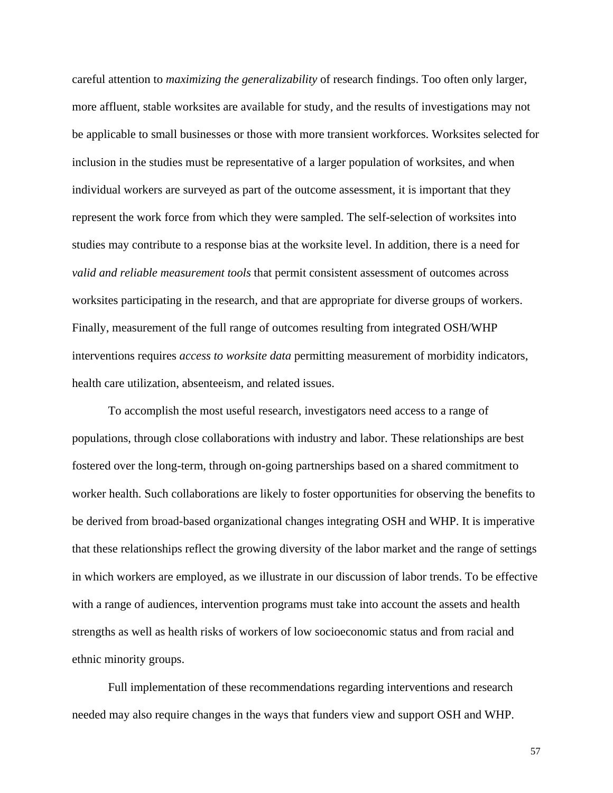careful attention to *maximizing the generalizability* of research findings. Too often only larger, more affluent, stable worksites are available for study, and the results of investigations may not be applicable to small businesses or those with more transient workforces. Worksites selected for inclusion in the studies must be representative of a larger population of worksites, and when individual workers are surveyed as part of the outcome assessment, it is important that they represent the work force from which they were sampled. The self-selection of worksites into studies may contribute to a response bias at the worksite level. In addition, there is a need for *valid and reliable measurement tools* that permit consistent assessment of outcomes across worksites participating in the research, and that are appropriate for diverse groups of workers. Finally, measurement of the full range of outcomes resulting from integrated OSH/WHP interventions requires *access to worksite data* permitting measurement of morbidity indicators, health care utilization, absenteeism, and related issues.

To accomplish the most useful research, investigators need access to a range of populations, through close collaborations with industry and labor. These relationships are best fostered over the long-term, through on-going partnerships based on a shared commitment to worker health. Such collaborations are likely to foster opportunities for observing the benefits to be derived from broad-based organizational changes integrating OSH and WHP. It is imperative that these relationships reflect the growing diversity of the labor market and the range of settings in which workers are employed, as we illustrate in our discussion of labor trends. To be effective with a range of audiences, intervention programs must take into account the assets and health strengths as well as health risks of workers of low socioeconomic status and from racial and ethnic minority groups.

Full implementation of these recommendations regarding interventions and research needed may also require changes in the ways that funders view and support OSH and WHP.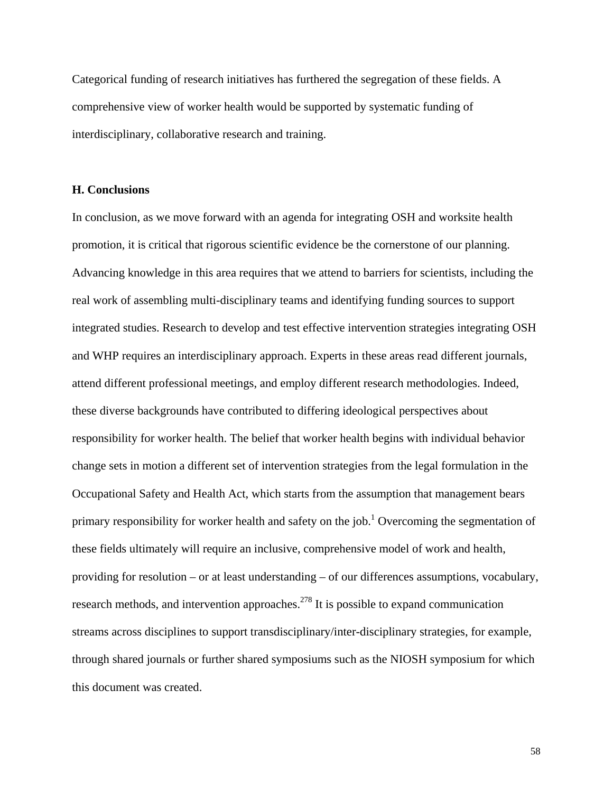Categorical funding of research initiatives has furthered the segregation of these fields. A comprehensive view of worker health would be supported by systematic funding of interdisciplinary, collaborative research and training.

## **H. Conclusions**

In conclusion, as we move forward with an agenda for integrating OSH and worksite health promotion, it is critical that rigorous scientific evidence be the cornerstone of our planning. Advancing knowledge in this area requires that we attend to barriers for scientists, including the real work of assembling multi-disciplinary teams and identifying funding sources to support integrated studies. Research to develop and test effective intervention strategies integrating OSH and WHP requires an interdisciplinary approach. Experts in these areas read different journals, attend different professional meetings, and employ different research methodologies. Indeed, these diverse backgrounds have contributed to differing ideological perspectives about responsibility for worker health. The belief that worker health begins with individual behavior change sets in motion a different set of intervention strategies from the legal formulation in the Occupational Safety and Health Act, which starts from the assumption that management bears primary responsibility for worker health and safety on the job.<sup>1</sup> Overcoming the segmentation of these fields ultimately will require an inclusive, comprehensive model of work and health, providing for resolution – or at least understanding – of our differences assumptions, vocabulary, research methods, and intervention approaches.<sup>278</sup> It is possible to expand communication streams across disciplines to support transdisciplinary/inter-disciplinary strategies, for example, through shared journals or further shared symposiums such as the NIOSH symposium for which this document was created.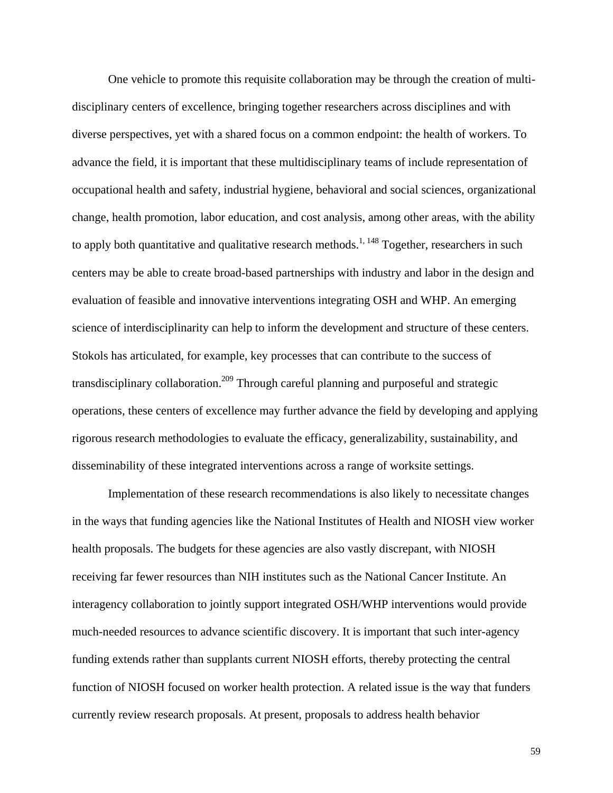One vehicle to promote this requisite collaboration may be through the creation of multidisciplinary centers of excellence, bringing together researchers across disciplines and with diverse perspectives, yet with a shared focus on a common endpoint: the health of workers. To advance the field, it is important that these multidisciplinary teams of include representation of occupational health and safety, industrial hygiene, behavioral and social sciences, organizational change, health promotion, labor education, and cost analysis, among other areas, with the ability to apply both quantitative and qualitative research methods.<sup>1, 148</sup> Together, researchers in such centers may be able to create broad-based partnerships with industry and labor in the design and evaluation of feasible and innovative interventions integrating OSH and WHP. An emerging science of interdisciplinarity can help to inform the development and structure of these centers. Stokols has articulated, for example, key processes that can contribute to the success of transdisciplinary collaboration.<sup>209</sup> Through careful planning and purposeful and strategic operations, these centers of excellence may further advance the field by developing and applying rigorous research methodologies to evaluate the efficacy, generalizability, sustainability, and disseminability of these integrated interventions across a range of worksite settings.

Implementation of these research recommendations is also likely to necessitate changes in the ways that funding agencies like the National Institutes of Health and NIOSH view worker health proposals. The budgets for these agencies are also vastly discrepant, with NIOSH receiving far fewer resources than NIH institutes such as the National Cancer Institute. An interagency collaboration to jointly support integrated OSH/WHP interventions would provide much-needed resources to advance scientific discovery. It is important that such inter-agency funding extends rather than supplants current NIOSH efforts, thereby protecting the central function of NIOSH focused on worker health protection. A related issue is the way that funders currently review research proposals. At present, proposals to address health behavior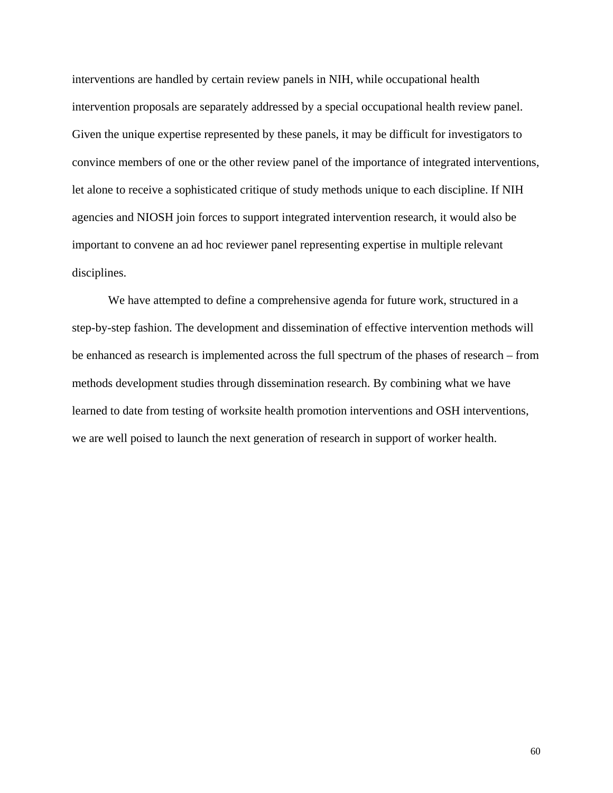interventions are handled by certain review panels in NIH, while occupational health intervention proposals are separately addressed by a special occupational health review panel. Given the unique expertise represented by these panels, it may be difficult for investigators to convince members of one or the other review panel of the importance of integrated interventions, let alone to receive a sophisticated critique of study methods unique to each discipline. If NIH agencies and NIOSH join forces to support integrated intervention research, it would also be important to convene an ad hoc reviewer panel representing expertise in multiple relevant disciplines.

We have attempted to define a comprehensive agenda for future work, structured in a step-by-step fashion. The development and dissemination of effective intervention methods will be enhanced as research is implemented across the full spectrum of the phases of research – from methods development studies through dissemination research. By combining what we have learned to date from testing of worksite health promotion interventions and OSH interventions, we are well poised to launch the next generation of research in support of worker health.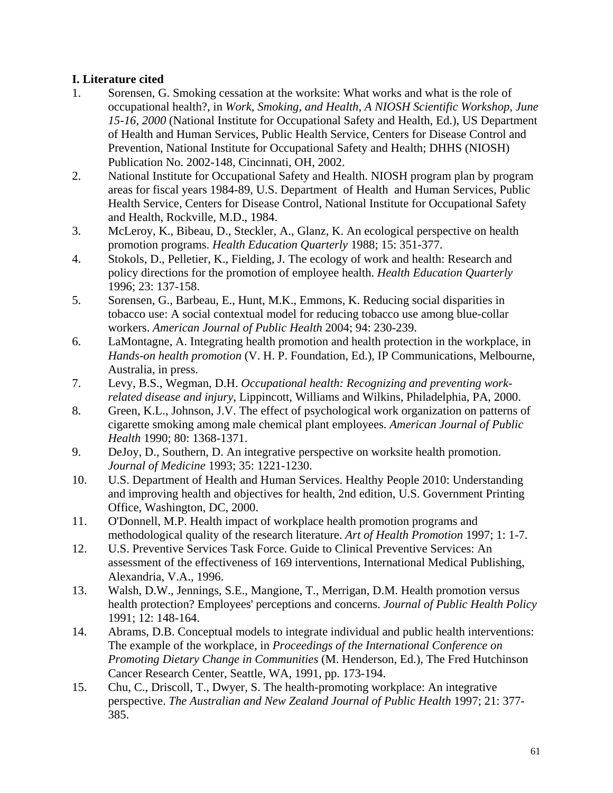## **I. Literature cited**

- 1. Sorensen, G. Smoking cessation at the worksite: What works and what is the role of occupational health?, in *Work, Smoking, and Health, A NIOSH Scientific Workshop, June 15-16, 2000* (National Institute for Occupational Safety and Health, Ed.), US Department of Health and Human Services, Public Health Service, Centers for Disease Control and Prevention, National Institute for Occupational Safety and Health; DHHS (NIOSH) Publication No. 2002-148, Cincinnati, OH, 2002.
- 2. National Institute for Occupational Safety and Health. NIOSH program plan by program areas for fiscal years 1984-89, U.S. Department of Health and Human Services, Public Health Service, Centers for Disease Control, National Institute for Occupational Safety and Health, Rockville, M.D., 1984.
- 3. McLeroy, K., Bibeau, D., Steckler, A., Glanz, K. An ecological perspective on health promotion programs. *Health Education Quarterly* 1988; 15: 351-377.
- 4. Stokols, D., Pelletier, K., Fielding, J. The ecology of work and health: Research and policy directions for the promotion of employee health. *Health Education Quarterly* 1996; 23: 137-158.
- 5. Sorensen, G., Barbeau, E., Hunt, M.K., Emmons, K. Reducing social disparities in tobacco use: A social contextual model for reducing tobacco use among blue-collar workers. *American Journal of Public Health* 2004; 94: 230-239.
- 6. LaMontagne, A. Integrating health promotion and health protection in the workplace, in *Hands-on health promotion* (V. H. P. Foundation, Ed.), IP Communications, Melbourne, Australia, in press.
- 7. Levy, B.S., Wegman, D.H. *Occupational health: Recognizing and preventing workrelated disease and injury*, Lippincott, Williams and Wilkins, Philadelphia, PA, 2000.
- 8. Green, K.L., Johnson, J.V. The effect of psychological work organization on patterns of cigarette smoking among male chemical plant employees. *American Journal of Public Health* 1990; 80: 1368-1371.
- 9. DeJoy, D., Southern, D. An integrative perspective on worksite health promotion. *Journal of Medicine* 1993; 35: 1221-1230.
- 10. U.S. Department of Health and Human Services. Healthy People 2010: Understanding and improving health and objectives for health, 2nd edition, U.S. Government Printing Office, Washington, DC, 2000.
- 11. O'Donnell, M.P. Health impact of workplace health promotion programs and methodological quality of the research literature. *Art of Health Promotion* 1997; 1: 1-7.
- 12. U.S. Preventive Services Task Force. Guide to Clinical Preventive Services: An assessment of the effectiveness of 169 interventions, International Medical Publishing, Alexandria, V.A., 1996.
- 13. Walsh, D.W., Jennings, S.E., Mangione, T., Merrigan, D.M. Health promotion versus health protection? Employees' perceptions and concerns. *Journal of Public Health Policy* 1991; 12: 148-164.
- 14. Abrams, D.B. Conceptual models to integrate individual and public health interventions: The example of the workplace, in *Proceedings of the International Conference on Promoting Dietary Change in Communities* (M. Henderson, Ed.), The Fred Hutchinson Cancer Research Center, Seattle, WA, 1991, pp. 173-194.
- 15. Chu, C., Driscoll, T., Dwyer, S. The health-promoting workplace: An integrative perspective. *The Australian and New Zealand Journal of Public Health* 1997; 21: 377- 385.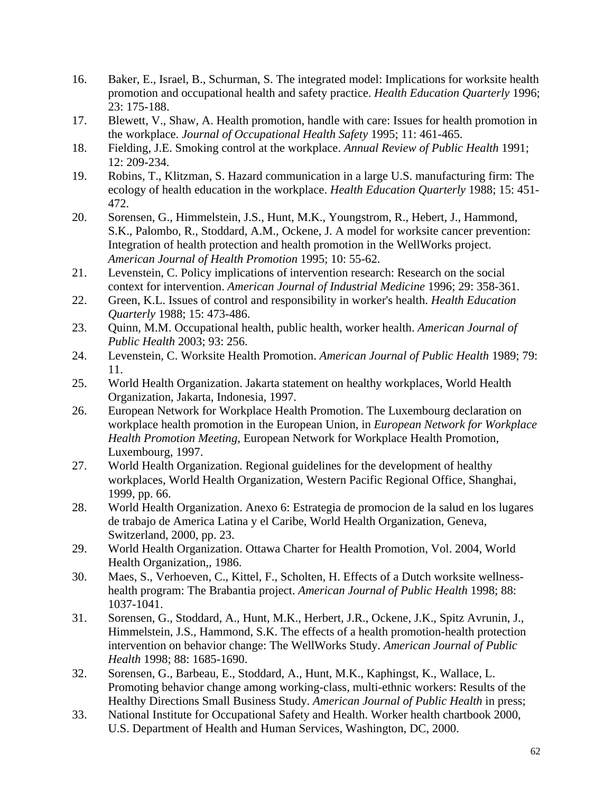- 16. Baker, E., Israel, B., Schurman, S. The integrated model: Implications for worksite health promotion and occupational health and safety practice. *Health Education Quarterly* 1996; 23: 175-188.
- 17. Blewett, V., Shaw, A. Health promotion, handle with care: Issues for health promotion in the workplace. *Journal of Occupational Health Safety* 1995; 11: 461-465.
- 18. Fielding, J.E. Smoking control at the workplace. *Annual Review of Public Health* 1991; 12: 209-234.
- 19. Robins, T., Klitzman, S. Hazard communication in a large U.S. manufacturing firm: The ecology of health education in the workplace. *Health Education Quarterly* 1988; 15: 451- 472.
- 20. Sorensen, G., Himmelstein, J.S., Hunt, M.K., Youngstrom, R., Hebert, J., Hammond, S.K., Palombo, R., Stoddard, A.M., Ockene, J. A model for worksite cancer prevention: Integration of health protection and health promotion in the WellWorks project. *American Journal of Health Promotion* 1995; 10: 55-62.
- 21. Levenstein, C. Policy implications of intervention research: Research on the social context for intervention. *American Journal of Industrial Medicine* 1996; 29: 358-361.
- 22. Green, K.L. Issues of control and responsibility in worker's health. *Health Education Quarterly* 1988; 15: 473-486.
- 23. Quinn, M.M. Occupational health, public health, worker health. *American Journal of Public Health* 2003; 93: 256.
- 24. Levenstein, C. Worksite Health Promotion. *American Journal of Public Health* 1989; 79: 11.
- 25. World Health Organization. Jakarta statement on healthy workplaces, World Health Organization, Jakarta, Indonesia, 1997.
- 26. European Network for Workplace Health Promotion. The Luxembourg declaration on workplace health promotion in the European Union, in *European Network for Workplace Health Promotion Meeting*, European Network for Workplace Health Promotion, Luxembourg, 1997.
- 27. World Health Organization. Regional guidelines for the development of healthy workplaces, World Health Organization, Western Pacific Regional Office, Shanghai, 1999, pp. 66.
- 28. World Health Organization. Anexo 6: Estrategia de promocion de la salud en los lugares de trabajo de America Latina y el Caribe, World Health Organization, Geneva, Switzerland, 2000, pp. 23.
- 29. World Health Organization. Ottawa Charter for Health Promotion, Vol. 2004, World Health Organization,, 1986.
- 30. Maes, S., Verhoeven, C., Kittel, F., Scholten, H. Effects of a Dutch worksite wellnesshealth program: The Brabantia project. *American Journal of Public Health* 1998; 88: 1037-1041.
- 31. Sorensen, G., Stoddard, A., Hunt, M.K., Herbert, J.R., Ockene, J.K., Spitz Avrunin, J., Himmelstein, J.S., Hammond, S.K. The effects of a health promotion-health protection intervention on behavior change: The WellWorks Study. *American Journal of Public Health* 1998; 88: 1685-1690.
- 32. Sorensen, G., Barbeau, E., Stoddard, A., Hunt, M.K., Kaphingst, K., Wallace, L. Promoting behavior change among working-class, multi-ethnic workers: Results of the Healthy Directions Small Business Study. *American Journal of Public Health* in press;
- 33. National Institute for Occupational Safety and Health. Worker health chartbook 2000, U.S. Department of Health and Human Services, Washington, DC, 2000.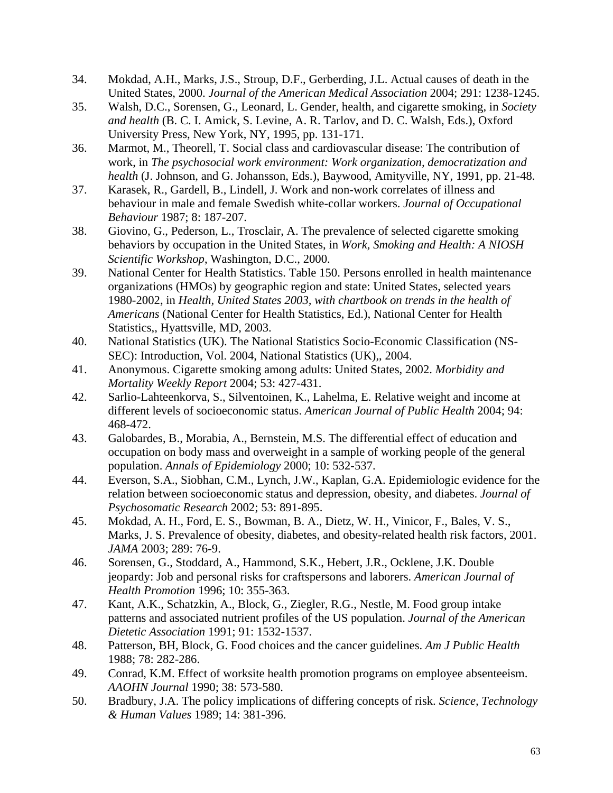- 34. Mokdad, A.H., Marks, J.S., Stroup, D.F., Gerberding, J.L. Actual causes of death in the United States, 2000. *Journal of the American Medical Association* 2004; 291: 1238-1245.
- 35. Walsh, D.C., Sorensen, G., Leonard, L. Gender, health, and cigarette smoking, in *Society and health* (B. C. I. Amick, S. Levine, A. R. Tarlov, and D. C. Walsh, Eds.), Oxford University Press, New York, NY, 1995, pp. 131-171.
- 36. Marmot, M., Theorell, T. Social class and cardiovascular disease: The contribution of work, in *The psychosocial work environment: Work organization, democratization and health* (J. Johnson, and G. Johansson, Eds.), Baywood, Amityville, NY, 1991, pp. 21-48.
- 37. Karasek, R., Gardell, B., Lindell, J. Work and non-work correlates of illness and behaviour in male and female Swedish white-collar workers. *Journal of Occupational Behaviour* 1987; 8: 187-207.
- 38. Giovino, G., Pederson, L., Trosclair, A. The prevalence of selected cigarette smoking behaviors by occupation in the United States, in *Work, Smoking and Health: A NIOSH Scientific Workshop*, Washington, D.C., 2000.
- 39. National Center for Health Statistics. Table 150. Persons enrolled in health maintenance organizations (HMOs) by geographic region and state: United States, selected years 1980-2002, in *Health, United States 2003, with chartbook on trends in the health of Americans* (National Center for Health Statistics, Ed.), National Center for Health Statistics,, Hyattsville, MD, 2003.
- 40. National Statistics (UK). The National Statistics Socio-Economic Classification (NS-SEC): Introduction, Vol. 2004, National Statistics (UK),, 2004.
- 41. Anonymous. Cigarette smoking among adults: United States, 2002. *Morbidity and Mortality Weekly Report* 2004; 53: 427-431.
- 42. Sarlio-Lahteenkorva, S., Silventoinen, K., Lahelma, E. Relative weight and income at different levels of socioeconomic status. *American Journal of Public Health* 2004; 94: 468-472.
- 43. Galobardes, B., Morabia, A., Bernstein, M.S. The differential effect of education and occupation on body mass and overweight in a sample of working people of the general population. *Annals of Epidemiology* 2000; 10: 532-537.
- 44. Everson, S.A., Siobhan, C.M., Lynch, J.W., Kaplan, G.A. Epidemiologic evidence for the relation between socioeconomic status and depression, obesity, and diabetes. *Journal of Psychosomatic Research* 2002; 53: 891-895.
- 45. Mokdad, A. H., Ford, E. S., Bowman, B. A., Dietz, W. H., Vinicor, F., Bales, V. S., Marks, J. S. Prevalence of obesity, diabetes, and obesity-related health risk factors, 2001. *JAMA* 2003; 289: 76-9.
- 46. Sorensen, G., Stoddard, A., Hammond, S.K., Hebert, J.R., Ocklene, J.K. Double jeopardy: Job and personal risks for craftspersons and laborers. *American Journal of Health Promotion* 1996; 10: 355-363.
- 47. Kant, A.K., Schatzkin, A., Block, G., Ziegler, R.G., Nestle, M. Food group intake patterns and associated nutrient profiles of the US population. *Journal of the American Dietetic Association* 1991; 91: 1532-1537.
- 48. Patterson, BH, Block, G. Food choices and the cancer guidelines. *Am J Public Health* 1988; 78: 282-286.
- 49. Conrad, K.M. Effect of worksite health promotion programs on employee absenteeism. *AAOHN Journal* 1990; 38: 573-580.
- 50. Bradbury, J.A. The policy implications of differing concepts of risk. *Science, Technology & Human Values* 1989; 14: 381-396.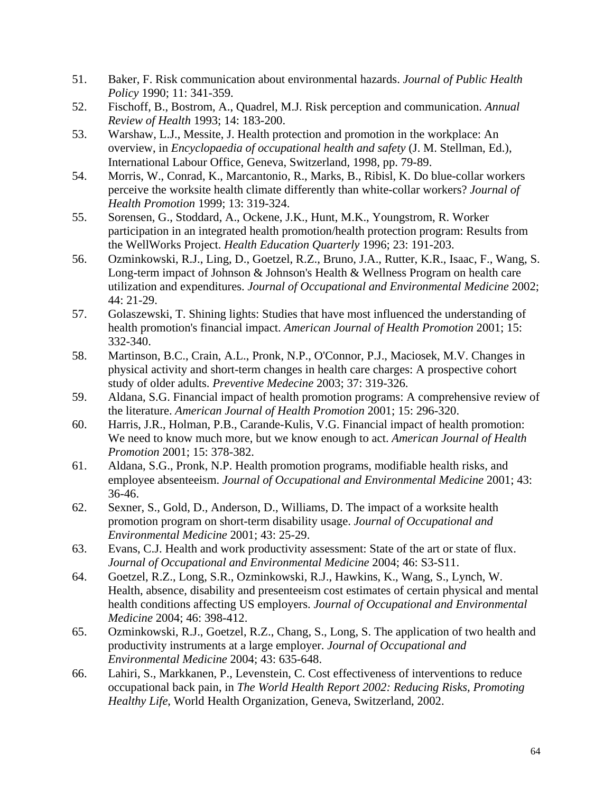- 51. Baker, F. Risk communication about environmental hazards. *Journal of Public Health Policy* 1990; 11: 341-359.
- 52. Fischoff, B., Bostrom, A., Quadrel, M.J. Risk perception and communication. *Annual Review of Health* 1993; 14: 183-200.
- 53. Warshaw, L.J., Messite, J. Health protection and promotion in the workplace: An overview, in *Encyclopaedia of occupational health and safety* (J. M. Stellman, Ed.), International Labour Office, Geneva, Switzerland, 1998, pp. 79-89.
- 54. Morris, W., Conrad, K., Marcantonio, R., Marks, B., Ribisl, K. Do blue-collar workers perceive the worksite health climate differently than white-collar workers? *Journal of Health Promotion* 1999; 13: 319-324.
- 55. Sorensen, G., Stoddard, A., Ockene, J.K., Hunt, M.K., Youngstrom, R. Worker participation in an integrated health promotion/health protection program: Results from the WellWorks Project. *Health Education Quarterly* 1996; 23: 191-203.
- 56. Ozminkowski, R.J., Ling, D., Goetzel, R.Z., Bruno, J.A., Rutter, K.R., Isaac, F., Wang, S. Long-term impact of Johnson & Johnson's Health & Wellness Program on health care utilization and expenditures. *Journal of Occupational and Environmental Medicine* 2002; 44: 21-29.
- 57. Golaszewski, T. Shining lights: Studies that have most influenced the understanding of health promotion's financial impact. *American Journal of Health Promotion* 2001; 15: 332-340.
- 58. Martinson, B.C., Crain, A.L., Pronk, N.P., O'Connor, P.J., Maciosek, M.V. Changes in physical activity and short-term changes in health care charges: A prospective cohort study of older adults. *Preventive Medecine* 2003; 37: 319-326.
- 59. Aldana, S.G. Financial impact of health promotion programs: A comprehensive review of the literature. *American Journal of Health Promotion* 2001; 15: 296-320.
- 60. Harris, J.R., Holman, P.B., Carande-Kulis, V.G. Financial impact of health promotion: We need to know much more, but we know enough to act. *American Journal of Health Promotion* 2001; 15: 378-382.
- 61. Aldana, S.G., Pronk, N.P. Health promotion programs, modifiable health risks, and employee absenteeism. *Journal of Occupational and Environmental Medicine* 2001; 43: 36-46.
- 62. Sexner, S., Gold, D., Anderson, D., Williams, D. The impact of a worksite health promotion program on short-term disability usage. *Journal of Occupational and Environmental Medicine* 2001; 43: 25-29.
- 63. Evans, C.J. Health and work productivity assessment: State of the art or state of flux. *Journal of Occupational and Environmental Medicine* 2004; 46: S3-S11.
- 64. Goetzel, R.Z., Long, S.R., Ozminkowski, R.J., Hawkins, K., Wang, S., Lynch, W. Health, absence, disability and presenteeism cost estimates of certain physical and mental health conditions affecting US employers. *Journal of Occupational and Environmental Medicine* 2004; 46: 398-412.
- 65. Ozminkowski, R.J., Goetzel, R.Z., Chang, S., Long, S. The application of two health and productivity instruments at a large employer. *Journal of Occupational and Environmental Medicine* 2004; 43: 635-648.
- 66. Lahiri, S., Markkanen, P., Levenstein, C. Cost effectiveness of interventions to reduce occupational back pain, in *The World Health Report 2002: Reducing Risks, Promoting Healthy Life*, World Health Organization, Geneva, Switzerland, 2002.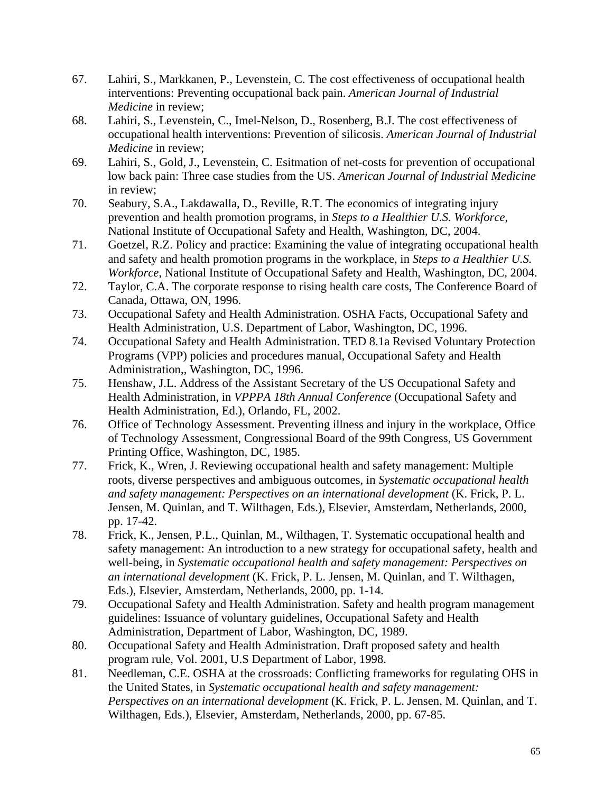- 67. Lahiri, S., Markkanen, P., Levenstein, C. The cost effectiveness of occupational health interventions: Preventing occupational back pain. *American Journal of Industrial Medicine* in review;
- 68. Lahiri, S., Levenstein, C., Imel-Nelson, D., Rosenberg, B.J. The cost effectiveness of occupational health interventions: Prevention of silicosis. *American Journal of Industrial Medicine* in review;
- 69. Lahiri, S., Gold, J., Levenstein, C. Esitmation of net-costs for prevention of occupational low back pain: Three case studies from the US. *American Journal of Industrial Medicine* in review;
- 70. Seabury, S.A., Lakdawalla, D., Reville, R.T. The economics of integrating injury prevention and health promotion programs, in *Steps to a Healthier U.S. Workforce*, National Institute of Occupational Safety and Health, Washington, DC, 2004.
- 71. Goetzel, R.Z. Policy and practice: Examining the value of integrating occupational health and safety and health promotion programs in the workplace, in *Steps to a Healthier U.S. Workforce*, National Institute of Occupational Safety and Health, Washington, DC, 2004.
- 72. Taylor, C.A. The corporate response to rising health care costs, The Conference Board of Canada, Ottawa, ON, 1996.
- 73. Occupational Safety and Health Administration. OSHA Facts, Occupational Safety and Health Administration, U.S. Department of Labor, Washington, DC, 1996.
- 74. Occupational Safety and Health Administration. TED 8.1a Revised Voluntary Protection Programs (VPP) policies and procedures manual, Occupational Safety and Health Administration,, Washington, DC, 1996.
- 75. Henshaw, J.L. Address of the Assistant Secretary of the US Occupational Safety and Health Administration, in *VPPPA 18th Annual Conference* (Occupational Safety and Health Administration, Ed.), Orlando, FL, 2002.
- 76. Office of Technology Assessment. Preventing illness and injury in the workplace, Office of Technology Assessment, Congressional Board of the 99th Congress, US Government Printing Office, Washington, DC, 1985.
- 77. Frick, K., Wren, J. Reviewing occupational health and safety management: Multiple roots, diverse perspectives and ambiguous outcomes, in *Systematic occupational health and safety management: Perspectives on an international development* (K. Frick, P. L. Jensen, M. Quinlan, and T. Wilthagen, Eds.), Elsevier, Amsterdam, Netherlands, 2000, pp. 17-42.
- 78. Frick, K., Jensen, P.L., Quinlan, M., Wilthagen, T. Systematic occupational health and safety management: An introduction to a new strategy for occupational safety, health and well-being, in *Systematic occupational health and safety management: Perspectives on an international development* (K. Frick, P. L. Jensen, M. Quinlan, and T. Wilthagen, Eds.), Elsevier, Amsterdam, Netherlands, 2000, pp. 1-14.
- 79. Occupational Safety and Health Administration. Safety and health program management guidelines: Issuance of voluntary guidelines, Occupational Safety and Health Administration, Department of Labor, Washington, DC, 1989.
- 80. Occupational Safety and Health Administration. Draft proposed safety and health program rule, Vol. 2001, U.S Department of Labor, 1998.
- 81. Needleman, C.E. OSHA at the crossroads: Conflicting frameworks for regulating OHS in the United States, in *Systematic occupational health and safety management: Perspectives on an international development* (K. Frick, P. L. Jensen, M. Quinlan, and T. Wilthagen, Eds.), Elsevier, Amsterdam, Netherlands, 2000, pp. 67-85.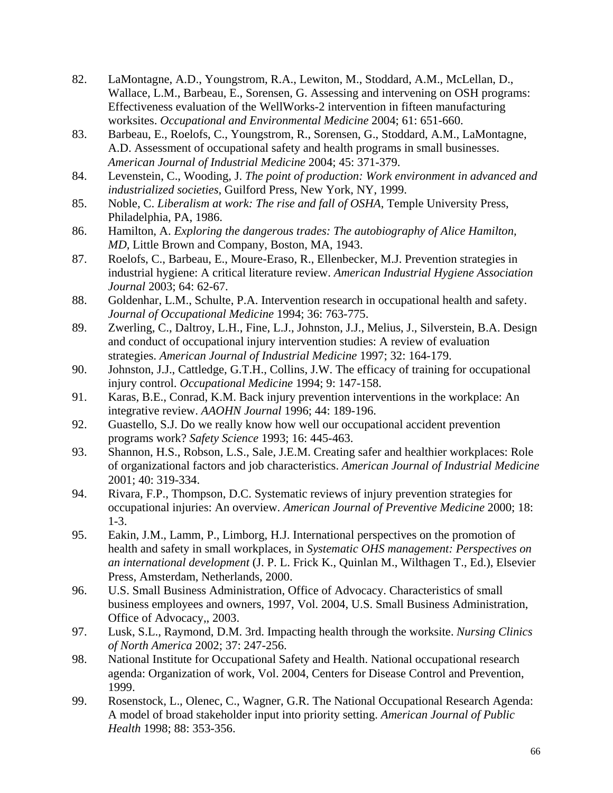- 82. LaMontagne, A.D., Youngstrom, R.A., Lewiton, M., Stoddard, A.M., McLellan, D., Wallace, L.M., Barbeau, E., Sorensen, G. Assessing and intervening on OSH programs: Effectiveness evaluation of the WellWorks-2 intervention in fifteen manufacturing worksites. *Occupational and Environmental Medicine* 2004; 61: 651-660.
- 83. Barbeau, E., Roelofs, C., Youngstrom, R., Sorensen, G., Stoddard, A.M., LaMontagne, A.D. Assessment of occupational safety and health programs in small businesses. *American Journal of Industrial Medicine* 2004; 45: 371-379.
- 84. Levenstein, C., Wooding, J. *The point of production: Work environment in advanced and industrialized societies*, Guilford Press, New York, NY, 1999.
- 85. Noble, C. *Liberalism at work: The rise and fall of OSHA*, Temple University Press, Philadelphia, PA, 1986.
- 86. Hamilton, A. *Exploring the dangerous trades: The autobiography of Alice Hamilton, MD*, Little Brown and Company, Boston, MA, 1943.
- 87. Roelofs, C., Barbeau, E., Moure-Eraso, R., Ellenbecker, M.J. Prevention strategies in industrial hygiene: A critical literature review. *American Industrial Hygiene Association Journal* 2003; 64: 62-67.
- 88. Goldenhar, L.M., Schulte, P.A. Intervention research in occupational health and safety. *Journal of Occupational Medicine* 1994; 36: 763-775.
- 89. Zwerling, C., Daltroy, L.H., Fine, L.J., Johnston, J.J., Melius, J., Silverstein, B.A. Design and conduct of occupational injury intervention studies: A review of evaluation strategies. *American Journal of Industrial Medicine* 1997; 32: 164-179.
- 90. Johnston, J.J., Cattledge, G.T.H., Collins, J.W. The efficacy of training for occupational injury control. *Occupational Medicine* 1994; 9: 147-158.
- 91. Karas, B.E., Conrad, K.M. Back injury prevention interventions in the workplace: An integrative review. *AAOHN Journal* 1996; 44: 189-196.
- 92. Guastello, S.J. Do we really know how well our occupational accident prevention programs work? *Safety Science* 1993; 16: 445-463.
- 93. Shannon, H.S., Robson, L.S., Sale, J.E.M. Creating safer and healthier workplaces: Role of organizational factors and job characteristics. *American Journal of Industrial Medicine* 2001; 40: 319-334.
- 94. Rivara, F.P., Thompson, D.C. Systematic reviews of injury prevention strategies for occupational injuries: An overview. *American Journal of Preventive Medicine* 2000; 18: 1-3.
- 95. Eakin, J.M., Lamm, P., Limborg, H.J. International perspectives on the promotion of health and safety in small workplaces, in *Systematic OHS management: Perspectives on an international development* (J. P. L. Frick K., Quinlan M., Wilthagen T., Ed.), Elsevier Press, Amsterdam, Netherlands, 2000.
- 96. U.S. Small Business Administration, Office of Advocacy. Characteristics of small business employees and owners, 1997, Vol. 2004, U.S. Small Business Administration, Office of Advocacy,, 2003.
- 97. Lusk, S.L., Raymond, D.M. 3rd. Impacting health through the worksite. *Nursing Clinics of North America* 2002; 37: 247-256.
- 98. National Institute for Occupational Safety and Health. National occupational research agenda: Organization of work, Vol. 2004, Centers for Disease Control and Prevention, 1999.
- 99. Rosenstock, L., Olenec, C., Wagner, G.R. The National Occupational Research Agenda: A model of broad stakeholder input into priority setting. *American Journal of Public Health* 1998; 88: 353-356.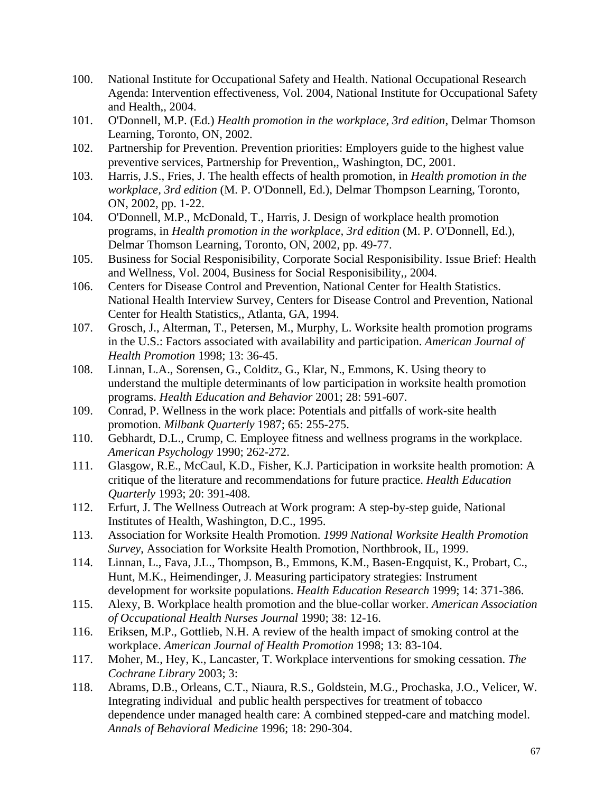- 100. National Institute for Occupational Safety and Health. National Occupational Research Agenda: Intervention effectiveness, Vol. 2004, National Institute for Occupational Safety and Health,, 2004.
- 101. O'Donnell, M.P. (Ed.) *Health promotion in the workplace, 3rd edition*, Delmar Thomson Learning, Toronto, ON, 2002.
- 102. Partnership for Prevention. Prevention priorities: Employers guide to the highest value preventive services, Partnership for Prevention,, Washington, DC, 2001.
- 103. Harris, J.S., Fries, J. The health effects of health promotion, in *Health promotion in the workplace, 3rd edition* (M. P. O'Donnell, Ed.), Delmar Thompson Learning, Toronto, ON, 2002, pp. 1-22.
- 104. O'Donnell, M.P., McDonald, T., Harris, J. Design of workplace health promotion programs, in *Health promotion in the workplace, 3rd edition* (M. P. O'Donnell, Ed.), Delmar Thomson Learning, Toronto, ON, 2002, pp. 49-77.
- 105. Business for Social Responisibility, Corporate Social Responisibility. Issue Brief: Health and Wellness, Vol. 2004, Business for Social Responisibility,, 2004.
- 106. Centers for Disease Control and Prevention, National Center for Health Statistics. National Health Interview Survey, Centers for Disease Control and Prevention, National Center for Health Statistics,, Atlanta, GA, 1994.
- 107. Grosch, J., Alterman, T., Petersen, M., Murphy, L. Worksite health promotion programs in the U.S.: Factors associated with availability and participation. *American Journal of Health Promotion* 1998; 13: 36-45.
- 108. Linnan, L.A., Sorensen, G., Colditz, G., Klar, N., Emmons, K. Using theory to understand the multiple determinants of low participation in worksite health promotion programs. *Health Education and Behavior* 2001; 28: 591-607.
- 109. Conrad, P. Wellness in the work place: Potentials and pitfalls of work-site health promotion. *Milbank Quarterly* 1987; 65: 255-275.
- 110. Gebhardt, D.L., Crump, C. Employee fitness and wellness programs in the workplace. *American Psychology* 1990; 262-272.
- 111. Glasgow, R.E., McCaul, K.D., Fisher, K.J. Participation in worksite health promotion: A critique of the literature and recommendations for future practice. *Health Education Quarterly* 1993; 20: 391-408.
- 112. Erfurt, J. The Wellness Outreach at Work program: A step-by-step guide, National Institutes of Health, Washington, D.C., 1995.
- 113. Association for Worksite Health Promotion. *1999 National Worksite Health Promotion Survey*, Association for Worksite Health Promotion, Northbrook, IL, 1999.
- 114. Linnan, L., Fava, J.L., Thompson, B., Emmons, K.M., Basen-Engquist, K., Probart, C., Hunt, M.K., Heimendinger, J. Measuring participatory strategies: Instrument development for worksite populations. *Health Education Research* 1999; 14: 371-386.
- 115. Alexy, B. Workplace health promotion and the blue-collar worker. *American Association of Occupational Health Nurses Journal* 1990; 38: 12-16.
- 116. Eriksen, M.P., Gottlieb, N.H. A review of the health impact of smoking control at the workplace. *American Journal of Health Promotion* 1998; 13: 83-104.
- 117. Moher, M., Hey, K., Lancaster, T. Workplace interventions for smoking cessation. *The Cochrane Library* 2003; 3:
- 118. Abrams, D.B., Orleans, C.T., Niaura, R.S., Goldstein, M.G., Prochaska, J.O., Velicer, W. Integrating individual and public health perspectives for treatment of tobacco dependence under managed health care: A combined stepped-care and matching model. *Annals of Behavioral Medicine* 1996; 18: 290-304.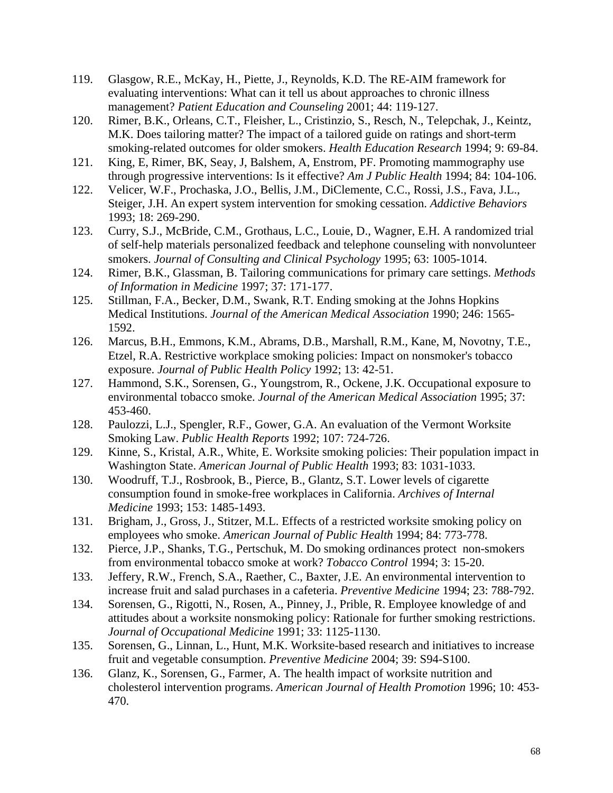- 119. Glasgow, R.E., McKay, H., Piette, J., Reynolds, K.D. The RE-AIM framework for evaluating interventions: What can it tell us about approaches to chronic illness management? *Patient Education and Counseling* 2001; 44: 119-127.
- 120. Rimer, B.K., Orleans, C.T., Fleisher, L., Cristinzio, S., Resch, N., Telepchak, J., Keintz, M.K. Does tailoring matter? The impact of a tailored guide on ratings and short-term smoking-related outcomes for older smokers. *Health Education Research* 1994; 9: 69-84.
- 121. King, E, Rimer, BK, Seay, J, Balshem, A, Enstrom, PF. Promoting mammography use through progressive interventions: Is it effective? *Am J Public Health* 1994; 84: 104-106.
- 122. Velicer, W.F., Prochaska, J.O., Bellis, J.M., DiClemente, C.C., Rossi, J.S., Fava, J.L., Steiger, J.H. An expert system intervention for smoking cessation. *Addictive Behaviors* 1993; 18: 269-290.
- 123. Curry, S.J., McBride, C.M., Grothaus, L.C., Louie, D., Wagner, E.H. A randomized trial of self-help materials personalized feedback and telephone counseling with nonvolunteer smokers. *Journal of Consulting and Clinical Psychology* 1995; 63: 1005-1014.
- 124. Rimer, B.K., Glassman, B. Tailoring communications for primary care settings. *Methods of Information in Medicine* 1997; 37: 171-177.
- 125. Stillman, F.A., Becker, D.M., Swank, R.T. Ending smoking at the Johns Hopkins Medical Institutions. *Journal of the American Medical Association* 1990; 246: 1565- 1592.
- 126. Marcus, B.H., Emmons, K.M., Abrams, D.B., Marshall, R.M., Kane, M, Novotny, T.E., Etzel, R.A. Restrictive workplace smoking policies: Impact on nonsmoker's tobacco exposure. *Journal of Public Health Policy* 1992; 13: 42-51.
- 127. Hammond, S.K., Sorensen, G., Youngstrom, R., Ockene, J.K. Occupational exposure to environmental tobacco smoke. *Journal of the American Medical Association* 1995; 37: 453-460.
- 128. Paulozzi, L.J., Spengler, R.F., Gower, G.A. An evaluation of the Vermont Worksite Smoking Law. *Public Health Reports* 1992; 107: 724-726.
- 129. Kinne, S., Kristal, A.R., White, E. Worksite smoking policies: Their population impact in Washington State. *American Journal of Public Health* 1993; 83: 1031-1033.
- 130. Woodruff, T.J., Rosbrook, B., Pierce, B., Glantz, S.T. Lower levels of cigarette consumption found in smoke-free workplaces in California. *Archives of Internal Medicine* 1993; 153: 1485-1493.
- 131. Brigham, J., Gross, J., Stitzer, M.L. Effects of a restricted worksite smoking policy on employees who smoke. *American Journal of Public Health* 1994; 84: 773-778.
- 132. Pierce, J.P., Shanks, T.G., Pertschuk, M. Do smoking ordinances protect non-smokers from environmental tobacco smoke at work? *Tobacco Control* 1994; 3: 15-20.
- 133. Jeffery, R.W., French, S.A., Raether, C., Baxter, J.E. An environmental intervention to increase fruit and salad purchases in a cafeteria. *Preventive Medicine* 1994; 23: 788-792.
- 134. Sorensen, G., Rigotti, N., Rosen, A., Pinney, J., Prible, R. Employee knowledge of and attitudes about a worksite nonsmoking policy: Rationale for further smoking restrictions. *Journal of Occupational Medicine* 1991; 33: 1125-1130.
- 135. Sorensen, G., Linnan, L., Hunt, M.K. Worksite-based research and initiatives to increase fruit and vegetable consumption. *Preventive Medicine* 2004; 39: S94-S100.
- 136. Glanz, K., Sorensen, G., Farmer, A. The health impact of worksite nutrition and cholesterol intervention programs. *American Journal of Health Promotion* 1996; 10: 453- 470.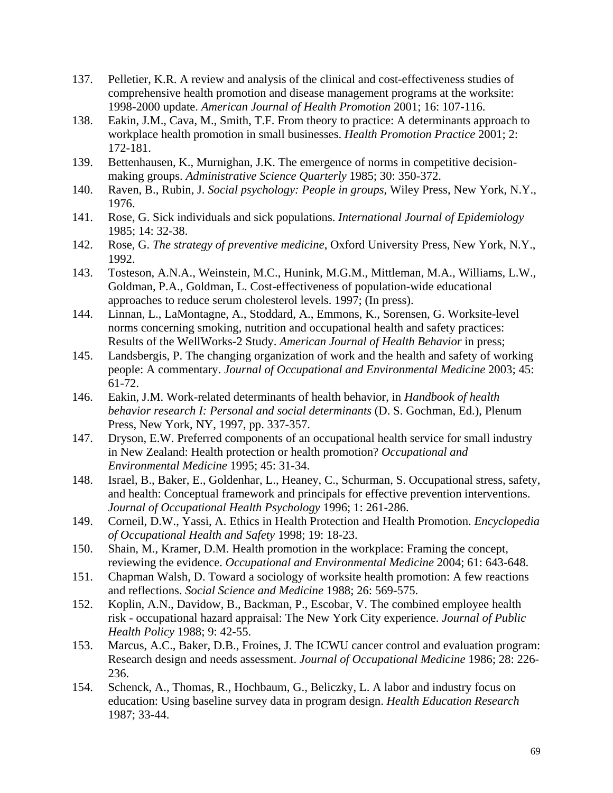- 137. Pelletier, K.R. A review and analysis of the clinical and cost-effectiveness studies of comprehensive health promotion and disease management programs at the worksite: 1998-2000 update. *American Journal of Health Promotion* 2001; 16: 107-116.
- 138. Eakin, J.M., Cava, M., Smith, T.F. From theory to practice: A determinants approach to workplace health promotion in small businesses. *Health Promotion Practice* 2001; 2: 172-181.
- 139. Bettenhausen, K., Murnighan, J.K. The emergence of norms in competitive decisionmaking groups. *Administrative Science Quarterly* 1985; 30: 350-372.
- 140. Raven, B., Rubin, J. *Social psychology: People in groups*, Wiley Press, New York, N.Y., 1976.
- 141. Rose, G. Sick individuals and sick populations. *International Journal of Epidemiology* 1985; 14: 32-38.
- 142. Rose, G. *The strategy of preventive medicine*, Oxford University Press, New York, N.Y., 1992.
- 143. Tosteson, A.N.A., Weinstein, M.C., Hunink, M.G.M., Mittleman, M.A., Williams, L.W., Goldman, P.A., Goldman, L. Cost-effectiveness of population-wide educational approaches to reduce serum cholesterol levels. 1997; (In press).
- 144. Linnan, L., LaMontagne, A., Stoddard, A., Emmons, K., Sorensen, G. Worksite-level norms concerning smoking, nutrition and occupational health and safety practices: Results of the WellWorks-2 Study. *American Journal of Health Behavior* in press;
- 145. Landsbergis, P. The changing organization of work and the health and safety of working people: A commentary. *Journal of Occupational and Environmental Medicine* 2003; 45: 61-72.
- 146. Eakin, J.M. Work-related determinants of health behavior, in *Handbook of health behavior research I: Personal and social determinants* (D. S. Gochman, Ed.), Plenum Press, New York, NY, 1997, pp. 337-357.
- 147. Dryson, E.W. Preferred components of an occupational health service for small industry in New Zealand: Health protection or health promotion? *Occupational and Environmental Medicine* 1995; 45: 31-34.
- 148. Israel, B., Baker, E., Goldenhar, L., Heaney, C., Schurman, S. Occupational stress, safety, and health: Conceptual framework and principals for effective prevention interventions. *Journal of Occupational Health Psychology* 1996; 1: 261-286.
- 149. Corneil, D.W., Yassi, A. Ethics in Health Protection and Health Promotion. *Encyclopedia of Occupational Health and Safety* 1998; 19: 18-23.
- 150. Shain, M., Kramer, D.M. Health promotion in the workplace: Framing the concept, reviewing the evidence. *Occupational and Environmental Medicine* 2004; 61: 643-648.
- 151. Chapman Walsh, D. Toward a sociology of worksite health promotion: A few reactions and reflections. *Social Science and Medicine* 1988; 26: 569-575.
- 152. Koplin, A.N., Davidow, B., Backman, P., Escobar, V. The combined employee health risk - occupational hazard appraisal: The New York City experience. *Journal of Public Health Policy* 1988; 9: 42-55.
- 153. Marcus, A.C., Baker, D.B., Froines, J. The ICWU cancer control and evaluation program: Research design and needs assessment. *Journal of Occupational Medicine* 1986; 28: 226- 236.
- 154. Schenck, A., Thomas, R., Hochbaum, G., Beliczky, L. A labor and industry focus on education: Using baseline survey data in program design. *Health Education Research* 1987; 33-44.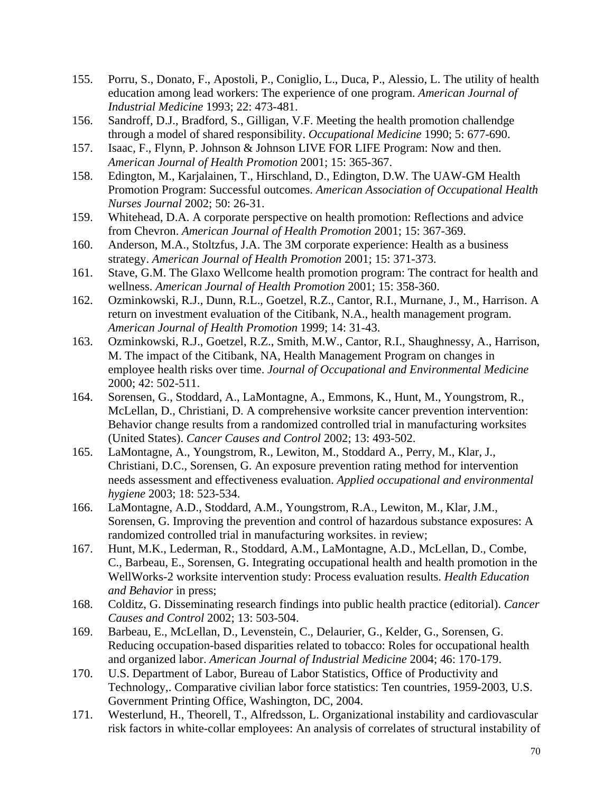- 155. Porru, S., Donato, F., Apostoli, P., Coniglio, L., Duca, P., Alessio, L. The utility of health education among lead workers: The experience of one program. *American Journal of Industrial Medicine* 1993; 22: 473-481.
- 156. Sandroff, D.J., Bradford, S., Gilligan, V.F. Meeting the health promotion challendge through a model of shared responsibility. *Occupational Medicine* 1990; 5: 677-690.
- 157. Isaac, F., Flynn, P. Johnson & Johnson LIVE FOR LIFE Program: Now and then. *American Journal of Health Promotion* 2001; 15: 365-367.
- 158. Edington, M., Karjalainen, T., Hirschland, D., Edington, D.W. The UAW-GM Health Promotion Program: Successful outcomes. *American Association of Occupational Health Nurses Journal* 2002; 50: 26-31.
- 159. Whitehead, D.A. A corporate perspective on health promotion: Reflections and advice from Chevron. *American Journal of Health Promotion* 2001; 15: 367-369.
- 160. Anderson, M.A., Stoltzfus, J.A. The 3M corporate experience: Health as a business strategy. *American Journal of Health Promotion* 2001; 15: 371-373.
- 161. Stave, G.M. The Glaxo Wellcome health promotion program: The contract for health and wellness. *American Journal of Health Promotion* 2001; 15: 358-360.
- 162. Ozminkowski, R.J., Dunn, R.L., Goetzel, R.Z., Cantor, R.I., Murnane, J., M., Harrison. A return on investment evaluation of the Citibank, N.A., health management program. *American Journal of Health Promotion* 1999; 14: 31-43.
- 163. Ozminkowski, R.J., Goetzel, R.Z., Smith, M.W., Cantor, R.I., Shaughnessy, A., Harrison, M. The impact of the Citibank, NA, Health Management Program on changes in employee health risks over time. *Journal of Occupational and Environmental Medicine* 2000; 42: 502-511.
- 164. Sorensen, G., Stoddard, A., LaMontagne, A., Emmons, K., Hunt, M., Youngstrom, R., McLellan, D., Christiani, D. A comprehensive worksite cancer prevention intervention: Behavior change results from a randomized controlled trial in manufacturing worksites (United States). *Cancer Causes and Control* 2002; 13: 493-502.
- 165. LaMontagne, A., Youngstrom, R., Lewiton, M., Stoddard A., Perry, M., Klar, J., Christiani, D.C., Sorensen, G. An exposure prevention rating method for intervention needs assessment and effectiveness evaluation. *Applied occupational and environmental hygiene* 2003; 18: 523-534.
- 166. LaMontagne, A.D., Stoddard, A.M., Youngstrom, R.A., Lewiton, M., Klar, J.M., Sorensen, G. Improving the prevention and control of hazardous substance exposures: A randomized controlled trial in manufacturing worksites. in review;
- 167. Hunt, M.K., Lederman, R., Stoddard, A.M., LaMontagne, A.D., McLellan, D., Combe, C., Barbeau, E., Sorensen, G. Integrating occupational health and health promotion in the WellWorks-2 worksite intervention study: Process evaluation results. *Health Education and Behavior* in press;
- 168. Colditz, G. Disseminating research findings into public health practice (editorial). *Cancer Causes and Control* 2002; 13: 503-504.
- 169. Barbeau, E., McLellan, D., Levenstein, C., Delaurier, G., Kelder, G., Sorensen, G. Reducing occupation-based disparities related to tobacco: Roles for occupational health and organized labor. *American Journal of Industrial Medicine* 2004; 46: 170-179.
- 170. U.S. Department of Labor, Bureau of Labor Statistics, Office of Productivity and Technology,. Comparative civilian labor force statistics: Ten countries, 1959-2003, U.S. Government Printing Office, Washington, DC, 2004.
- 171. Westerlund, H., Theorell, T., Alfredsson, L. Organizational instability and cardiovascular risk factors in white-collar employees: An analysis of correlates of structural instability of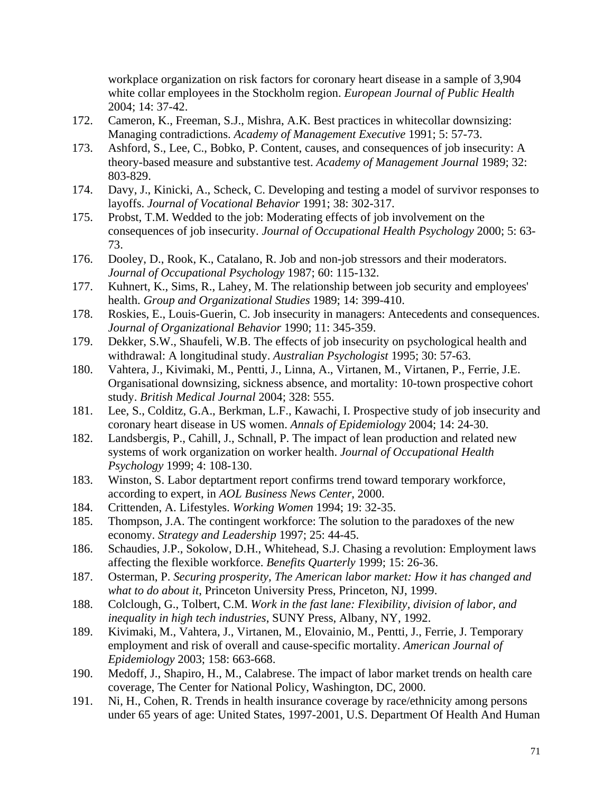workplace organization on risk factors for coronary heart disease in a sample of 3,904 white collar employees in the Stockholm region. *European Journal of Public Health* 2004; 14: 37-42.

- 172. Cameron, K., Freeman, S.J., Mishra, A.K. Best practices in whitecollar downsizing: Managing contradictions. *Academy of Management Executive* 1991; 5: 57-73.
- 173. Ashford, S., Lee, C., Bobko, P. Content, causes, and consequences of job insecurity: A theory-based measure and substantive test. *Academy of Management Journal* 1989; 32: 803-829.
- 174. Davy, J., Kinicki, A., Scheck, C. Developing and testing a model of survivor responses to layoffs. *Journal of Vocational Behavior* 1991; 38: 302-317.
- 175. Probst, T.M. Wedded to the job: Moderating effects of job involvement on the consequences of job insecurity. *Journal of Occupational Health Psychology* 2000; 5: 63- 73.
- 176. Dooley, D., Rook, K., Catalano, R. Job and non-job stressors and their moderators. *Journal of Occupational Psychology* 1987; 60: 115-132.
- 177. Kuhnert, K., Sims, R., Lahey, M. The relationship between job security and employees' health. *Group and Organizational Studies* 1989; 14: 399-410.
- 178. Roskies, E., Louis-Guerin, C. Job insecurity in managers: Antecedents and consequences. *Journal of Organizational Behavior* 1990; 11: 345-359.
- 179. Dekker, S.W., Shaufeli, W.B. The effects of job insecurity on psychological health and withdrawal: A longitudinal study. *Australian Psychologist* 1995; 30: 57-63.
- 180. Vahtera, J., Kivimaki, M., Pentti, J., Linna, A., Virtanen, M., Virtanen, P., Ferrie, J.E. Organisational downsizing, sickness absence, and mortality: 10-town prospective cohort study. *British Medical Journal* 2004; 328: 555.
- 181. Lee, S., Colditz, G.A., Berkman, L.F., Kawachi, I. Prospective study of job insecurity and coronary heart disease in US women. *Annals of Epidemiology* 2004; 14: 24-30.
- 182. Landsbergis, P., Cahill, J., Schnall, P. The impact of lean production and related new systems of work organization on worker health. *Journal of Occupational Health Psychology* 1999; 4: 108-130.
- 183. Winston, S. Labor deptartment report confirms trend toward temporary workforce, according to expert, in *AOL Business News Center*, 2000.
- 184. Crittenden, A. Lifestyles. *Working Women* 1994; 19: 32-35.
- 185. Thompson, J.A. The contingent workforce: The solution to the paradoxes of the new economy. *Strategy and Leadership* 1997; 25: 44-45.
- 186. Schaudies, J.P., Sokolow, D.H., Whitehead, S.J. Chasing a revolution: Employment laws affecting the flexible workforce. *Benefits Quarterly* 1999; 15: 26-36.
- 187. Osterman, P. *Securing prosperity, The American labor market: How it has changed and what to do about it*, Princeton University Press, Princeton, NJ, 1999.
- 188. Colclough, G., Tolbert, C.M. *Work in the fast lane: Flexibility, division of labor, and inequality in high tech industries*, SUNY Press, Albany, NY, 1992.
- 189. Kivimaki, M., Vahtera, J., Virtanen, M., Elovainio, M., Pentti, J., Ferrie, J. Temporary employment and risk of overall and cause-specific mortality. *American Journal of Epidemiology* 2003; 158: 663-668.
- 190. Medoff, J., Shapiro, H., M., Calabrese. The impact of labor market trends on health care coverage, The Center for National Policy, Washington, DC, 2000.
- 191. Ni, H., Cohen, R. Trends in health insurance coverage by race/ethnicity among persons under 65 years of age: United States, 1997-2001, U.S. Department Of Health And Human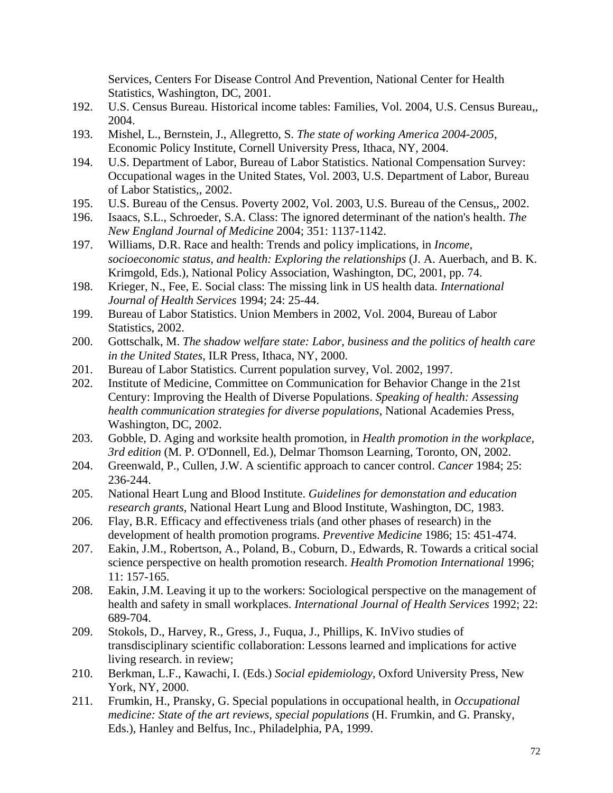Services, Centers For Disease Control And Prevention, National Center for Health Statistics, Washington, DC, 2001.

- 192. U.S. Census Bureau. Historical income tables: Families, Vol. 2004, U.S. Census Bureau,, 2004.
- 193. Mishel, L., Bernstein, J., Allegretto, S. *The state of working America 2004-2005*, Economic Policy Institute, Cornell University Press, Ithaca, NY, 2004.
- 194. U.S. Department of Labor, Bureau of Labor Statistics. National Compensation Survey: Occupational wages in the United States, Vol. 2003, U.S. Department of Labor, Bureau of Labor Statistics,, 2002.
- 195. U.S. Bureau of the Census. Poverty 2002, Vol. 2003, U.S. Bureau of the Census,, 2002.
- 196. Isaacs, S.L., Schroeder, S.A. Class: The ignored determinant of the nation's health. *The New England Journal of Medicine* 2004; 351: 1137-1142.
- 197. Williams, D.R. Race and health: Trends and policy implications, in *Income, socioeconomic status, and health: Exploring the relationships* (J. A. Auerbach, and B. K. Krimgold, Eds.), National Policy Association, Washington, DC, 2001, pp. 74.
- 198. Krieger, N., Fee, E. Social class: The missing link in US health data. *International Journal of Health Services* 1994; 24: 25-44.
- 199. Bureau of Labor Statistics. Union Members in 2002, Vol. 2004, Bureau of Labor Statistics, 2002.
- 200. Gottschalk, M. *The shadow welfare state: Labor, business and the politics of health care in the United States*, ILR Press, Ithaca, NY, 2000.
- 201. Bureau of Labor Statistics. Current population survey, Vol. 2002, 1997.
- 202. Institute of Medicine, Committee on Communication for Behavior Change in the 21st Century: Improving the Health of Diverse Populations. *Speaking of health: Assessing health communication strategies for diverse populations*, National Academies Press, Washington, DC, 2002.
- 203. Gobble, D. Aging and worksite health promotion, in *Health promotion in the workplace, 3rd edition* (M. P. O'Donnell, Ed.), Delmar Thomson Learning, Toronto, ON, 2002.
- 204. Greenwald, P., Cullen, J.W. A scientific approach to cancer control. *Cancer* 1984; 25: 236-244.
- 205. National Heart Lung and Blood Institute. *Guidelines for demonstation and education research grants*, National Heart Lung and Blood Institute, Washington, DC, 1983.
- 206. Flay, B.R. Efficacy and effectiveness trials (and other phases of research) in the development of health promotion programs. *Preventive Medicine* 1986; 15: 451-474.
- 207. Eakin, J.M., Robertson, A., Poland, B., Coburn, D., Edwards, R. Towards a critical social science perspective on health promotion research. *Health Promotion International* 1996; 11: 157-165.
- 208. Eakin, J.M. Leaving it up to the workers: Sociological perspective on the management of health and safety in small workplaces. *International Journal of Health Services* 1992; 22: 689-704.
- 209. Stokols, D., Harvey, R., Gress, J., Fuqua, J., Phillips, K. InVivo studies of transdisciplinary scientific collaboration: Lessons learned and implications for active living research. in review;
- 210. Berkman, L.F., Kawachi, I. (Eds.) *Social epidemiology*, Oxford University Press, New York, NY, 2000.
- 211. Frumkin, H., Pransky, G. Special populations in occupational health, in *Occupational medicine: State of the art reviews, special populations* (H. Frumkin, and G. Pransky, Eds.), Hanley and Belfus, Inc., Philadelphia, PA, 1999.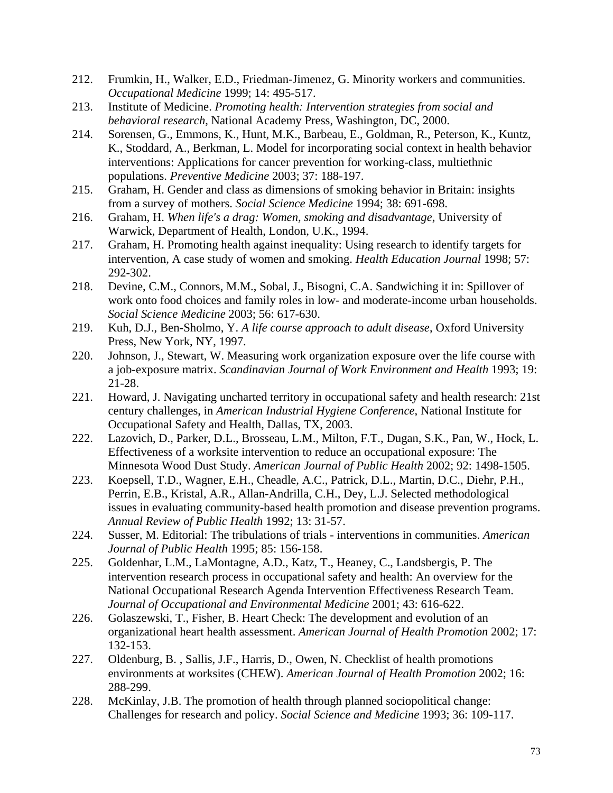- 212. Frumkin, H., Walker, E.D., Friedman-Jimenez, G. Minority workers and communities. *Occupational Medicine* 1999; 14: 495-517.
- 213. Institute of Medicine. *Promoting health: Intervention strategies from social and behavioral research*, National Academy Press, Washington, DC, 2000.
- 214. Sorensen, G., Emmons, K., Hunt, M.K., Barbeau, E., Goldman, R., Peterson, K., Kuntz, K., Stoddard, A., Berkman, L. Model for incorporating social context in health behavior interventions: Applications for cancer prevention for working-class, multiethnic populations. *Preventive Medicine* 2003; 37: 188-197.
- 215. Graham, H. Gender and class as dimensions of smoking behavior in Britain: insights from a survey of mothers. *Social Science Medicine* 1994; 38: 691-698.
- 216. Graham, H. *When life's a drag: Women, smoking and disadvantage*, University of Warwick, Department of Health, London, U.K., 1994.
- 217. Graham, H. Promoting health against inequality: Using research to identify targets for intervention, A case study of women and smoking. *Health Education Journal* 1998; 57: 292-302.
- 218. Devine, C.M., Connors, M.M., Sobal, J., Bisogni, C.A. Sandwiching it in: Spillover of work onto food choices and family roles in low- and moderate-income urban households. *Social Science Medicine* 2003; 56: 617-630.
- 219. Kuh, D.J., Ben-Sholmo, Y. *A life course approach to adult disease*, Oxford University Press, New York, NY, 1997.
- 220. Johnson, J., Stewart, W. Measuring work organization exposure over the life course with a job-exposure matrix. *Scandinavian Journal of Work Environment and Health* 1993; 19: 21-28.
- 221. Howard, J. Navigating uncharted territory in occupational safety and health research: 21st century challenges, in *American Industrial Hygiene Conference*, National Institute for Occupational Safety and Health, Dallas, TX, 2003.
- 222. Lazovich, D., Parker, D.L., Brosseau, L.M., Milton, F.T., Dugan, S.K., Pan, W., Hock, L. Effectiveness of a worksite intervention to reduce an occupational exposure: The Minnesota Wood Dust Study. *American Journal of Public Health* 2002; 92: 1498-1505.
- 223. Koepsell, T.D., Wagner, E.H., Cheadle, A.C., Patrick, D.L., Martin, D.C., Diehr, P.H., Perrin, E.B., Kristal, A.R., Allan-Andrilla, C.H., Dey, L.J. Selected methodological issues in evaluating community-based health promotion and disease prevention programs. *Annual Review of Public Health* 1992; 13: 31-57.
- 224. Susser, M. Editorial: The tribulations of trials interventions in communities. *American Journal of Public Health* 1995; 85: 156-158.
- 225. Goldenhar, L.M., LaMontagne, A.D., Katz, T., Heaney, C., Landsbergis, P. The intervention research process in occupational safety and health: An overview for the National Occupational Research Agenda Intervention Effectiveness Research Team. *Journal of Occupational and Environmental Medicine* 2001; 43: 616-622.
- 226. Golaszewski, T., Fisher, B. Heart Check: The development and evolution of an organizational heart health assessment. *American Journal of Health Promotion* 2002; 17: 132-153.
- 227. Oldenburg, B. , Sallis, J.F., Harris, D., Owen, N. Checklist of health promotions environments at worksites (CHEW). *American Journal of Health Promotion* 2002; 16: 288-299.
- 228. McKinlay, J.B. The promotion of health through planned sociopolitical change: Challenges for research and policy. *Social Science and Medicine* 1993; 36: 109-117.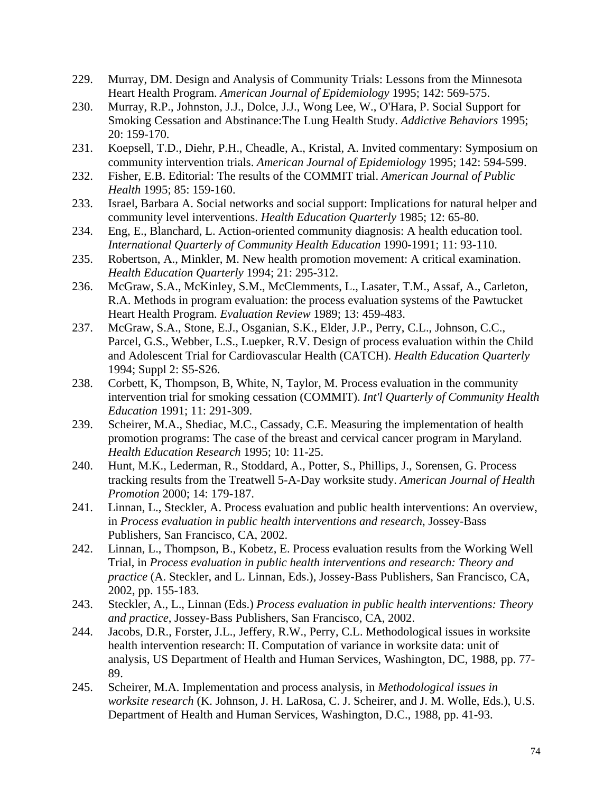- 229. Murray, DM. Design and Analysis of Community Trials: Lessons from the Minnesota Heart Health Program. *American Journal of Epidemiology* 1995; 142: 569-575.
- 230. Murray, R.P., Johnston, J.J., Dolce, J.J., Wong Lee, W., O'Hara, P. Social Support for Smoking Cessation and Abstinance:The Lung Health Study. *Addictive Behaviors* 1995; 20: 159-170.
- 231. Koepsell, T.D., Diehr, P.H., Cheadle, A., Kristal, A. Invited commentary: Symposium on community intervention trials. *American Journal of Epidemiology* 1995; 142: 594-599.
- 232. Fisher, E.B. Editorial: The results of the COMMIT trial. *American Journal of Public Health* 1995; 85: 159-160.
- 233. Israel, Barbara A. Social networks and social support: Implications for natural helper and community level interventions. *Health Education Quarterly* 1985; 12: 65-80.
- 234. Eng, E., Blanchard, L. Action-oriented community diagnosis: A health education tool. *International Quarterly of Community Health Education* 1990-1991; 11: 93-110.
- 235. Robertson, A., Minkler, M. New health promotion movement: A critical examination. *Health Education Quarterly* 1994; 21: 295-312.
- 236. McGraw, S.A., McKinley, S.M., McClemments, L., Lasater, T.M., Assaf, A., Carleton, R.A. Methods in program evaluation: the process evaluation systems of the Pawtucket Heart Health Program. *Evaluation Review* 1989; 13: 459-483.
- 237. McGraw, S.A., Stone, E.J., Osganian, S.K., Elder, J.P., Perry, C.L., Johnson, C.C., Parcel, G.S., Webber, L.S., Luepker, R.V. Design of process evaluation within the Child and Adolescent Trial for Cardiovascular Health (CATCH). *Health Education Quarterly* 1994; Suppl 2: S5-S26.
- 238. Corbett, K, Thompson, B, White, N, Taylor, M. Process evaluation in the community intervention trial for smoking cessation (COMMIT). *Int'l Quarterly of Community Health Education* 1991; 11: 291-309.
- 239. Scheirer, M.A., Shediac, M.C., Cassady, C.E. Measuring the implementation of health promotion programs: The case of the breast and cervical cancer program in Maryland. *Health Education Research* 1995; 10: 11-25.
- 240. Hunt, M.K., Lederman, R., Stoddard, A., Potter, S., Phillips, J., Sorensen, G. Process tracking results from the Treatwell 5-A-Day worksite study. *American Journal of Health Promotion* 2000; 14: 179-187.
- 241. Linnan, L., Steckler, A. Process evaluation and public health interventions: An overview, in *Process evaluation in public health interventions and research*, Jossey-Bass Publishers, San Francisco, CA, 2002.
- 242. Linnan, L., Thompson, B., Kobetz, E. Process evaluation results from the Working Well Trial, in *Process evaluation in public health interventions and research: Theory and practice* (A. Steckler, and L. Linnan, Eds.), Jossey-Bass Publishers, San Francisco, CA, 2002, pp. 155-183.
- 243. Steckler, A., L., Linnan (Eds.) *Process evaluation in public health interventions: Theory and practice*, Jossey-Bass Publishers, San Francisco, CA, 2002.
- 244. Jacobs, D.R., Forster, J.L., Jeffery, R.W., Perry, C.L. Methodological issues in worksite health intervention research: II. Computation of variance in worksite data: unit of analysis, US Department of Health and Human Services, Washington, DC, 1988, pp. 77- 89.
- 245. Scheirer, M.A. Implementation and process analysis, in *Methodological issues in worksite research* (K. Johnson, J. H. LaRosa, C. J. Scheirer, and J. M. Wolle, Eds.), U.S. Department of Health and Human Services, Washington, D.C., 1988, pp. 41-93.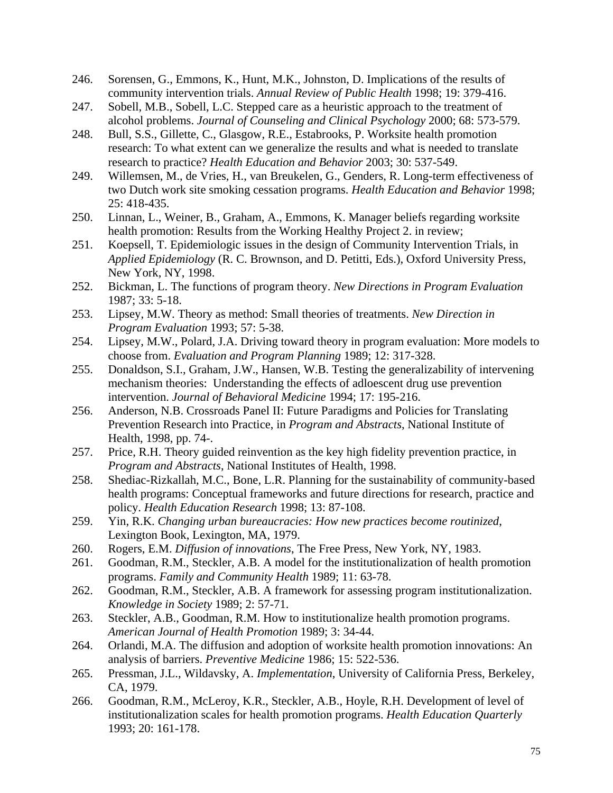- 246. Sorensen, G., Emmons, K., Hunt, M.K., Johnston, D. Implications of the results of community intervention trials. *Annual Review of Public Health* 1998; 19: 379-416.
- 247. Sobell, M.B., Sobell, L.C. Stepped care as a heuristic approach to the treatment of alcohol problems. *Journal of Counseling and Clinical Psychology* 2000; 68: 573-579.
- 248. Bull, S.S., Gillette, C., Glasgow, R.E., Estabrooks, P. Worksite health promotion research: To what extent can we generalize the results and what is needed to translate research to practice? *Health Education and Behavior* 2003; 30: 537-549.
- 249. Willemsen, M., de Vries, H., van Breukelen, G., Genders, R. Long-term effectiveness of two Dutch work site smoking cessation programs. *Health Education and Behavior* 1998; 25: 418-435.
- 250. Linnan, L., Weiner, B., Graham, A., Emmons, K. Manager beliefs regarding worksite health promotion: Results from the Working Healthy Project 2. in review;
- 251. Koepsell, T. Epidemiologic issues in the design of Community Intervention Trials, in *Applied Epidemiology* (R. C. Brownson, and D. Petitti, Eds.), Oxford University Press, New York, NY, 1998.
- 252. Bickman, L. The functions of program theory. *New Directions in Program Evaluation* 1987; 33: 5-18.
- 253. Lipsey, M.W. Theory as method: Small theories of treatments. *New Direction in Program Evaluation* 1993; 57: 5-38.
- 254. Lipsey, M.W., Polard, J.A. Driving toward theory in program evaluation: More models to choose from. *Evaluation and Program Planning* 1989; 12: 317-328.
- 255. Donaldson, S.I., Graham, J.W., Hansen, W.B. Testing the generalizability of intervening mechanism theories: Understanding the effects of adloescent drug use prevention intervention. *Journal of Behavioral Medicine* 1994; 17: 195-216.
- 256. Anderson, N.B. Crossroads Panel II: Future Paradigms and Policies for Translating Prevention Research into Practice, in *Program and Abstracts*, National Institute of Health, 1998, pp. 74-.
- 257. Price, R.H. Theory guided reinvention as the key high fidelity prevention practice, in *Program and Abstracts*, National Institutes of Health, 1998.
- 258. Shediac-Rizkallah, M.C., Bone, L.R. Planning for the sustainability of community-based health programs: Conceptual frameworks and future directions for research, practice and policy. *Health Education Research* 1998; 13: 87-108.
- 259. Yin, R.K. *Changing urban bureaucracies: How new practices become routinized*, Lexington Book, Lexington, MA, 1979.
- 260. Rogers, E.M. *Diffusion of innovations*, The Free Press, New York, NY, 1983.
- 261. Goodman, R.M., Steckler, A.B. A model for the institutionalization of health promotion programs. *Family and Community Health* 1989; 11: 63-78.
- 262. Goodman, R.M., Steckler, A.B. A framework for assessing program institutionalization. *Knowledge in Society* 1989; 2: 57-71.
- 263. Steckler, A.B., Goodman, R.M. How to institutionalize health promotion programs. *American Journal of Health Promotion* 1989; 3: 34-44.
- 264. Orlandi, M.A. The diffusion and adoption of worksite health promotion innovations: An analysis of barriers. *Preventive Medicine* 1986; 15: 522-536.
- 265. Pressman, J.L., Wildavsky, A. *Implementation*, University of California Press, Berkeley, CA, 1979.
- 266. Goodman, R.M., McLeroy, K.R., Steckler, A.B., Hoyle, R.H. Development of level of institutionalization scales for health promotion programs. *Health Education Quarterly* 1993; 20: 161-178.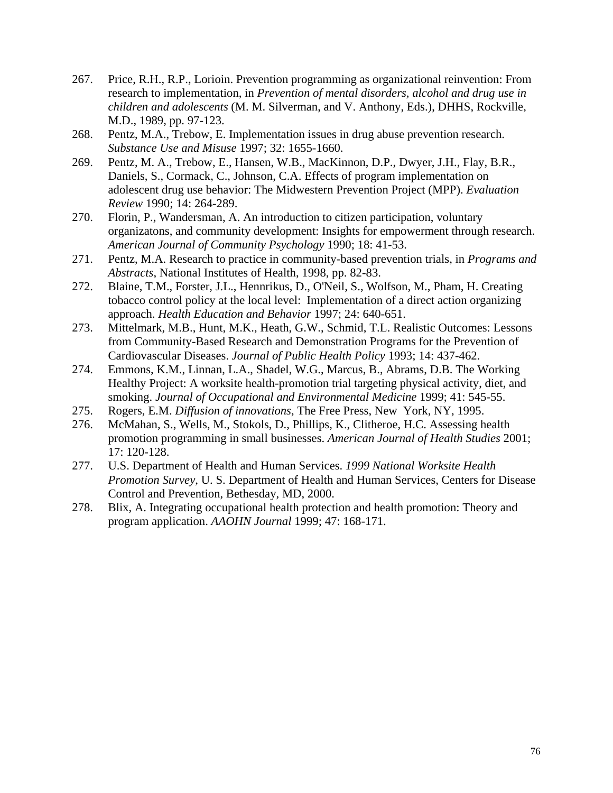- 267. Price, R.H., R.P., Lorioin. Prevention programming as organizational reinvention: From research to implementation, in *Prevention of mental disorders, alcohol and drug use in children and adolescents* (M. M. Silverman, and V. Anthony, Eds.), DHHS, Rockville, M.D., 1989, pp. 97-123.
- 268. Pentz, M.A., Trebow, E. Implementation issues in drug abuse prevention research. *Substance Use and Misuse* 1997; 32: 1655-1660.
- 269. Pentz, M. A., Trebow, E., Hansen, W.B., MacKinnon, D.P., Dwyer, J.H., Flay, B.R., Daniels, S., Cormack, C., Johnson, C.A. Effects of program implementation on adolescent drug use behavior: The Midwestern Prevention Project (MPP). *Evaluation Review* 1990; 14: 264-289.
- 270. Florin, P., Wandersman, A. An introduction to citizen participation, voluntary organizatons, and community development: Insights for empowerment through research. *American Journal of Community Psychology* 1990; 18: 41-53.
- 271. Pentz, M.A. Research to practice in community-based prevention trials, in *Programs and Abstracts*, National Institutes of Health, 1998, pp. 82-83.
- 272. Blaine, T.M., Forster, J.L., Hennrikus, D., O'Neil, S., Wolfson, M., Pham, H. Creating tobacco control policy at the local level: Implementation of a direct action organizing approach. *Health Education and Behavior* 1997; 24: 640-651.
- 273. Mittelmark, M.B., Hunt, M.K., Heath, G.W., Schmid, T.L. Realistic Outcomes: Lessons from Community-Based Research and Demonstration Programs for the Prevention of Cardiovascular Diseases. *Journal of Public Health Policy* 1993; 14: 437-462.
- 274. Emmons, K.M., Linnan, L.A., Shadel, W.G., Marcus, B., Abrams, D.B. The Working Healthy Project: A worksite health-promotion trial targeting physical activity, diet, and smoking. *Journal of Occupational and Environmental Medicine* 1999; 41: 545-55.
- 275. Rogers, E.M. *Diffusion of innovations*, The Free Press, New York, NY, 1995.
- 276. McMahan, S., Wells, M., Stokols, D., Phillips, K., Clitheroe, H.C. Assessing health promotion programming in small businesses. *American Journal of Health Studies* 2001; 17: 120-128.
- 277. U.S. Department of Health and Human Services. *1999 National Worksite Health Promotion Survey*, U. S. Department of Health and Human Services, Centers for Disease Control and Prevention, Bethesday, MD, 2000.
- 278. Blix, A. Integrating occupational health protection and health promotion: Theory and program application. *AAOHN Journal* 1999; 47: 168-171.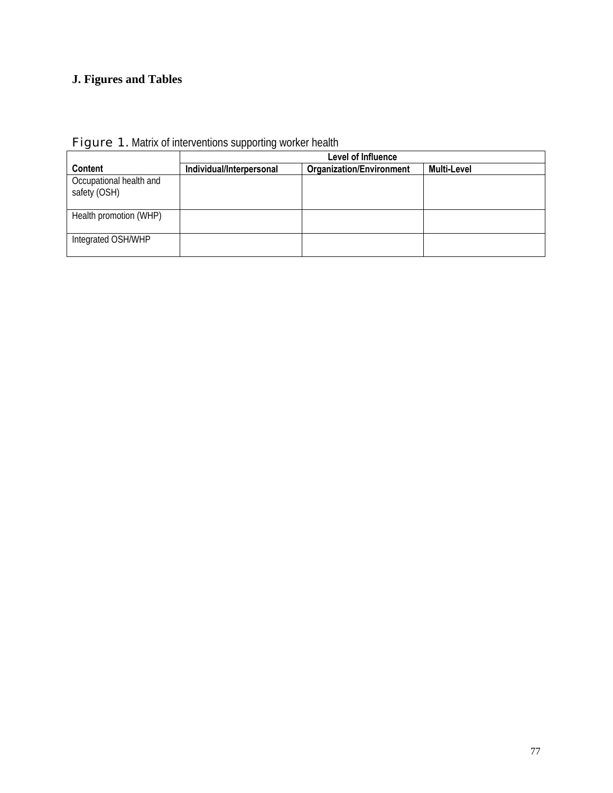# **J. Figures and Tables**

|                                         |                          | Level of Influence              |             |
|-----------------------------------------|--------------------------|---------------------------------|-------------|
| <b>Content</b>                          | Individual/Interpersonal | <b>Organization/Environment</b> | Multi-Level |
| Occupational health and<br>safety (OSH) |                          |                                 |             |
| Health promotion (WHP)                  |                          |                                 |             |
| Integrated OSH/WHP                      |                          |                                 |             |

# Figure 1. Matrix of interventions supporting worker health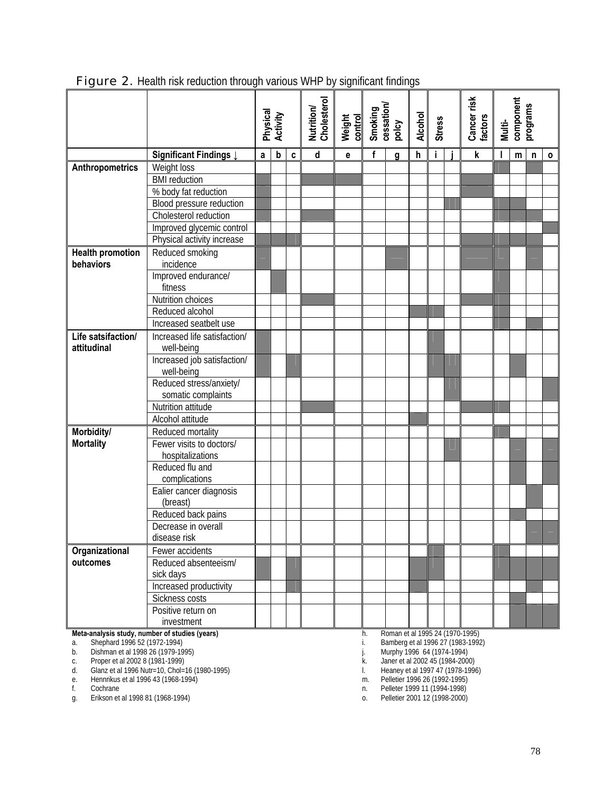|                                                                               |                                               | Physical<br>Activity |                           | Nutrition/<br>Cholesterol | Weight<br>control       | Smoking<br>cessation/<br>polcy                                      |              | <b>Alcohol</b><br><b>Stress</b> |   |    | Cancer risk<br>factors | component<br>programs<br>Multi-   |   |   |              |              |
|-------------------------------------------------------------------------------|-----------------------------------------------|----------------------|---------------------------|---------------------------|-------------------------|---------------------------------------------------------------------|--------------|---------------------------------|---|----|------------------------|-----------------------------------|---|---|--------------|--------------|
|                                                                               | Significant Findings I                        | a                    | $\boldsymbol{\mathsf{b}}$ | C                         | $\overline{\mathsf{d}}$ | e                                                                   | $\mathbf{f}$ | g                               | h | j. |                        | $\overline{\mathbf{k}}$           | ı | m | $\mathsf{n}$ | $\mathbf{o}$ |
| Anthropometrics                                                               | Weight loss                                   |                      |                           |                           |                         |                                                                     |              |                                 |   |    |                        |                                   |   |   |              |              |
|                                                                               | <b>BMI</b> reduction                          |                      |                           |                           |                         |                                                                     |              |                                 |   |    |                        |                                   |   |   |              |              |
|                                                                               | % body fat reduction                          |                      |                           |                           |                         |                                                                     |              |                                 |   |    |                        |                                   |   |   |              |              |
|                                                                               | Blood pressure reduction                      |                      |                           |                           |                         |                                                                     |              |                                 |   |    |                        |                                   |   |   |              |              |
|                                                                               | Cholesterol reduction                         |                      |                           |                           |                         |                                                                     |              |                                 |   |    |                        |                                   |   |   |              |              |
|                                                                               | Improved glycemic control                     |                      |                           |                           |                         |                                                                     |              |                                 |   |    |                        |                                   |   |   |              |              |
|                                                                               | Physical activity increase                    |                      |                           |                           |                         |                                                                     |              |                                 |   |    |                        |                                   |   |   |              |              |
| <b>Health promotion</b>                                                       | Reduced smoking                               |                      |                           |                           |                         |                                                                     |              |                                 |   |    |                        |                                   |   |   |              |              |
| behaviors                                                                     | incidence                                     |                      |                           |                           |                         |                                                                     |              |                                 |   |    |                        |                                   |   |   |              |              |
|                                                                               | Improved endurance/                           |                      |                           |                           |                         |                                                                     |              |                                 |   |    |                        |                                   |   |   |              |              |
|                                                                               | fitness                                       |                      |                           |                           |                         |                                                                     |              |                                 |   |    |                        |                                   |   |   |              |              |
|                                                                               | Nutrition choices                             |                      |                           |                           |                         |                                                                     |              |                                 |   |    |                        |                                   |   |   |              |              |
|                                                                               | Reduced alcohol                               |                      |                           |                           |                         |                                                                     |              |                                 |   |    |                        |                                   |   |   |              |              |
|                                                                               | Increased seatbelt use                        |                      |                           |                           |                         |                                                                     |              |                                 |   |    |                        |                                   |   |   |              |              |
| Life satsifaction/                                                            | Increased life satisfaction/                  |                      |                           |                           |                         |                                                                     |              |                                 |   |    |                        |                                   |   |   |              |              |
| attitudinal                                                                   | well-being                                    |                      |                           |                           |                         |                                                                     |              |                                 |   |    |                        |                                   |   |   |              |              |
|                                                                               | Increased job satisfaction/                   |                      |                           |                           |                         |                                                                     |              |                                 |   |    |                        |                                   |   |   |              |              |
|                                                                               | well-being                                    |                      |                           |                           |                         |                                                                     |              |                                 |   |    |                        |                                   |   |   |              |              |
|                                                                               | Reduced stress/anxiety/<br>somatic complaints |                      |                           |                           |                         |                                                                     |              |                                 |   |    |                        |                                   |   |   |              |              |
|                                                                               | Nutrition attitude                            |                      |                           |                           |                         |                                                                     |              |                                 |   |    |                        |                                   |   |   |              |              |
|                                                                               | Alcohol attitude                              |                      |                           |                           |                         |                                                                     |              |                                 |   |    |                        |                                   |   |   |              |              |
| Morbidity/                                                                    | Reduced mortality                             |                      |                           |                           |                         |                                                                     |              |                                 |   |    |                        |                                   |   |   |              |              |
| <b>Mortality</b>                                                              | Fewer visits to doctors/                      |                      |                           |                           |                         |                                                                     |              |                                 |   |    |                        |                                   |   |   |              |              |
|                                                                               | hospitalizations                              |                      |                           |                           |                         |                                                                     |              |                                 |   |    |                        |                                   |   |   |              |              |
|                                                                               | Reduced flu and                               |                      |                           |                           |                         |                                                                     |              |                                 |   |    |                        |                                   |   |   |              |              |
|                                                                               | complications                                 |                      |                           |                           |                         |                                                                     |              |                                 |   |    |                        |                                   |   |   |              |              |
|                                                                               | Ealier cancer diagnosis                       |                      |                           |                           |                         |                                                                     |              |                                 |   |    |                        |                                   |   |   |              |              |
|                                                                               | (breast)                                      |                      |                           |                           |                         |                                                                     |              |                                 |   |    |                        |                                   |   |   |              |              |
|                                                                               | Reduced back pains                            |                      |                           |                           |                         |                                                                     |              |                                 |   |    |                        |                                   |   |   |              |              |
|                                                                               | Decrease in overall                           |                      |                           |                           |                         |                                                                     |              |                                 |   |    |                        |                                   |   |   |              |              |
|                                                                               | disease risk                                  |                      |                           |                           |                         |                                                                     |              |                                 |   |    |                        |                                   |   |   |              |              |
| Organizational                                                                | Fewer accidents                               |                      |                           |                           |                         |                                                                     |              |                                 |   |    |                        |                                   |   |   |              |              |
| outcomes                                                                      | Reduced absenteeism/                          |                      |                           |                           |                         |                                                                     |              |                                 |   |    |                        |                                   |   |   |              |              |
|                                                                               | sick days                                     |                      |                           |                           |                         |                                                                     |              |                                 |   |    |                        |                                   |   |   |              |              |
|                                                                               | Increased productivity                        |                      |                           |                           |                         |                                                                     |              |                                 |   |    |                        |                                   |   |   |              |              |
|                                                                               | Sickness costs                                |                      |                           |                           |                         |                                                                     |              |                                 |   |    |                        |                                   |   |   |              |              |
|                                                                               | Positive return on                            |                      |                           |                           |                         |                                                                     |              |                                 |   |    |                        |                                   |   |   |              |              |
|                                                                               | investment                                    |                      |                           |                           |                         |                                                                     |              |                                 |   |    |                        |                                   |   |   |              |              |
| Meta-analysis study, number of studies (years)                                |                                               |                      |                           |                           |                         |                                                                     | h.           | Roman et al 1995 24 (1970-1995) |   |    |                        |                                   |   |   |              |              |
| Shephard 1996 52 (1972-1994)<br>a.<br>Dishman et al 1998 26 (1979-1995)<br>b. |                                               |                      |                           |                           |                         |                                                                     | i.           |                                 |   |    |                        | Bamberg et al 1996 27 (1983-1992) |   |   |              |              |
| Proper et al 2002 8 (1981-1999)<br>C.                                         |                                               |                      |                           |                           |                         | Murphy 1996 64 (1974-1994)<br>Janer et al 2002 45 (1984-2000)<br>k. |              |                                 |   |    |                        |                                   |   |   |              |              |

Figure 2. Health risk reduction through various WHP by significant findings

d. Glanz et al 1996 Nutr=10, Chol=16 (1980-1995) l. Heaney et al 1997 47 (1978-1996)

e. Hennrikus et al 1996 43 (1968-1994) m. Pelletier 1996 26 (1992-1995)

f. Cochrane n. Pelleter 1999 11 (1994-1998)

g. Erikson et al 1998 81 (1968-1994) o. Pelletier 2001 12 (1998-2000)

c. Property 1220 84 (1274-1994)<br>k. Janer et al 2002 45 (1984-2000)<br>m. Pelletier 1996 26 (1992-1995)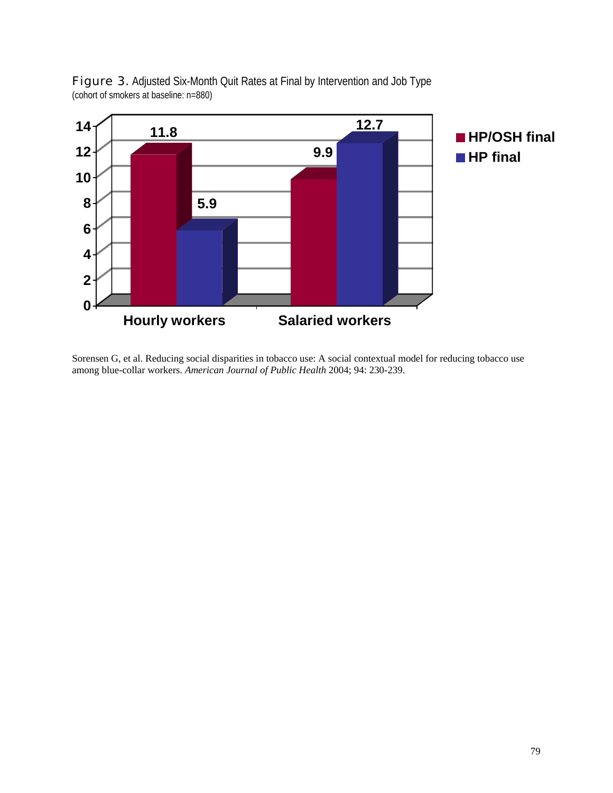

Figure 3. Adjusted Six-Month Quit Rates at Final by Intervention and Job Type (cohort of smokers at baseline: n=880)

Sorensen G, et al. Reducing social disparities in tobacco use: A social contextual model for reducing tobacco use among blue-collar workers. *American Journal of Public Health* 2004; 94: 230-239.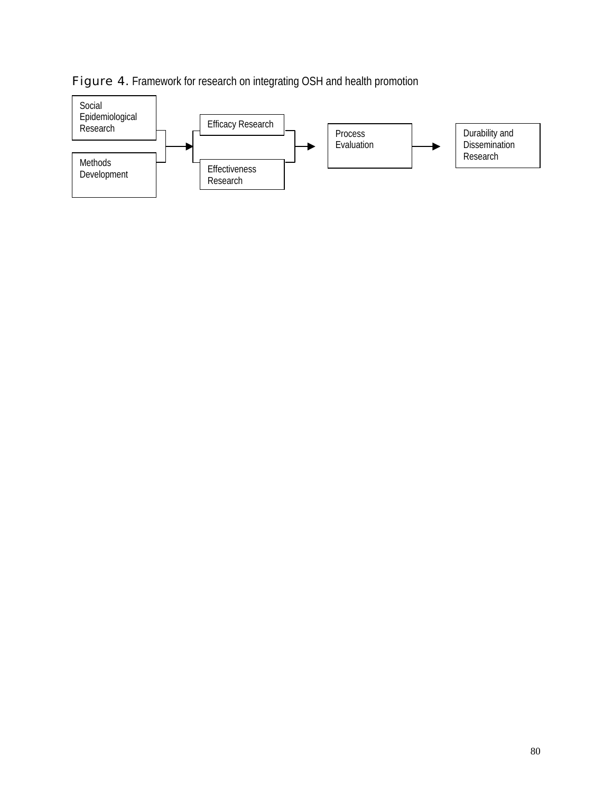

### Figure 4. Framework for research on integrating OSH and health promotion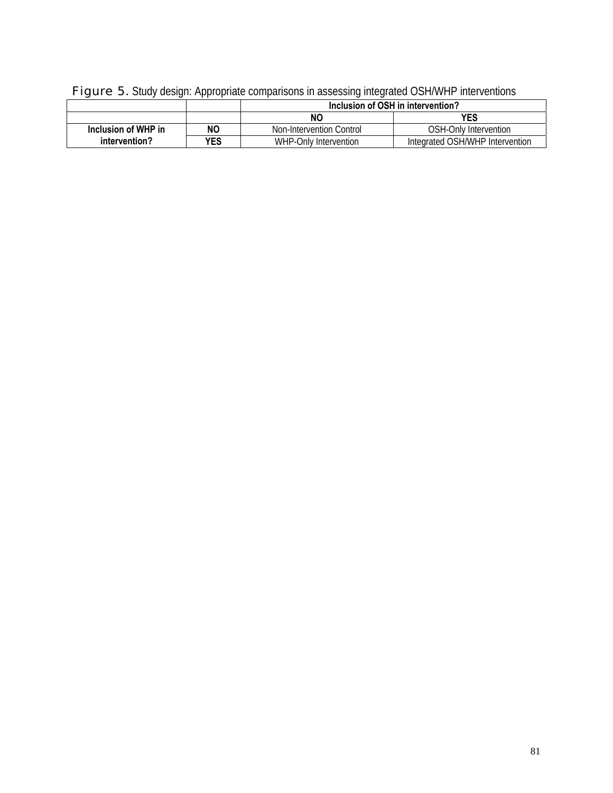| . .                 |           |                          |                                   |
|---------------------|-----------|--------------------------|-----------------------------------|
|                     |           |                          | Inclusion of OSH in intervention? |
|                     |           | <b>NC</b>                | <b>YES</b>                        |
| Inclusion of WHP in | <b>NO</b> | Non-Intervention Control | OSH-Only Intervention             |
| intervention?       | YES       | WHP-Only Intervention    | Integrated OSH/WHP Intervention   |

# Figure 5. Study design: Appropriate comparisons in assessing integrated OSH/WHP interventions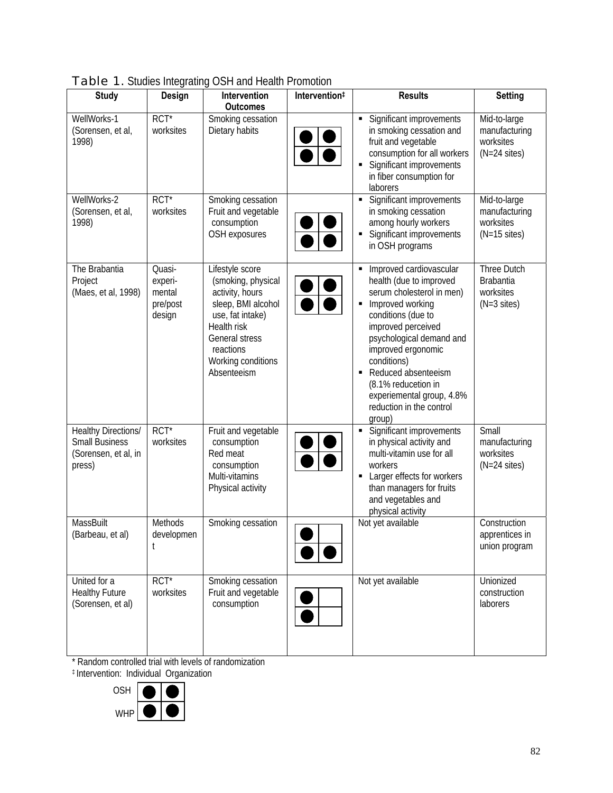| <b>Study</b>                                                                          | J.<br>Design                                      | Intervention<br><b>Outcomes</b>                                                                                                                                                       | Intervention# | <b>Results</b>                                                                                                                                                                                                                                                                                                                    | Setting                                                               |
|---------------------------------------------------------------------------------------|---------------------------------------------------|---------------------------------------------------------------------------------------------------------------------------------------------------------------------------------------|---------------|-----------------------------------------------------------------------------------------------------------------------------------------------------------------------------------------------------------------------------------------------------------------------------------------------------------------------------------|-----------------------------------------------------------------------|
| WellWorks-1<br>(Sorensen, et al,<br>1998)                                             | $RCT^*$<br>worksites                              | Smoking cessation<br>Dietary habits                                                                                                                                                   |               | Significant improvements<br>in smoking cessation and<br>fruit and vegetable<br>consumption for all workers<br>Significant improvements<br>in fiber consumption for<br>laborers                                                                                                                                                    | Mid-to-large<br>manufacturing<br>worksites<br>$(N=24$ sites)          |
| WellWorks-2<br>(Sorensen, et al,<br>1998)                                             | $RCT^*$<br>worksites                              | Smoking cessation<br>Fruit and vegetable<br>consumption<br>OSH exposures                                                                                                              |               | Significant improvements<br>in smoking cessation<br>among hourly workers<br>Significant improvements<br>in OSH programs                                                                                                                                                                                                           | Mid-to-large<br>manufacturing<br>worksites<br>$(N=15$ sites)          |
| The Brabantia<br>Project<br>(Maes, et al, 1998)                                       | Quasi-<br>experi-<br>mental<br>pre/post<br>design | Lifestyle score<br>(smoking, physical<br>activity, hours<br>sleep, BMI alcohol<br>use, fat intake)<br>Health risk<br>General stress<br>reactions<br>Working conditions<br>Absenteeism |               | Improved cardiovascular<br>health (due to improved<br>serum cholesterol in men)<br>Improved working<br>conditions (due to<br>improved perceived<br>psychological demand and<br>improved ergonomic<br>conditions)<br>Reduced absenteeism<br>(8.1% reducetion in<br>experiemental group, 4.8%<br>reduction in the control<br>group) | Three Dutch<br><b>Brabantia</b><br>worksites<br>$(N=3 \text{ sites})$ |
| <b>Healthy Directions/</b><br><b>Small Business</b><br>(Sorensen, et al, in<br>press) | $\overline{RCT^*}$<br>worksites                   | Fruit and vegetable<br>consumption<br>Red meat<br>consumption<br>Multi-vitamins<br>Physical activity                                                                                  |               | Significant improvements<br>in physical activity and<br>multi-vitamin use for all<br>workers<br>Larger effects for workers<br>than managers for fruits<br>and vegetables and<br>physical activity                                                                                                                                 | Small<br>manufacturing<br>worksites<br>$(N=24$ sites)                 |
| <b>MassBuilt</b><br>(Barbeau, et al)                                                  | Methods<br>developmen                             | Smoking cessation                                                                                                                                                                     |               | Not yet available                                                                                                                                                                                                                                                                                                                 | Construction<br>apprentices in<br>union program                       |
| United for a<br><b>Healthy Future</b><br>(Sorensen, et al)                            | $RCT^*$<br>worksites                              | Smoking cessation<br>Fruit and vegetable<br>consumption                                                                                                                               |               | Not yet available                                                                                                                                                                                                                                                                                                                 | Unionized<br>construction<br>laborers                                 |

Table 1. Studies Integrating OSH and Health Promotion

\* Random controlled trial with levels of randomization

‡ Intervention: Individual Organization

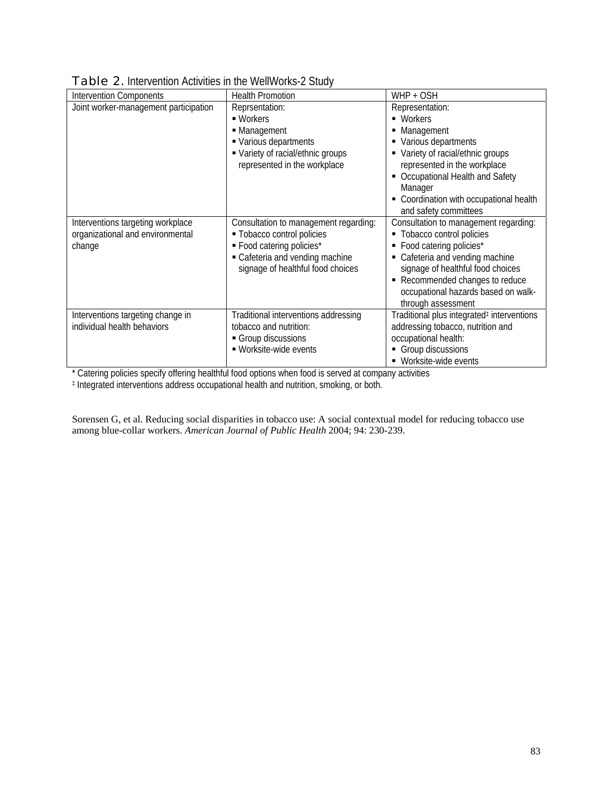| <b>Intervention Components</b>                                                  | <b>Health Promotion</b>                                                                                                                                                  | WHP + OSH                                                                                                                                                                                                                                                            |
|---------------------------------------------------------------------------------|--------------------------------------------------------------------------------------------------------------------------------------------------------------------------|----------------------------------------------------------------------------------------------------------------------------------------------------------------------------------------------------------------------------------------------------------------------|
| Joint worker-management participation                                           | Reprsentation:<br>■ Workers<br>• Management<br>• Various departments<br>• Variety of racial/ethnic groups<br>represented in the workplace                                | Representation:<br>• Workers<br>Management<br>Various departments<br>Variety of racial/ethnic groups<br>represented in the workplace<br>Occupational Health and Safety<br>Manager<br>Coordination with occupational health<br>and safety committees                  |
| Interventions targeting workplace<br>organizational and environmental<br>change | Consultation to management regarding:<br>- Tobacco control policies<br>· Food catering policies*<br>• Cafeteria and vending machine<br>signage of healthful food choices | Consultation to management regarding:<br>• Tobacco control policies<br>• Food catering policies*<br>Cafeteria and vending machine<br>signage of healthful food choices<br>Recommended changes to reduce<br>occupational hazards based on walk-<br>through assessment |
| Interventions targeting change in<br>individual health behaviors                | Traditional interventions addressing<br>tobacco and nutrition:<br>Group discussions<br>■ Worksite-wide events                                                            | Traditional plus integrated <sup>‡</sup> interventions<br>addressing tobacco, nutrition and<br>occupational health:<br>Group discussions<br>■ Worksite-wide events                                                                                                   |

| <b>Table 2.</b> Intervention Activities in the WellWorks-2 Study |  |
|------------------------------------------------------------------|--|
|------------------------------------------------------------------|--|

\* Catering policies specify offering healthful food options when food is served at company activities

‡ Integrated interventions address occupational health and nutrition, smoking, or both.

Sorensen G, et al. Reducing social disparities in tobacco use: A social contextual model for reducing tobacco use among blue-collar workers. *American Journal of Public Health* 2004; 94: 230-239.